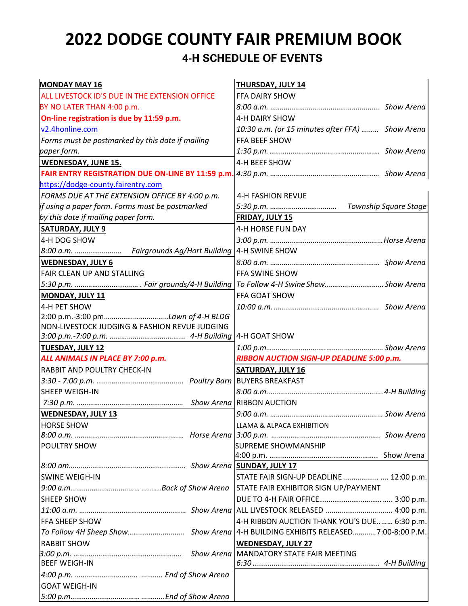# **2022 DODGE COUNTY FAIR PREMIUM BOOK 4-H SCHEDULE OF EVENTS**

| <b>MONDAY MAY 16</b>                             | THURSDAY, JULY 14                                |
|--------------------------------------------------|--------------------------------------------------|
| ALL LIVESTOCK ID'S DUE IN THE EXTENSION OFFICE   | FFA DAIRY SHOW                                   |
| BY NO LATER THAN 4:00 p.m.                       |                                                  |
| On-line registration is due by 11:59 p.m.        | 4-H DAIRY SHOW                                   |
| v2.4honline.com                                  | 10:30 a.m. (or 15 minutes after FFA)  Show Arena |
| Forms must be postmarked by this date if mailing | FFA BEEF SHOW                                    |
| paper form.                                      |                                                  |
| <b>WEDNESDAY, JUNE 15.</b>                       | 4-H BEEF SHOW                                    |
|                                                  |                                                  |
| https://dodge-county.fairentry.com               |                                                  |
| FORMS DUE AT THE EXTENSION OFFICE BY 4:00 p.m.   | <b>4-H FASHION REVUE</b>                         |
| if using a paper form. Forms must be postmarked  |                                                  |
| by this date if mailing paper form.              | <b>FRIDAY, JULY 15</b>                           |
| <b>SATURDAY, JULY 9</b>                          | 4-H HORSE FUN DAY                                |
| 4-H DOG SHOW                                     |                                                  |
|                                                  |                                                  |
| <b>WEDNESDAY, JULY 6</b>                         |                                                  |
| FAIR CLEAN UP AND STALLING                       | <b>FFA SWINE SHOW</b>                            |
|                                                  |                                                  |
| MONDAY, JULY 11                                  | FFA GOAT SHOW                                    |
| 4-H PET SHOW                                     |                                                  |
|                                                  |                                                  |
| NON-LIVESTOCK JUDGING & FASHION REVUE JUDGING    |                                                  |
|                                                  | 4-H GOAT SHOW                                    |
| <b>TUESDAY, JULY 12</b>                          |                                                  |
| ALL ANIMALS IN PLACE BY 7:00 p.m.                | RIBBON AUCTION SIGN-UP DEADLINE 5:00 p.m.        |
| RABBIT AND POULTRY CHECK-IN                      | SATURDAY, JULY 16                                |
|                                                  |                                                  |
| SHEEP WEIGH-IN                                   |                                                  |
|                                                  |                                                  |
| <b>WEDNESDAY, JULY 13</b>                        |                                                  |
| <b>HORSE SHOW</b>                                | LLAMA & ALPACA EXHIBITION                        |
|                                                  |                                                  |
| POULTRY SHOW                                     | <b>SUPREME SHOWMANSHIP</b>                       |
|                                                  |                                                  |
|                                                  |                                                  |
| <b>SWINE WEIGH-IN</b>                            | STATE FAIR SIGN-UP DEADLINE   12:00 p.m.         |
|                                                  | STATE FAIR EXHIBITOR SIGN UP/PAYMENT             |
| <b>SHEEP SHOW</b>                                |                                                  |
|                                                  |                                                  |
| <b>FFA SHEEP SHOW</b>                            | 4-H RIBBON AUCTION THANK YOU'S DUE 6:30 p.m.     |
|                                                  |                                                  |
| <b>RABBIT SHOW</b>                               | <b>WEDNESDAY, JULY 27</b>                        |
|                                                  |                                                  |
| <b>BEEF WEIGH-IN</b>                             |                                                  |
|                                                  |                                                  |
| <b>GOAT WEIGH-IN</b>                             |                                                  |
|                                                  |                                                  |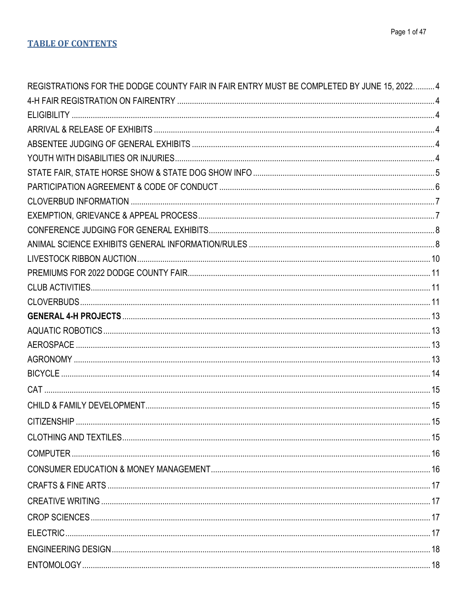| REGISTRATIONS FOR THE DODGE COUNTY FAIR IN FAIR ENTRY MUST BE COMPLETED BY JUNE 15, 2022 4 |  |
|--------------------------------------------------------------------------------------------|--|
|                                                                                            |  |
|                                                                                            |  |
|                                                                                            |  |
|                                                                                            |  |
|                                                                                            |  |
|                                                                                            |  |
|                                                                                            |  |
|                                                                                            |  |
|                                                                                            |  |
|                                                                                            |  |
|                                                                                            |  |
|                                                                                            |  |
|                                                                                            |  |
|                                                                                            |  |
|                                                                                            |  |
|                                                                                            |  |
|                                                                                            |  |
|                                                                                            |  |
|                                                                                            |  |
|                                                                                            |  |
|                                                                                            |  |
|                                                                                            |  |
|                                                                                            |  |
|                                                                                            |  |
|                                                                                            |  |
|                                                                                            |  |
|                                                                                            |  |
|                                                                                            |  |
|                                                                                            |  |
|                                                                                            |  |
|                                                                                            |  |
|                                                                                            |  |
|                                                                                            |  |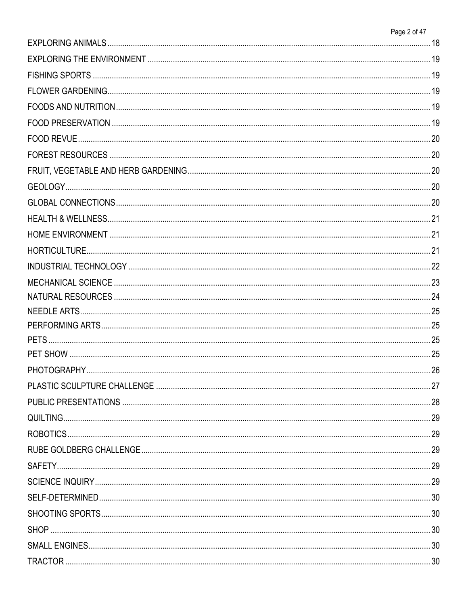| Page 2 of 47 |
|--------------|
|              |
|              |
|              |
|              |
|              |
|              |
|              |
|              |
|              |
|              |
|              |
|              |
|              |
|              |
|              |
|              |
|              |
|              |
|              |
|              |
|              |
|              |
|              |
|              |
|              |
|              |
|              |
|              |
|              |
|              |
|              |
|              |
|              |
|              |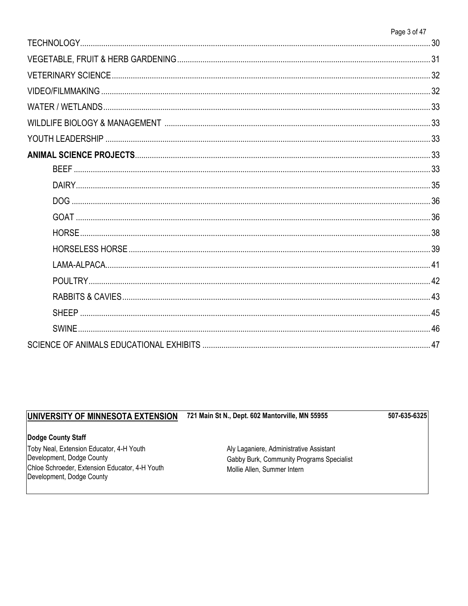|              | Page 3 of 47 |
|--------------|--------------|
|              |              |
|              |              |
|              |              |
|              |              |
|              |              |
|              |              |
|              |              |
|              |              |
|              |              |
|              |              |
|              |              |
|              |              |
|              |              |
|              |              |
|              |              |
|              |              |
|              |              |
|              |              |
| <b>SWINE</b> |              |
|              |              |

#### 721 Main St N., Dept. 602 Mantorville, MN 55955 UNIVERSITY OF MINNESOTA EXTENSION

507-635-6325

## Dodge County Staff

Toby Neal, Extension Educator, 4-H Youth Development, Dodge County Chloe Schroeder, Extension Educator, 4-H Youth Development, Dodge County

Aly Laganiere, Administrative Assistant Gabby Burk, Community Programs Specialist Mollie Allen, Summer Intern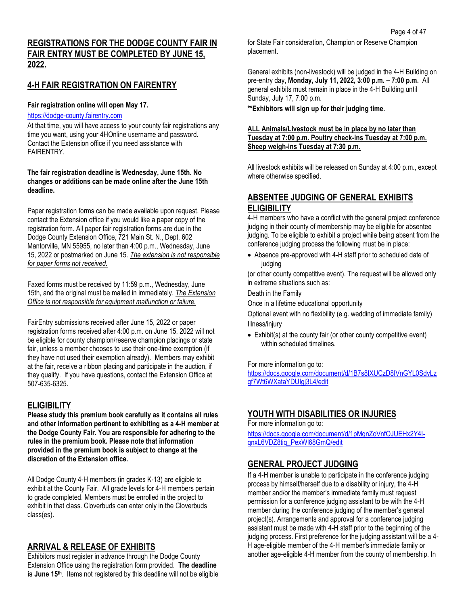## **4-H FAIR REGISTRATION ON FAIRENTRY**

### **Fair registration online will open May 17.**

## [https://dodge-county.fairentry.com](https://dodge-county.fairentry.com/)

At that time, you will have access to your county fair registrations any time you want, using your 4HOnline username and password. Contact the Extension office if you need assistance with FAIRENTRY.

#### **The fair registration deadline is Wednesday, June 15th. No changes or additions can be made online after the June 15th deadline.**

Paper registration forms can be made available upon request. Please contact the Extension office if you would like a paper copy of the registration form. All paper fair registration forms are due in the Dodge County Extension Office, 721 Main St. N., Dept. 602 Mantorville, MN 55955, no later than 4:00 p.m., Wednesday, June 15, 2022 or postmarked on June 15. *The extension is not responsible for paper forms not received.*

Faxed forms must be received by 11:59 p.m., Wednesday, June 15th, and the original must be mailed in immediately. *The Extension Office is not responsible for equipment malfunction or failure.*

FairEntry submissions received after June 15, 2022 or paper registration forms received after 4:00 p.m. on June 15, 2022 will not be eligible for county champion/reserve champion placings or state fair, unless a member chooses to use their one-time exemption (if they have not used their exemption already). Members may exhibit at the fair, receive a ribbon placing and participate in the auction, if they qualify. If you have questions, contact the Extension Office at [507-635-6325.](tel:%28507%29635-6325)

## **ELIGIBILITY**

**Please study this premium book carefully as it contains all rules and other information pertinent to exhibiting as a 4-H member at the Dodge County Fair. You are responsible for adhering to the rules in the premium book. Please note that information provided in the premium book is subject to change at the discretion of the Extension office.**

All Dodge County 4-H members (in grades K-13) are eligible to exhibit at the County Fair. All grade levels for 4-H members pertain to grade completed. Members must be enrolled in the project to exhibit in that class. Cloverbuds can enter only in the Cloverbuds class(es).

## **ARRIVAL & RELEASE OF EXHIBITS**

Exhibitors must register in advance through the Dodge County Extension Office using the registration form provided. **The deadline is June 15<sup>th</sup>**. Items not registered by this deadline will not be eligible for State Fair consideration, Champion or Reserve Champion placement.

General exhibits (non-livestock) will be judged in the 4-H Building on pre-entry day, **Monday, July 11, 2022, 3:00 p.m. – 7:00 p.m.** All general exhibits must remain in place in the 4-H Building until Sunday, July 17, 7:00 p.m.

**\*\*Exhibitors will sign up for their judging time.**

### **ALL Animals/Livestock must be in place by no later than Tuesday at 7:00 p.m. Poultry check-ins Tuesday at 7:00 p.m. Sheep weigh-ins Tuesday at 7:30 p.m.**

All livestock exhibits will be released on Sunday at 4:00 p.m., except where otherwise specified.

## **ABSENTEE JUDGING OF GENERAL EXHIBITS ELIGIBILITY**

4-H members who have a conflict with the general project conference judging in their county of membership may be eligible for absentee judging. To be eligible to exhibit a project while being absent from the conference judging process the following must be in place:

• Absence pre-approved with 4-H staff prior to scheduled date of judging

(or other county competitive event). The request will be allowed only in extreme situations such as:

Death in the Family

Once in a lifetime educational opportunity

Optional event with no flexibility (e.g. wedding of immediate family) Illness/injury

• Exhibit(s) at the county fair (or other county competitive event) within scheduled timelines.

#### For more information go to:

[https://docs.google.com/document/d/1B7s8IXUCzD8IVnGYL0SdvLz](https://docs.google.com/document/d/1B7s8IXUCzD8IVnGYL0SdvLzgf7Wt6WXataYDUIgj3L4/edit) [gf7Wt6WXataYDUIgj3L4/edit](https://docs.google.com/document/d/1B7s8IXUCzD8IVnGYL0SdvLzgf7Wt6WXataYDUIgj3L4/edit)

## **YOUTH WITH DISABILITIES OR INJURIES**

For more information go to:

[https://docs.google.com/document/d/1pMqnZoVnfOJUEHx2Y4I](https://docs.google.com/document/d/1pMqnZoVnfOJUEHx2Y4I-qnxL6VDZ8tiq_PexWl68GmQ/edit)[qnxL6VDZ8tiq\\_PexWl68GmQ/edit](https://docs.google.com/document/d/1pMqnZoVnfOJUEHx2Y4I-qnxL6VDZ8tiq_PexWl68GmQ/edit)

## **GENERAL PROJECT JUDGING**

If a 4-H member is unable to participate in the conference judging process by himself/herself due to a disability or injury, the 4-H member and/or the member's immediate family must request permission for a conference judging assistant to be with the 4-H member during the conference judging of the member's general project(s). Arrangements and approval for a conference judging assistant must be made with 4-H staff prior to the beginning of the judging process. First preference for the judging assistant will be a 4- H age-eligible member of the 4-H member's immediate family or another age-eligible 4-H member from the county of membership. In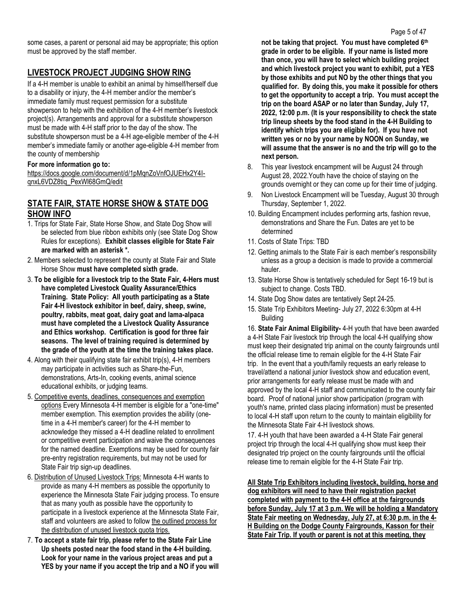some cases, a parent or personal aid may be appropriate; this option must be approved by the staff member.

## **LIVESTOCK PROJECT JUDGING SHOW RING**

If a 4-H member is unable to exhibit an animal by himself/herself due to a disability or injury, the 4-H member and/or the member's immediate family must request permission for a substitute showperson to help with the exhibition of the 4-H member's livestock project(s). Arrangements and approval for a substitute showperson must be made with 4-H staff prior to the day of the show. The substitute showperson must be a 4-H age-eligible member of the 4-H member's immediate family or another age-eligible 4-H member from the county of membership

### **For more information go to:**

[https://docs.google.com/document/d/1pMqnZoVnfOJUEHx2Y4I](https://docs.google.com/document/d/1pMqnZoVnfOJUEHx2Y4I-qnxL6VDZ8tiq_PexWl68GmQ/edit)[qnxL6VDZ8tiq\\_PexWl68GmQ/edit](https://docs.google.com/document/d/1pMqnZoVnfOJUEHx2Y4I-qnxL6VDZ8tiq_PexWl68GmQ/edit)

## **STATE FAIR, STATE HORSE SHOW & STATE DOG SHOW INFO**

- 1. Trips for State Fair, State Horse Show, and State Dog Show will be selected from blue ribbon exhibits only (see State Dog Show Rules for exceptions). **Exhibit classes eligible for State Fair are marked with an asterisk \*.**
- 2. Members selected to represent the county at State Fair and State Horse Show **must have completed sixth grade.**
- 3. **To be eligible for a livestock trip to the State Fair, 4-Hers must have completed Livestock Quality Assurance/Ethics Training. State Policy: All youth participating as a State Fair 4-H livestock exhibitor in beef, dairy, sheep, swine, poultry, rabbits, meat goat, dairy goat and lama-alpaca must have completed the a Livestock Quality Assurance and Ethics workshop. Certification is good for three fair seasons. The level of training required is determined by the grade of the youth at the time the training takes place.**
- 4. Along with their qualifying state fair exhibit trip(s), 4-H members may participate in activities such as Share-the-Fun, demonstrations, Arts-In, cooking events, animal science educational exhibits, or judging teams.
- 5. [Competitive events, deadlines, consequences and exemption](http://www.extension.umn.edu/youth/mn4-H/policies/docs/competetive-events-deadlines-consequences-exemptions.pdf)  [options](http://www.extension.umn.edu/youth/mn4-H/policies/docs/competetive-events-deadlines-consequences-exemptions.pdf) Every Minnesota 4-H member is eligible for a "one-time" member exemption. This exemption provides the ability (onetime in a 4-H member's career) for the 4-H member to acknowledge they missed a 4-H deadline related to enrollment or competitive event participation and waive the consequences for the named deadline. Exemptions may be used for county fair pre-entry registration requirements, but may not be used for State Fair trip sign-up deadlines.
- 6. [Distribution of Unused Livestock Trips:](http://www.extension.umn.edu/youth/mn4-H/state-fair/docs/competitive-events-distribution-of-unused-livestock-quota-trips.pdf) Minnesota 4-H wants to provide as many 4-H members as possible the opportunity to experience the Minnesota State Fair judging process. To ensure that as many youth as possible have the opportunity to participate in a livestock experience at the Minnesota State Fair, staff and volunteers are asked to follo[w the outlined process for](http://www.extension.umn.edu/youth/mn4-H/state-fair/docs/competitive-events-distribution-of-unused-livestock-quota-trips.pdf)  [the distribution of unused livestock quota trips.](http://www.extension.umn.edu/youth/mn4-H/state-fair/docs/competitive-events-distribution-of-unused-livestock-quota-trips.pdf)
- 7. **To accept a state fair trip, please refer to the State Fair Line Up sheets posted near the food stand in the 4-H building. Look for your name in the various project areas and put a YES by your name if you accept the trip and a NO if you will**

**not be taking that project. You must have completed 6th grade in order to be eligible. If your name is listed more than once, you will have to select which building project and which livestock project you want to exhibit, put a YES by those exhibits and put NO by the other things that you qualified for. By doing this, you make it possible for others to get the opportunity to accept a trip. You must accept the trip on the board ASAP or no later than Sunday, July 17, 2022, 12:00 p.m. (It is your responsibility to check the state trip lineup sheets by the food stand in the 4-H Building to identify which trips you are eligible for). If you have not written yes or no by your name by NOON on Sunday, we will assume that the answer is no and the trip will go to the next person.**

- 8. This year livestock encampment will be August 24 through August 28, 2022.Youth have the choice of staying on the grounds overnight or they can come up for their time of judging.
- 9. Non Livestock Encampment will be Tuesday, August 30 through Thursday, September 1, 2022.
- 10. Building Encampment includes performing arts, fashion revue, demonstrations and Share the Fun. Dates are yet to be determined
- 11. Costs of State Trips: TBD
- 12. Getting animals to the State Fair is each member's responsibility unless as a group a decision is made to provide a commercial hauler.
- 13. State Horse Show is tentatively scheduled for Sept 16-19 but is subject to change. Costs TBD.
- 14. State Dog Show dates are tentatively Sept 24-25.
- 15. State Trip Exhibitors Meeting- July 27, 2022 6:30pm at 4-H Building

16. **State Fair Animal Eligibility-** 4-H youth that have been awarded a 4-H State Fair livestock trip through the local 4-H qualifying show must keep their designated trip animal on the county fairgrounds until the official release time to remain eligible for the 4-H State Fair trip. In the event that a youth/family requests an early release to travel/attend a national junior livestock show and education event, prior arrangements for early release must be made with and approved by the local 4-H staff and communicated to the county fair board. Proof of national junior show participation (program with youth's name, printed class placing information) must be presented to local 4-H staff upon return to the county to maintain eligibility for the Minnesota State Fair 4-H livestock shows.

17. 4-H youth that have been awarded a 4-H State Fair general project trip through the local 4-H qualifying show must keep their designated trip project on the county fairgrounds until the official release time to remain eligible for the 4-H State Fair trip.

**All State Trip Exhibitors including livestock, building, horse and dog exhibitors will need to have their registration packet completed with payment to the 4-H office at the fairgrounds before Sunday, July 17 at 3 p.m. We will be holding a Mandatory State Fair meeting on Wednesday, July 27, at 6:30 p.m. in the 4- H Building on the Dodge County Fairgrounds, Kasson for their State Fair Trip. If youth or parent is not at this meeting, they**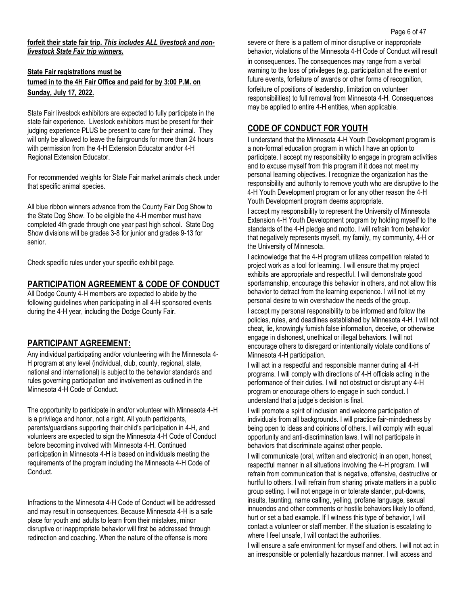#### **forfeit their state fair trip.** *This includes ALL livestock and nonlivestock State Fair trip winners.*

## **State Fair registrations must be turned in to the 4H Fair Office and paid for by 3:00 P.M. on Sunday, July 17, 2022.**

State Fair livestock exhibitors are expected to fully participate in the state fair experience. Livestock exhibitors must be present for their judging experience PLUS be present to care for their animal. They will only be allowed to leave the fairgrounds for more than 24 hours with permission from the 4-H Extension Educator and/or 4-H Regional Extension Educator.

For recommended weights for State Fair market animals check under that specific animal species.

All blue ribbon winners advance from the County Fair Dog Show to the State Dog Show. To be eligible the 4-H member must have completed 4th grade through one year past high school. State Dog Show divisions will be grades 3-8 for junior and grades 9-13 for senior.

Check specific rules under your specific exhibit page.

## **PARTICIPATION AGREEMENT & CODE OF CONDUCT**

All Dodge County 4-H members are expected to abide by the following guidelines when participating in all 4-H sponsored events during the 4-H year, including the Dodge County Fair.

## **PARTICIPANT AGREEMENT:**

Any individual participating and/or volunteering with the Minnesota 4- H program at any level (individual, club, county, regional, state, national and international) is subject to the behavior standards and rules governing participation and involvement as outlined in the Minnesota 4-H Code of Conduct.

The opportunity to participate in and/or volunteer with Minnesota 4-H is a privilege and honor, not a right. All youth participants, parents/guardians supporting their child's participation in 4-H, and volunteers are expected to sign the Minnesota 4-H Code of Conduct before becoming involved with Minnesota 4-H. Continued participation in Minnesota 4-H is based on individuals meeting the requirements of the program including the Minnesota 4-H Code of Conduct.

Infractions to the Minnesota 4-H Code of Conduct will be addressed and may result in consequences. Because Minnesota 4-H is a safe place for youth and adults to learn from their mistakes, minor disruptive or inappropriate behavior will first be addressed through redirection and coaching. When the nature of the offense is more

severe or there is a pattern of minor disruptive or inappropriate behavior, violations of the Minnesota 4-H Code of Conduct will result in consequences. The consequences may range from a verbal warning to the loss of privileges (e.g. participation at the event or future events, forfeiture of awards or other forms of recognition, forfeiture of positions of leadership, limitation on volunteer responsibilities) to full removal from Minnesota 4-H. Consequences may be applied to entire 4-H entities, when applicable.

## **CODE OF CONDUCT FOR YOUTH**

I understand that the Minnesota 4-H Youth Development program is a non-formal education program in which I have an option to participate. I accept my responsibility to engage in program activities and to excuse myself from this program if it does not meet my personal learning objectives. I recognize the organization has the responsibility and authority to remove youth who are disruptive to the 4-H Youth Development program or for any other reason the 4-H Youth Development program deems appropriate.

I accept my responsibility to represent the University of Minnesota Extension 4-H Youth Development program by holding myself to the standards of the 4-H pledge and motto. I will refrain from behavior that negatively represents myself, my family, my community, 4-H or the University of Minnesota.

I acknowledge that the 4-H program utilizes competition related to project work as a tool for learning. I will ensure that my project exhibits are appropriate and respectful. I will demonstrate good sportsmanship, encourage this behavior in others, and not allow this behavior to detract from the learning experience. I will not let my personal desire to win overshadow the needs of the group. I accept my personal responsibility to be informed and follow the policies, rules, and deadlines established by Minnesota 4-H. I will not cheat, lie, knowingly furnish false information, deceive, or otherwise engage in dishonest, unethical or illegal behaviors. I will not encourage others to disregard or intentionally violate conditions of Minnesota 4-H participation.

I will act in a respectful and responsible manner during all 4-H programs. I will comply with directions of 4-H officials acting in the performance of their duties. I will not obstruct or disrupt any 4-H program or encourage others to engage in such conduct. I understand that a judge's decision is final.

I will promote a spirit of inclusion and welcome participation of individuals from all backgrounds. I will practice fair-mindedness by being open to ideas and opinions of others. I will comply with equal opportunity and anti-discrimination laws. I will not participate in behaviors that discriminate against other people.

I will communicate (oral, written and electronic) in an open, honest, respectful manner in all situations involving the 4-H program. I will refrain from communication that is negative, offensive, destructive or hurtful to others. I will refrain from sharing private matters in a public group setting. I will not engage in or tolerate slander, put-downs, insults, taunting, name calling, yelling, profane language, sexual innuendos and other comments or hostile behaviors likely to offend, hurt or set a bad example. If I witness this type of behavior, I will contact a volunteer or staff member. If the situation is escalating to where I feel unsafe, I will contact the authorities.

I will ensure a safe environment for myself and others. I will not act in an irresponsible or potentially hazardous manner. I will access and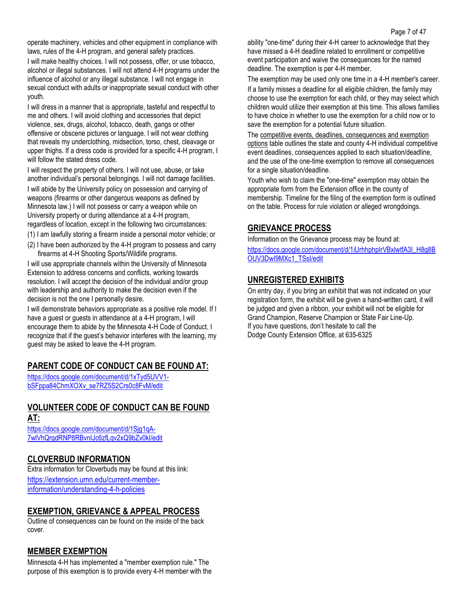operate machinery, vehicles and other equipment in compliance with laws, rules of the 4-H program, and general safety practices.

I will make healthy choices. I will not possess, offer, or use tobacco, alcohol or illegal substances. I will not attend 4-H programs under the influence of alcohol or any illegal substance. I will not engage in sexual conduct with adults or inappropriate sexual conduct with other youth.

I will dress in a manner that is appropriate, tasteful and respectful to me and others. I will avoid clothing and accessories that depict violence, sex, drugs, alcohol, tobacco, death, gangs or other offensive or obscene pictures or language. I will not wear clothing that reveals my underclothing, midsection, torso, chest, cleavage or upper thighs. If a dress code is provided for a specific 4-H program, I will follow the stated dress code.

I will respect the property of others. I will not use, abuse, or take another individual's personal belongings. I will not damage facilities. I will abide by the University policy on possession and carrying of weapons (firearms or other dangerous weapons as defined by Minnesota law.) I will not possess or carry a weapon while on University property or during attendance at a 4-H program, regardless of location, except in the following two circumstances:

(1) I am lawfully storing a firearm inside a personal motor vehicle; or

(2) I have been authorized by the 4-H program to possess and carry firearms at 4-H Shooting Sports/Wildlife programs.

I will use appropriate channels within the University of Minnesota Extension to address concerns and conflicts, working towards resolution. I will accept the decision of the individual and/or group with leadership and authority to make the decision even if the decision is not the one I personally desire.

I will demonstrate behaviors appropriate as a positive role model. If I have a guest or guests in attendance at a 4-H program, I will encourage them to abide by the Minnesota 4-H Code of Conduct. I recognize that if the guest's behavior interferes with the learning, my guest may be asked to leave the 4-H program.

## **PARENT CODE OF CONDUCT CAN BE FOUND AT:**

[https://docs.google.com/document/d/1xTyd5UVV1](https://docs.google.com/document/d/1xTyd5UVV1-bSFppa84ChmXOXv_se7RZ5S2Crs0c8FvM/edit) [bSFppa84ChmXOXv\\_se7RZ5S2Crs0c8FvM/edit](https://docs.google.com/document/d/1xTyd5UVV1-bSFppa84ChmXOXv_se7RZ5S2Crs0c8FvM/edit)

# **VOLUNTEER CODE OF CONDUCT CAN BE FOUND**

| . . | . . |
|-----|-----|
|     |     |

[https://docs.google.com/document/d/1Sjg1qA-](https://docs.google.com/document/d/1Sjg1qA-7wlVhQrgdRNP8RBvnIJc6zfLqv2xQ9bZv0kI/edit)[7wlVhQrgdRNP8RBvnIJc6zfLqv2xQ9bZv0kI/edit](https://docs.google.com/document/d/1Sjg1qA-7wlVhQrgdRNP8RBvnIJc6zfLqv2xQ9bZv0kI/edit)

## **CLOVERBUD INFORMATION**

Extra information for Cloverbuds may be found at this link: [https://extension.umn.edu/current-member](https://extension.umn.edu/current-member-information/understanding-4-h-policies)[information/understanding-4-h-policies](https://extension.umn.edu/current-member-information/understanding-4-h-policies)

## **EXEMPTION, GRIEVANCE & APPEAL PROCESS**

Outline of consequences can be found on the inside of the back cover.

## **MEMBER EXEMPTION**

Minnesota 4-H has implemented a "member exemption rule." The purpose of this exemption is to provide every 4-H member with the ability "one-time" during their 4-H career to acknowledge that they have missed a 4-H deadline related to enrollment or competitive event participation and waive the consequences for the named deadline. The exemption is per 4-H member.

The exemption may be used only one time in a 4-H member's career. If a family misses a deadline for all eligible children, the family may choose to use the exemption for each child, or they may select which children would utilize their exemption at this time. This allows families to have choice in whether to use the exemption for a child now or to save the exemption for a potential future situation.

Th[e competitive events, deadlines, consequences and exemption](https://docs.google.com/spreadsheets/d/15jURVLMeA0dWboea_t3vR-_KDhtqtK107jftPCENOIc/edit#gid=0)  [options](https://docs.google.com/spreadsheets/d/15jURVLMeA0dWboea_t3vR-_KDhtqtK107jftPCENOIc/edit#gid=0) table outlines the state and county 4-H individual competitive event deadlines, consequences applied to each situation/deadline, and the use of the one-time exemption to remove all consequences for a single situation/deadline.

Youth who wish to claim the "one-time" exemption may obtain the appropriate form from the Extension office in the county of membership. Timeline for the filing of the exemption form is outlined on the table. Process for rule violation or alleged wrongdoings.

## **GRIEVANCE PROCESS**

Information on the Grievance process may be found at: [https://docs.google.com/document/d/1iUrhhphpIrVBxlwtfA3I\\_H8g8B](https://docs.google.com/document/d/1iUrhhphpIrVBxlwtfA3I_H8g8BOUV3DwI9MXc1_TSsI/edit) [OUV3DwI9MXc1\\_TSsI/edit](https://docs.google.com/document/d/1iUrhhphpIrVBxlwtfA3I_H8g8BOUV3DwI9MXc1_TSsI/edit)

## **UNREGISTERED EXHIBITS**

On entry day, if you bring an exhibit that was not indicated on your registration form, the exhibit will be given a hand-written card, it will be judged and given a ribbon, your exhibit will not be eligible for Grand Champion, Reserve Champion or State Fair Line-Up. If you have questions, don't hesitate to call the Dodge County Extension Office, at 635-6325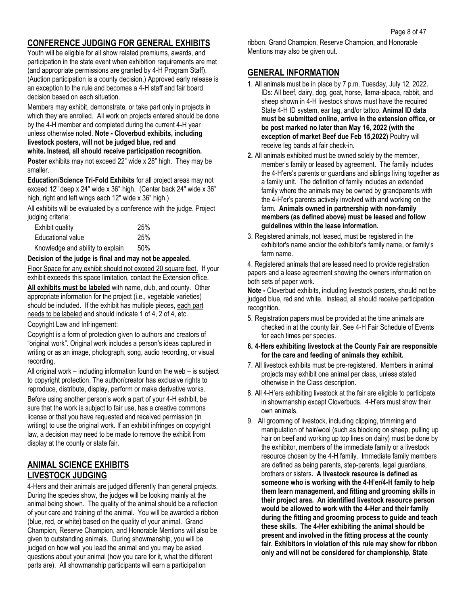## **CONFERENCE JUDGING FOR GENERAL EXHIBITS**

Youth will be eligible for all show related premiums, awards, and participation in the state event when exhibition requirements are met (and appropriate permissions are granted by 4-H Program Staff). (Auction participation is a county decision.) Approved early release is an exception to the rule and becomes a 4-H staff and fair board decision based on each situation.

Members may exhibit, demonstrate, or take part only in projects in which they are enrolled. All work on projects entered should be done by the 4-H member and completed during the current 4-H year unless otherwise noted. **Note - Cloverbud exhibits, including livestock posters, will not be judged blue, red and white. Instead, all should receive participation recognition.**

**Poster** exhibits may not exceed 22" wide x 28" high. They may be smaller.

**Education/Science Tri-Fold Exhibits** for all project areas may not exceed 12" deep x 24" wide x 36" high. (Center back 24" wide x 36" high, right and left wings each 12" wide x 36" high.)

All exhibits will be evaluated by a conference with the judge. Project judging criteria:

| Exhibit quality                  | 25% |
|----------------------------------|-----|
| Educational value                | 25% |
| Knowledge and ability to explain | 50% |

### **Decision of the judge is final and may not be appealed.**

Floor Space for any exhibit should not exceed 20 square feet. If your exhibit exceeds this space limitation, contact the Extension office.

**All exhibits must be labeled** with name, club, and county. Other appropriate information for the project (i.e., vegetable varieties) should be included. If the exhibit has multiple pieces, each part needs to be labeled and should indicate 1 of 4, 2 of 4, etc.

Copyright Law and Infringement:

Copyright is a form of protection given to authors and creators of "original work". Original work includes a person's ideas captured in writing or as an image, photograph, song, audio recording, or visual recording.

All original work – including information found on the web – is subject to copyright protection. The author/creator has exclusive rights to reproduce, distribute, display, perform or make derivative works.

Before using another person's work a part of your 4-H exhibit, be sure that the work is subject to fair use, has a creative commons license or that you have requested and received permission (in writing) to use the original work. If an exhibit infringes on copyright law, a decision may need to be made to remove the exhibit from display at the county or state fair.

## **ANIMAL SCIENCE EXHIBITS LIVESTOCK JUDGING**

4-Hers and their animals are judged differently than general projects. During the species show, the judges will be looking mainly at the animal being shown. The quality of the animal should be a reflection of your care and training of the animal. You will be awarded a ribbon (blue, red, or white) based on the quality of your animal. Grand Champion, Reserve Champion, and Honorable Mentions will also be given to outstanding animals. During showmanship, you will be judged on how well you lead the animal and you may be asked questions about your animal (how you care for it, what the different parts are). All showmanship participants will earn a participation

ribbon. Grand Champion, Reserve Champion, and Honorable Mentions may also be given out.

## **GENERAL INFORMATION**

- 1. All animals must be in place by 7 p.m. Tuesday, July 12, 2022. IDs: All beef, dairy, dog, goat, horse, llama-alpaca, rabbit, and sheep shown in 4-H livestock shows must have the required State 4-H ID system, ear tag, and/or tattoo. **Animal ID data must be submitted online, arrive in the extension office, or be post marked no later than May 16, 2022 (with the exception of market Beef due Feb 15,2022)** Poultry will receive leg bands at fair check-in.
- **2.** All animals exhibited must be owned solely by the member, member's family or leased by agreement. The family includes the 4-H'ers's parents or guardians and siblings living together as a family unit. The definition of family includes an extended family where the animals may be owned by grandparents with the 4-H'er's parents actively involved with and working on the farm. **Animals owned in partnership with non-family members (as defined above) must be leased and follow guidelines within the lease information.**
- 3. Registered animals, not leased, must be registered in the exhibitor's name and/or the exhibitor's family name, or family's farm name.

4. Registered animals that are leased need to provide registration papers and a lease agreement showing the owners information on both sets of paper work.

**Note -** Cloverbud exhibits, including livestock posters, should not be judged blue, red and white. Instead, all should receive participation recognition**.**

- 5. Registration papers must be provided at the time animals are checked in at the county fair, See 4-H Fair Schedule of Events for each times per species.
- **6. 4-Hers exhibiting livestock at the County Fair are responsible for the care and feeding of animals they exhibit.**
- 7. All livestock exhibits must be pre-registered. Members in animal projects may exhibit one animal per class, unless stated otherwise in the Class description.
- 8. All 4-H'ers exhibiting livestock at the fair are eligible to participate in showmanship except Cloverbuds. 4-H'ers must show their own animals.
- 9. All grooming of livestock, including clipping, trimming and manipulation of hair/wool (such as blocking on sheep, pulling up hair on beef and working up top lines on dairy) must be done by the exhibitor, members of the immediate family or a livestock resource chosen by the 4-H family. Immediate family members are defined as being parents, step-parents, legal guardians, brothers or sisters**. A livestock resource is defined as someone who is working with the 4-H'er/4-H family to help them learn management, and fitting and grooming skills in their project area. An identified livestock resource person would be allowed to work with the 4-Her and their family during the fitting and grooming process to guide and teach these skills. The 4-Her exhibiting the animal should be present and involved in the fitting process at the county fair. Exhibitors in violation of this rule may show for ribbon only and will not be considered for championship, State**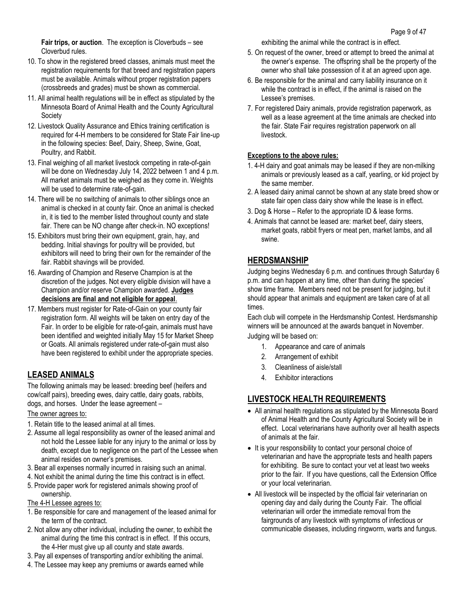**Fair trips, or auction**. The exception is Cloverbuds – see Cloverbud rules.

- 10. To show in the registered breed classes, animals must meet the registration requirements for that breed and registration papers must be available. Animals without proper registration papers (crossbreeds and grades) must be shown as commercial.
- 11. All animal health regulations will be in effect as stipulated by the Minnesota Board of Animal Health and the County Agricultural Society
- 12. Livestock Quality Assurance and Ethics training certification is required for 4-H members to be considered for State Fair line-up in the following species: Beef, Dairy, Sheep, Swine, Goat, Poultry, and Rabbit.
- 13. Final weighing of all market livestock competing in rate-of-gain will be done on Wednesday July 14, 2022 between 1 and 4 p.m. All market animals must be weighed as they come in. Weights will be used to determine rate-of-gain.
- 14. There will be no switching of animals to other siblings once an animal is checked in at county fair. Once an animal is checked in, it is tied to the member listed throughout county and state fair. There can be NO change after check-in. NO exceptions!
- 15. Exhibitors must bring their own equipment, grain, hay, and bedding. Initial shavings for poultry will be provided, but exhibitors will need to bring their own for the remainder of the fair. Rabbit shavings will be provided.
- 16. Awarding of Champion and Reserve Champion is at the discretion of the judges. Not every eligible division will have a Champion and/or reserve Champion awarded. **Judges decisions are final and not eligible for appeal**.
- 17. Members must register for Rate-of-Gain on your county fair registration form. All weights will be taken on entry day of the Fair. In order to be eligible for rate-of-gain, animals must have been identified and weighted initially May 15 for Market Sheep or Goats. All animals registered under rate-of-gain must also have been registered to exhibit under the appropriate species.

## **LEASED ANIMALS**

The following animals may be leased: breeding beef (heifers and cow/calf pairs), breeding ewes, dairy cattle, dairy goats, rabbits, dogs, and horses. Under the lease agreement –

## The owner agrees to:

- 1. Retain title to the leased animal at all times.
- 2. Assume all legal responsibility as owner of the leased animal and not hold the Lessee liable for any injury to the animal or loss by death, except due to negligence on the part of the Lessee when animal resides on owner's premises.
- 3. Bear all expenses normally incurred in raising such an animal.
- 4. Not exhibit the animal during the time this contract is in effect.
- 5. Provide paper work for registered animals showing proof of ownership.
- The 4-H Lessee agrees to:
- 1. Be responsible for care and management of the leased animal for the term of the contract.
- 2. Not allow any other individual, including the owner, to exhibit the animal during the time this contract is in effect. If this occurs, the 4-Her must give up all county and state awards.
- 3. Pay all expenses of transporting and/or exhibiting the animal.
- 4. The Lessee may keep any premiums or awards earned while

exhibiting the animal while the contract is in effect.

- 5. On request of the owner, breed or attempt to breed the animal at the owner's expense. The offspring shall be the property of the owner who shall take possession of it at an agreed upon age.
- 6. Be responsible for the animal and carry liability insurance on it while the contract is in effect, if the animal is raised on the Lessee's premises.
- 7. For registered Dairy animals, provide registration paperwork, as well as a lease agreement at the time animals are checked into the fair. State Fair requires registration paperwork on all livestock.

## **Exceptions to the above rules:**

- 1. 4-H dairy and goat animals may be leased if they are non-milking animals or previously leased as a calf, yearling, or kid project by the same member.
- 2. A leased dairy animal cannot be shown at any state breed show or state fair open class dairy show while the lease is in effect.
- 3. Dog & Horse Refer to the appropriate ID & lease forms.
- 4. Animals that cannot be leased are: market beef, dairy steers, market goats, rabbit fryers or meat pen, market lambs, and all swine.

## **HERDSMANSHIP**

Judging begins Wednesday 6 p.m. and continues through Saturday 6 p.m. and can happen at any time, other than during the species' show time frame. Members need not be present for judging, but it should appear that animals and equipment are taken care of at all times.

Each club will compete in the Herdsmanship Contest. Herdsmanship winners will be announced at the awards banquet in November. Judging will be based on:

- 1. Appearance and care of animals
- 2. Arrangement of exhibit
- 3. Cleanliness of aisle/stall
- 4. Exhibitor interactions

## **LIVESTOCK HEALTH REQUIREMENTS**

- All animal health regulations as stipulated by the Minnesota Board of Animal Health and the County Agricultural Society will be in effect. Local veterinarians have authority over all health aspects of animals at the fair.
- It is your responsibility to contact your personal choice of veterinarian and have the appropriate tests and health papers for exhibiting. Be sure to contact your vet at least two weeks prior to the fair. If you have questions, call the Extension Office or your local veterinarian.
- All livestock will be inspected by the official fair veterinarian on opening day and daily during the County Fair. The official veterinarian will order the immediate removal from the fairgrounds of any livestock with symptoms of infectious or communicable diseases, including ringworm, warts and fungus.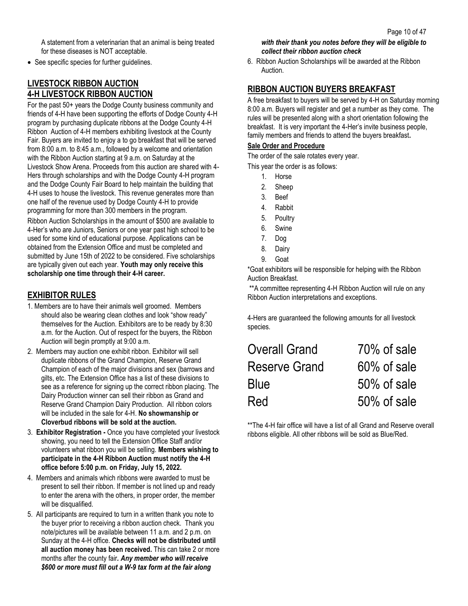A statement from a veterinarian that an animal is being treated for these diseases is NOT acceptable.

• See specific species for further guidelines.

## **LIVESTOCK RIBBON AUCTION 4-H LIVESTOCK RIBBON AUCTION**

For the past 50+ years the Dodge County business community and friends of 4-H have been supporting the efforts of Dodge County 4-H program by purchasing duplicate ribbons at the Dodge County 4-H Ribbon Auction of 4-H members exhibiting livestock at the County Fair. Buyers are invited to enjoy a to go breakfast that will be served from 8:00 a.m. to 8:45 a.m., followed by a welcome and orientation with the Ribbon Auction starting at 9 a.m. on Saturday at the Livestock Show Arena. Proceeds from this auction are shared with 4- Hers through scholarships and with the Dodge County 4-H program and the Dodge County Fair Board to help maintain the building that 4-H uses to house the livestock. This revenue generates more than one half of the revenue used by Dodge County 4-H to provide programming for more than 300 members in the program.

Ribbon Auction Scholarships in the amount of \$500 are available to 4-Her's who are Juniors, Seniors or one year past high school to be used for some kind of educational purpose. Applications can be obtained from the Extension Office and must be completed and submitted by June 15th of 2022 to be considered. Five scholarships are typically given out each year. **Youth may only receive this scholarship one time through their 4-H career.**

## **EXHIBITOR RULES**

- 1. Members are to have their animals well groomed. Members should also be wearing clean clothes and look "show ready" themselves for the Auction. Exhibitors are to be ready by 8:30 a.m. for the Auction. Out of respect for the buyers, the Ribbon Auction will begin promptly at 9:00 a.m.
- 2. Members may auction one exhibit ribbon. Exhibitor will sell duplicate ribbons of the Grand Champion, Reserve Grand Champion of each of the major divisions and sex (barrows and gilts, etc. The Extension Office has a list of these divisions to see as a reference for signing up the correct ribbon placing. The Dairy Production winner can sell their ribbon as Grand and Reserve Grand Champion Dairy Production. All ribbon colors will be included in the sale for 4-H. **No showmanship or Cloverbud ribbons will be sold at the auction.**
- 3. **Exhibitor Registration -** Once you have completed your livestock showing, you need to tell the Extension Office Staff and/or volunteers what ribbon you will be selling. **Members wishing to participate in the 4-H Ribbon Auction must notify the 4-H office before 5:00 p.m. on Friday, July 15, 2022.**
- 4. Members and animals which ribbons were awarded to must be present to sell their ribbon. If member is not lined up and ready to enter the arena with the others, in proper order, the member will be disqualified.
- 5. All participants are required to turn in a written thank you note to the buyer prior to receiving a ribbon auction check. Thank you note/pictures will be available between 11 a.m. and 2 p.m. on Sunday at the 4-H office. **Checks will not be distributed until all auction money has been received.** This can take 2 or more months after the county fair*. Any member who will receive \$600 or more must fill out a W-9 tax form at the fair along*

### *with their thank you notes before they will be eligible to collect their ribbon auction check*

6. Ribbon Auction Scholarships will be awarded at the Ribbon Auction.

## **RIBBON AUCTION BUYERS BREAKFAST**

A free breakfast to buyers will be served by 4-H on Saturday morning 8:00 a.m. Buyers will register and get a number as they come. The rules will be presented along with a short orientation following the breakfast. It is very important the 4-Her's invite business people, family members and friends to attend the buyers breakfast**.**

#### **Sale Order and Procedure**

The order of the sale rotates every year.

This year the order is as follows:

- 1. Horse
- 2. Sheep
- 3. Beef
- 4. Rabbit
- 5. Poultry
- 6. Swine
- 7. Dog
- 8. Dairy
- 9. Goat

\*Goat exhibitors will be responsible for helping with the Ribbon Auction Breakfast.

\*\*A committee representing 4-H Ribbon Auction will rule on any Ribbon Auction interpretations and exceptions.

4-Hers are guaranteed the following amounts for all livestock species.

| <b>Overall Grand</b> | 70% of sale    |
|----------------------|----------------|
| Reserve Grand        | 60% of sale    |
| Blue                 | $50\%$ of sale |
| Red                  | 50% of sale    |

\*\*The 4-H fair office will have a list of all Grand and Reserve overall ribbons eligible. All other ribbons will be sold as Blue/Red.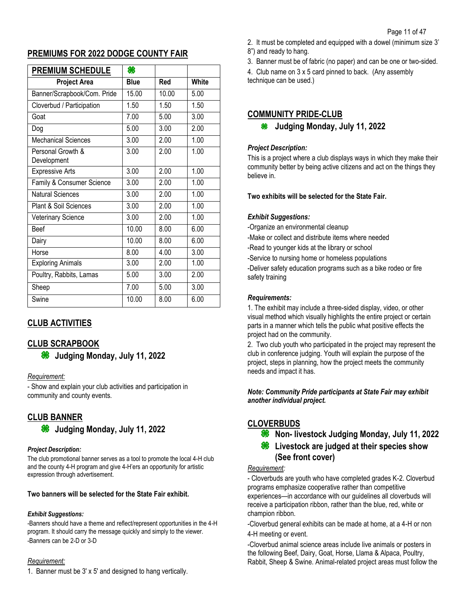## **PREMIUMS FOR 2022 DODGE COUNTY FAIR**

| <b>PREMIUM SCHEDULE</b>          | 86          |       |              |
|----------------------------------|-------------|-------|--------------|
| <b>Project Area</b>              | <b>Blue</b> | Red   | <b>White</b> |
| Banner/Scrapbook/Com. Pride      | 15.00       | 10.00 | 5.00         |
| Cloverbud / Participation        | 1.50        | 1.50  | 1.50         |
| Goat                             | 7.00        | 5.00  | 3.00         |
| Dog                              | 5.00        | 3.00  | 2.00         |
| <b>Mechanical Sciences</b>       | 3.00        | 2.00  | 1.00         |
| Personal Growth &<br>Development | 3.00        | 2.00  | 1.00         |
| <b>Expressive Arts</b>           | 3.00        | 2.00  | 1.00         |
| Family & Consumer Science        | 3.00        | 2.00  | 1.00         |
| <b>Natural Sciences</b>          | 3.00        | 2.00  | 1.00         |
| Plant & Soil Sciences            | 3.00        | 2.00  | 1.00         |
| Veterinary Science               | 3.00        | 2.00  | 1.00         |
| <b>Beef</b>                      | 10.00       | 8.00  | 6.00         |
| Dairy                            | 10.00       | 8.00  | 6.00         |
| Horse                            | 8.00        | 4.00  | 3.00         |
| <b>Exploring Animals</b>         | 3.00        | 2.00  | 1.00         |
| Poultry, Rabbits, Lamas          | 5.00        | 3.00  | 2.00         |
| Sheep                            | 7.00        | 5.00  | 3.00         |
| Swine                            | 10.00       | 8.00  | 6.00         |

## **CLUB ACTIVITIES**

## **CLUB SCRAPBOOK**

83 **Judging Monday, July 11, 2022**

#### *Requirement:*

- Show and explain your club activities and participation in community and county events.

## **CLUB BANNER**

**Judging Monday, July 11, 2022**

#### *Project Description:*

The club promotional banner serves as a tool to promote the local 4-H club and the county 4-H program and give 4-H'ers an opportunity for artistic expression through advertisement.

#### **Two banners will be selected for the State Fair exhibit***.*

#### *Exhibit Suggestions:*

-Banners should have a theme and reflect/represent opportunities in the 4-H program. It should carry the message quickly and simply to the viewer. -Banners can be 2-D or 3-D

#### *Requirement:*

1. Banner must be 3' x 5' and designed to hang vertically.

- 2. It must be completed and equipped with a dowel (minimum size 3'
- 8") and ready to hang.

3. Banner must be of fabric (no paper) and can be one or two-sided.

4. Club name on 3 x 5 card pinned to back. (Any assembly technique can be used.)

## **COMMUNITY PRIDE-CLUB**

**Judging Monday, July 11, 2022**

### *Project Description:*

This is a project where a club displays ways in which they make their community better by being active citizens and act on the things they believe in.

**Two exhibits will be selected for the State Fair.**

### *Exhibit Suggestions:*

-Organize an environmental cleanup

-Make or collect and distribute items where needed

-Read to younger kids at the library or school

-Service to nursing home or homeless populations

-Deliver safety education programs such as a bike rodeo or fire safety training

### *Requirements:*

1. The exhibit may include a three-sided display, video, or other visual method which visually highlights the entire project or certain parts in a manner which tells the public what positive effects the project had on the community.

2. Two club youth who participated in the project may represent the club in conference judging. Youth will explain the purpose of the project, steps in planning, how the project meets the community needs and impact it has.

#### *Note: Community Pride participants at State Fair may exhibit another individual project.*

## **CLOVERBUDS**

**We Non-Investock Judging Monday, July 11, 2022** 

## **<sup>86</sup>** Livestock are judged at their species show **(See front cover)**

#### *Requirement:*

- Cloverbuds are youth who have completed grades K-2. Cloverbud programs emphasize cooperative rather than competitive experiences—in accordance with our guidelines all cloverbuds will receive a participation ribbon, rather than the blue, red, white or champion ribbon.

-Cloverbud general exhibits can be made at home, at a 4-H or non 4-H meeting or event.

-Cloverbud animal science areas include live animals or posters in the following Beef, Dairy, Goat, Horse, Llama & Alpaca, Poultry, Rabbit, Sheep & Swine. Animal-related project areas must follow the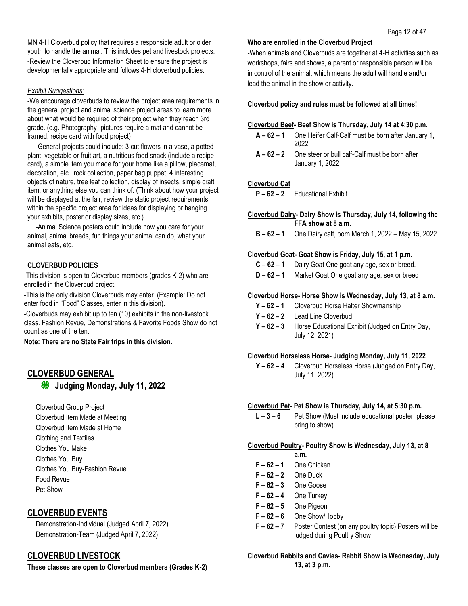MN 4-H Cloverbud policy that requires a responsible adult or older youth to handle the animal. This includes pet and livestock projects. -Review the Cloverbud Information Sheet to ensure the project is developmentally appropriate and follows 4-H cloverbud policies.

### *Exhibit Suggestions:*

-We encourage cloverbuds to review the project area requirements in the general project and animal science project areas to learn more about what would be required of their project when they reach 3rd grade. (e.g. Photography- pictures require a mat and cannot be framed, recipe card with food project)

-General projects could include: 3 cut flowers in a vase, a potted plant, vegetable or fruit art, a nutritious food snack (include a recipe card), a simple item you made for your home like a pillow, placemat, decoration, etc., rock collection, paper bag puppet, 4 interesting objects of nature, tree leaf collection, display of insects, simple craft item, or anything else you can think of. (Think about how your project will be displayed at the fair, review the static project requirements within the specific project area for ideas for displaying or hanging your exhibits, poster or display sizes, etc.)

-Animal Science posters could include how you care for your animal, animal breeds, fun things your animal can do, what your animal eats, etc.

## **CLOVERBUD POLICIES**

-This division is open to Cloverbud members (grades K-2) who are enrolled in the Cloverbud project.

-This is the only division Cloverbuds may enter. (Example: Do not enter food in "Food" Classes, enter in this division).

-Cloverbuds may exhibit up to ten (10) exhibits in the non-livestock class. Fashion Revue, Demonstrations & Favorite Foods Show do not count as one of the ten.

**Note: There are no State Fair trips in this division.**

## **CLOVERBUD GENERAL**

**Judging Monday, July 11, 2022**

Cloverbud Group Project Cloverbud Item Made at Meeting Cloverbud Item Made at Home Clothing and Textiles Clothes You Make Clothes You Buy Clothes You Buy-Fashion Revue Food Revue Pet Show

## **CLOVERBUD EVENTS**

Demonstration-Individual (Judged April 7, 2022) Demonstration-Team (Judged April 7, 2022)

## **CLOVERBUD LIVESTOCK**

**These classes are open to Cloverbud members (Grades K-2)** 

## **Who are enrolled in the Cloverbud Project**

-When animals and Cloverbuds are together at 4-H activities such as workshops, fairs and shows, a parent or responsible person will be in control of the animal, which means the adult will handle and/or lead the animal in the show or activity.

**Cloverbud policy and rules must be followed at all times!**

## **Cloverbud Beef- Beef Show is Thursday, July 14 at 4:30 p.m.**

- **A – 62 – 1** One Heifer Calf-Calf must be born after January 1, 2022
- **A – 62 – 2** One steer or bull calf-Calf must be born after January 1, 2022

## **Cloverbud Cat**

**P – 62 – 2** Educational Exhibit

## **Cloverbud Dairy- Dairy Show is Thursday, July 14, following the FFA show at 8 a.m.**

**B – 62 – 1** One Dairy calf, born March 1, 2022 – May 15, 2022

## **Cloverbud Goat- Goat Show is Friday, July 15, at 1 p.m.**

- **C – 62 – 1** Dairy Goat One goat any age, sex or breed.
- **D – 62 – 1** Market Goat One goat any age, sex or breed

## **Cloverbud Horse- Horse Show is Wednesday, July 13, at 8 a.m.**

- **Y – 62 – 1** Cloverbud Horse Halter Showmanship
- **Y – 62 – 2** Lead Line Cloverbud
- **Y – 62 – 3** Horse Educational Exhibit (Judged on Entry Day, July 12, 2021)

## **Cloverbud Horseless Horse- Judging Monday, July 11, 2022**

**Y – 62 – 4** Cloverbud Horseless Horse (Judged on Entry Day, July 11, 2022)

## **Cloverbud Pet- Pet Show is Thursday, July 14, at 5:30 p.m.**

**L – 3 – 6** Pet Show (Must include educational poster, please bring to show)

## **Cloverbud Poultry- Poultry Show is Wednesday, July 13, at 8**

- **a.m.**
- **F – 62 – 1** One Chicken
- **F – 62 – 2** One Duck
- **F – 62 – 3** One Goose
- **F – 62 – 4** One Turkey
- **F – 62 – 5** One Pigeon
- **F – 62 – 6** One Show/Hobby
- **F – 62 – 7** Poster Contest (on any poultry topic) Posters will be judged during Poultry Show

#### **Cloverbud Rabbits and Cavies- Rabbit Show is Wednesday, July 13, at 3 p.m.**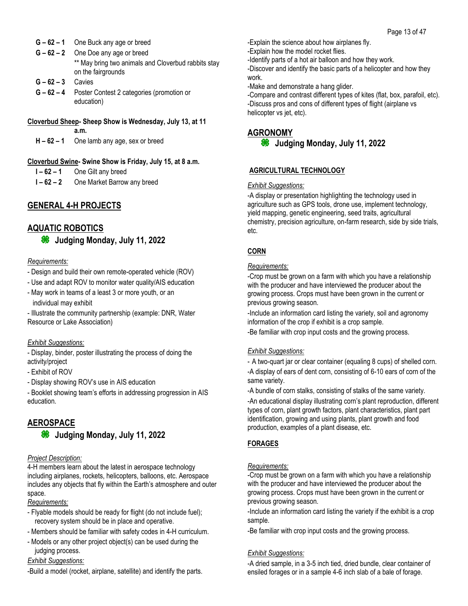- **G – 62 – 1** One Buck any age or breed
- **G – 62 – 2** One Doe any age or breed \*\* May bring two animals and Cloverbud rabbits stay on the fairgrounds
- **G – 62 – 3** Cavies
- **G – 62 – 4** Poster Contest 2 categories (promotion or education)
- **Cloverbud Sheep- Sheep Show is Wednesday, July 13, at 11 a.m.**
	- **H – 62 – 1** One lamb any age, sex or breed

## **Cloverbud Swine- Swine Show is Friday, July 15, at 8 a.m.**

- **I – 62 – 1** One Gilt any breed
- **I – 62 – 2** One Market Barrow any breed

## **GENERAL 4-H PROJECTS**

## **AQUATIC ROBOTICS**

**Judging Monday, July 11, 2022**

#### *Requirements:*

- Design and build their own remote-operated vehicle (ROV)
- Use and adapt ROV to monitor water quality/AIS education
- May work in teams of a least 3 or more youth, or an individual may exhibit
- Illustrate the community partnership (example: DNR, Water Resource or Lake Association)

#### *Exhibit Suggestions:*

- Display, binder, poster illustrating the process of doing the activity/project

- Exhibit of ROV
- Display showing ROV's use in AIS education
- Booklet showing team's efforts in addressing progression in AIS education.

## **AEROSPACE**

**Judging Monday, July 11, 2022**

#### *Project Description:*

4-H members learn about the latest in aerospace technology including airplanes, rockets, helicopters, balloons, etc. Aerospace includes any objects that fly within the Earth's atmosphere and outer space.

#### *Requirements:*

- Flyable models should be ready for flight (do not include fuel); recovery system should be in place and operative.
- Members should be familiar with safety codes in 4-H curriculum.
- Models or any other project object(s) can be used during the judging process.

#### *Exhibit Suggestions:*

-Build a model (rocket, airplane, satellite) and identify the parts.

-Explain the science about how airplanes fly.

-Explain how the model rocket flies.

-Identify parts of a hot air balloon and how they work.

-Discover and identify the basic parts of a helicopter and how they work.

-Make and demonstrate a hang glider.

-Compare and contrast different types of kites (flat, box, parafoil, etc). -Discuss pros and cons of different types of flight (airplane vs helicopter vs jet, etc).

## **AGRONOMY**

```
<sup>36</sup> Judging Monday, July 11, 2022
```
## **AGRICULTURAL TECHNOLOGY**

### *Exhibit Suggestions:*

-A display or presentation highlighting the technology used in agriculture such as GPS tools, drone use, implement technology, yield mapping, genetic engineering, seed traits, agricultural chemistry, precision agriculture, on-farm research, side by side trials, etc.

## **CORN**

#### *Requirements:*

-Crop must be grown on a farm with which you have a relationship with the producer and have interviewed the producer about the growing process. Crops must have been grown in the current or previous growing season.

-Include an information card listing the variety, soil and agronomy information of the crop if exhibit is a crop sample.

-Be familiar with crop input costs and the growing process.

#### *Exhibit Suggestions:*

- A two-quart jar or clear container (equaling 8 cups) of shelled corn. -A display of ears of dent corn, consisting of 6-10 ears of corn of the same variety.

-A bundle of corn stalks, consisting of stalks of the same variety. -An educational display illustrating corn's plant reproduction, different types of corn, plant growth factors, plant characteristics, plant part identification, growing and using plants, plant growth and food production, examples of a plant disease, etc.

## **FORAGES**

#### *Requirements:*

-Crop must be grown on a farm with which you have a relationship with the producer and have interviewed the producer about the growing process. Crops must have been grown in the current or previous growing season.

-Include an information card listing the variety if the exhibit is a crop sample.

-Be familiar with crop input costs and the growing process.

## *Exhibit Suggestions:*

-A dried sample, in a 3-5 inch tied, dried bundle, clear container of ensiled forages or in a sample 4-6 inch slab of a bale of forage.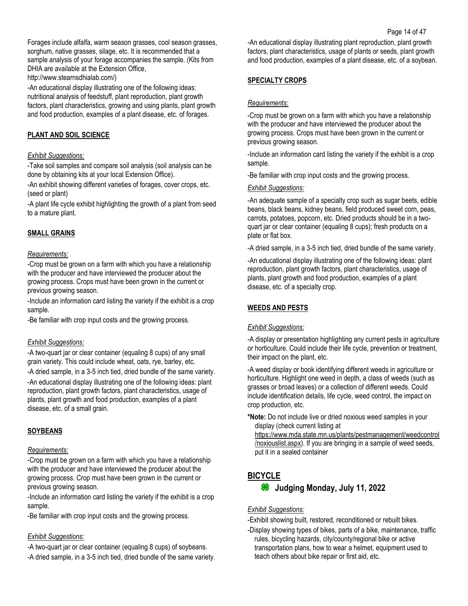Forages include alfalfa, warm season grasses, cool season grasses, sorghum, native grasses, silage, etc. It is recommended that a sample analysis of your forage accompanies the sample. (Kits from DHIA are available at the Extension Office,

http://www.stearnsdhialab.com/)

-An educational display illustrating one of the following ideas: nutritional analysis of feedstuff, plant reproduction, plant growth factors, plant characteristics, growing and using plants, plant growth and food production, examples of a plant disease, etc. of forages.

## **PLANT AND SOIL SCIENCE**

#### *Exhibit Suggestions:*

-Take soil samples and compare soil analysis (soil analysis can be done by obtaining kits at your local Extension Office).

-An exhibit showing different varieties of forages, cover crops, etc. (seed or plant)

-A plant life cycle exhibit highlighting the growth of a plant from seed to a mature plant.

## **SMALL GRAINS**

### *Requirements:*

-Crop must be grown on a farm with which you have a relationship with the producer and have interviewed the producer about the growing process. Crops must have been grown in the current or previous growing season.

-Include an information card listing the variety if the exhibit is a crop sample.

-Be familiar with crop input costs and the growing process.

#### *Exhibit Suggestions:*

-A two-quart jar or clear container (equaling 8 cups) of any small grain variety. This could include wheat, oats, rye, barley, etc. -A dried sample, in a 3-5 inch tied, dried bundle of the same variety. -An educational display illustrating one of the following ideas: plant reproduction, plant growth factors, plant characteristics, usage of plants, plant growth and food production, examples of a plant disease, etc. of a small grain.

## **SOYBEANS**

#### *Requirements:*

-Crop must be grown on a farm with which you have a relationship with the producer and have interviewed the producer about the growing process. Crop must have been grown in the current or previous growing season.

-Include an information card listing the variety if the exhibit is a crop sample.

-Be familiar with crop input costs and the growing process.

## *Exhibit Suggestions:*

-A two-quart jar or clear container (equaling 8 cups) of soybeans. -A dried sample, in a 3-5 inch tied, dried bundle of the same variety. -An educational display illustrating plant reproduction, plant growth factors, plant characteristics, usage of plants or seeds, plant growth and food production, examples of a plant disease, etc. of a soybean.

## **SPECIALTY CROPS**

### *Requirements:*

-Crop must be grown on a farm with which you have a relationship with the producer and have interviewed the producer about the growing process. Crops must have been grown in the current or previous growing season.

-Include an information card listing the variety if the exhibit is a crop sample.

-Be familiar with crop input costs and the growing process.

#### *Exhibit Suggestions:*

-An adequate sample of a specialty crop such as sugar beets, edible beans, black beans, kidney beans, field produced sweet corn, peas, carrots, potatoes, popcorn, etc. Dried products should be in a twoquart jar or clear container (equaling 8 cups); fresh products on a plate or flat box.

-A dried sample, in a 3-5 inch tied, dried bundle of the same variety.

-An educational display illustrating one of the following ideas: plant reproduction, plant growth factors, plant characteristics, usage of plants, plant growth and food production, examples of a plant disease, etc. of a specialty crop.

## **WEEDS AND PESTS**

## *Exhibit Suggestions:*

-A display or presentation highlighting any current pests in agriculture or horticulture. Could include their life cycle, prevention or treatment, their impact on the plant, etc.

-A weed display or book identifying different weeds in agriculture or horticulture. Highlight one weed in depth, a class of weeds (such as grasses or broad leaves) or a collection of different weeds. Could include identification details, life cycle, weed control, the impact on crop production, etc.

**\*Note:** Do not include live or dried noxious weed samples in your display (check current listing at

[https://www.mda.state.mn.us/plants/pestmanagement/weedcontrol](https://www.mda.state.mn.us/plants/pestmanagement/weedcontrol/noxiouslist.aspx) [/noxiouslist.aspx\)](https://www.mda.state.mn.us/plants/pestmanagement/weedcontrol/noxiouslist.aspx). If you are bringing in a sample of weed seeds, put it in a sealed container

## **BICYCLE**

## **<sup>86</sup>** Judging Monday, July 11, 2022

#### *Exhibit Suggestions:*

-Exhibit showing built, restored, reconditioned or rebuilt bikes.

-Display showing types of bikes, parts of a bike, maintenance, traffic rules, bicycling hazards, city/county/regional bike or active transportation plans, how to wear a helmet, equipment used to teach others about bike repair or first aid, etc.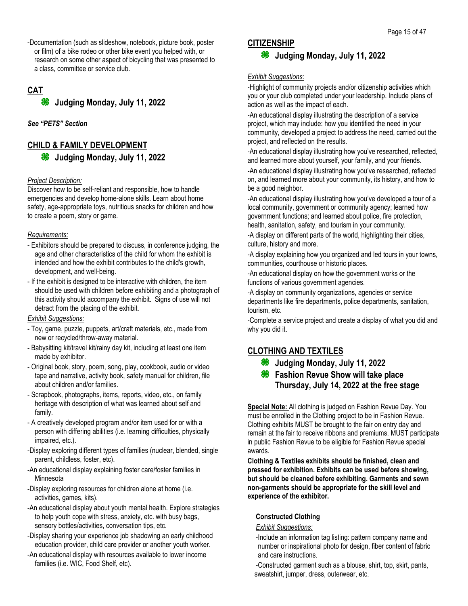-Documentation (such as slideshow, notebook, picture book, poster or film) of a bike rodeo or other bike event you helped with, or research on some other aspect of bicycling that was presented to a class, committee or service club.

## **CAT**

**Judging Monday, July 11, 2022**

*See "PETS" Section*

## **CHILD & FAMILY DEVELOPMENT Judging Monday, July 11, 2022**

#### *Project Description:*

Discover how to be self-reliant and responsible, how to handle emergencies and develop home-alone skills. Learn about home safety, age-appropriate toys, nutritious snacks for children and how to create a poem, story or game.

#### *Requirements:*

- Exhibitors should be prepared to discuss, in conference judging, the age and other characteristics of the child for whom the exhibit is intended and how the exhibit contributes to the child's growth, development, and well-being.
- If the exhibit is designed to be interactive with children, the item should be used with children before exhibiting and a photograph of this activity should accompany the exhibit. Signs of use will not detract from the placing of the exhibit.

#### *Exhibit Suggestions:*

- Toy, game, puzzle, puppets, art/craft materials, etc., made from new or recycled/throw-away material.
- Babysitting kit/travel kit/rainy day kit, including at least one item made by exhibitor.
- Original book, story, poem, song, play, cookbook, audio or video tape and narrative, activity book, safety manual for children, file about children and/or families.
- Scrapbook, photographs, items, reports, video, etc., on family heritage with description of what was learned about self and family.
- A creatively developed program and/or item used for or with a person with differing abilities (i.e. learning difficulties, physically impaired, etc.).
- -Display exploring different types of families (nuclear, blended, single parent, childless, foster, etc).
- -An educational display explaining foster care/foster families in Minnesota
- -Display exploring resources for children alone at home (i.e. activities, games, kits).
- -An educational display about youth mental health. Explore strategies to help youth cope with stress, anxiety, etc. with busy bags, sensory bottles/activities, conversation tips, etc.
- -Display sharing your experience job shadowing an early childhood education provider, child care provider or another youth worker.
- -An educational display with resources available to lower income families (i.e. WIC, Food Shelf, etc).

## **CITIZENSHIP**

## **<sup>86</sup>** Judging Monday, July 11, 2022

#### *Exhibit Suggestions:*

-Highlight of community projects and/or citizenship activities which you or your club completed under your leadership. Include plans of action as well as the impact of each.

-An educational display illustrating the description of a service project, which may include: how you identified the need in your community, developed a project to address the need, carried out the project, and reflected on the results.

-An educational display illustrating how you've researched, reflected, and learned more about yourself, your family, and your friends.

-An educational display illustrating how you've researched, reflected on, and learned more about your community, its history, and how to be a good neighbor.

-An educational display illustrating how you've developed a tour of a local community, government or community agency; learned how government functions; and learned about police, fire protection, health, sanitation, safety, and tourism in your community.

-A display on different parts of the world, highlighting their cities, culture, history and more.

-A display explaining how you organized and led tours in your towns, communities, courthouse or historic places.

-An educational display on how the government works or the functions of various government agencies.

-A display on community organizations, agencies or service departments like fire departments, police departments, sanitation, tourism, etc.

-Complete a service project and create a display of what you did and why you did it.

## **CLOTHING AND TEXTILES**

- **<sup>86</sup>** Judging Monday, July 11, 2022
- **<sup><b>**</sup> Fashion Revue Show will take place **Thursday, July 14, 2022 at the free stage**

**Special Note:** All clothing is judged on Fashion Revue Day. You must be enrolled in the Clothing project to be in Fashion Revue. Clothing exhibits MUST be brought to the fair on entry day and remain at the fair to receive ribbons and premiums. MUST participate in public Fashion Revue to be eligible for Fashion Revue special awards.

**Clothing & Textiles exhibits should be finished, clean and pressed for exhibition. Exhibits can be used before showing, but should be cleaned before exhibiting. Garments and sewn non-garments should be appropriate for the skill level and experience of the exhibitor.**

#### **Constructed Clothing**

#### *Exhibit Suggestions:*

-Include an information tag listing: pattern company name and number or inspirational photo for design, fiber content of fabric and care instructions.

-Constructed garment such as a blouse, shirt, top, skirt, pants, sweatshirt, jumper, dress, outerwear, etc.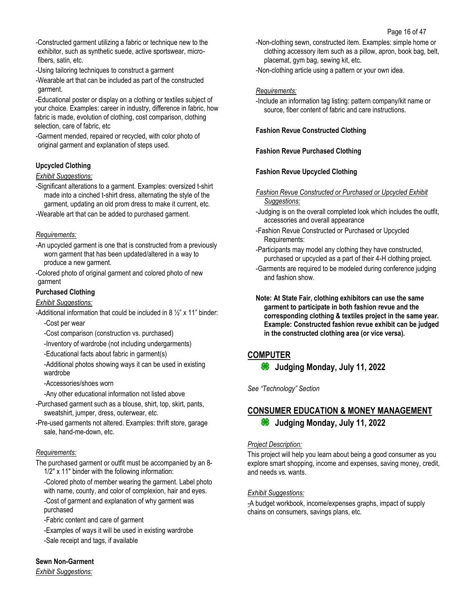-Constructed garment utilizing a fabric or technique new to the exhibitor, such as synthetic suede, active sportswear, microfibers, satin, etc.

-Using tailoring techniques to construct a garment

-Wearable art that can be included as part of the constructed garment.

-Educational poster or display on a clothing or textiles subject of your choice. Examples: career in industry, difference in fabric, how fabric is made, evolution of clothing, cost comparison, clothing selection, care of fabric, etc

-Garment mended, repaired or recycled, with color photo of original garment and explanation of steps used.

## **Upcycled Clothing**

### *Exhibit Suggestions:*

-Significant alterations to a garment. Examples: oversized t-shirt made into a cinched t-shirt dress, alternating the style of the garment, updating an old prom dress to make it current, etc.

-Wearable art that can be added to purchased garment.

### *Requirements:*

-An upcycled garment is one that is constructed from a previously worn garment that has been updated/altered in a way to produce a new garment.

-Colored photo of original garment and colored photo of new garment

### **Purchased Clothing**

## *Exhibit Suggestions:*

-Additional information that could be included in  $8\frac{1}{2}$ " x 11" binder: -Cost per wear

-Cost comparison (construction vs. purchased)

-Inventory of wardrobe (not including undergarments)

-Educational facts about fabric in garment(s)

-Additional photos showing ways it can be used in existing wardrobe

-Accessories/shoes worn

-Any other educational information not listed above

-Purchased garment such as a blouse, shirt, top, skirt, pants, sweatshirt, jumper, dress, outerwear, etc.

-Pre-used garments not altered. Examples: thrift store, garage sale, hand-me-down, etc.

#### *Requirements:*

The purchased garment or outfit must be accompanied by an 8- 1/2" x 11" binder with the following information:

-Colored photo of member wearing the garment. Label photo with name, county, and color of complexion, hair and eyes. -Cost of garment and explanation of why garment was purchased

-Fabric content and care of garment

-Examples of ways it will be used in existing wardrobe -Sale receipt and tags, if available

**Sewn Non-Garment**

*Exhibit Suggestions:*

-Non-clothing sewn, constructed item. Examples: simple home or clothing accessory item such as a pillow, apron, book bag, belt, placemat, gym bag, sewing kit, etc.

-Non-clothing article using a pattern or your own idea.

### *Requirements:*

-Include an information tag listing: pattern company/kit name or source, fiber content of fabric and care instructions.

### **Fashion Revue Constructed Clothing**

### **Fashion Revue Purchased Clothing**

### **Fashion Revue Upcycled Clothing**

*Fashion Revue Constructed or Purchased or Upcycled Exhibit Suggestions:*

- -Judging is on the overall completed look which includes the outfit, accessories and overall appearance
- -Fashion Revue Constructed or Purchased or Upcycled Requirements:
- -Participants may model any clothing they have constructed, purchased or upcycled as a part of their 4-H clothing project.
- -Garments are required to be modeled during conference judging and fashion show.

**Note: At State Fair, clothing exhibitors can use the same garment to participate in both fashion revue and the corresponding clothing & textiles project in the same year. Example: Constructed fashion revue exhibit can be judged in the constructed clothing area (or vice versa).**

## **COMPUTER**

**Judging Monday, July 11, 2022**

*See "Technology" Section*

## **CONSUMER EDUCATION & MONEY MANAGEMENT Judging Monday, July 11, 2022**

#### *Project Description:*

This project will help you learn about being a good consumer as you explore smart shopping, income and expenses, saving money, credit, and needs vs. wants.

#### *Exhibit Suggestions:*

*-*A budget workbook, income/expenses graphs, impact of supply chains on consumers, savings plans, etc.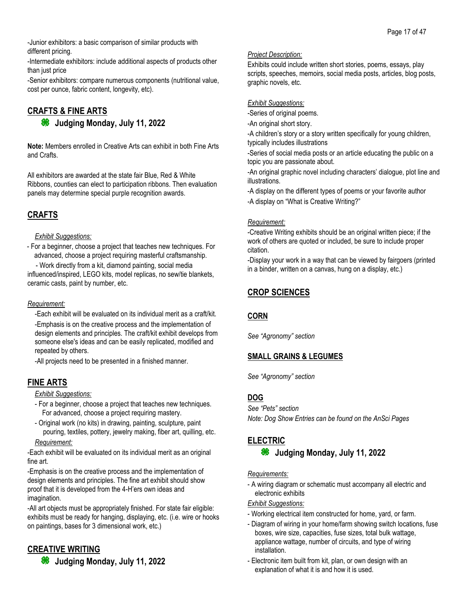-Junior exhibitors: a basic comparison of similar products with different pricing.

-Intermediate exhibitors: include additional aspects of products other than just price

-Senior exhibitors: compare numerous components (nutritional value, cost per ounce, fabric content, longevity, etc).

## **CRAFTS & FINE ARTS Judging Monday, July 11, 2022**

**Note:** Members enrolled in Creative Arts can exhibit in both Fine Arts and Crafts.

All exhibitors are awarded at the state fair Blue, Red & White Ribbons, counties can elect to participation ribbons. Then evaluation panels may determine special purple recognition awards.

## **CRAFTS**

#### *Exhibit Suggestions:*

- For a beginner, choose a project that teaches new techniques. For advanced, choose a project requiring masterful craftsmanship.

- Work directly from a kit, diamond painting, social media influenced/inspired, LEGO kits, model replicas, no sew/tie blankets, ceramic casts, paint by number, etc.

### *Requirement:*

-Each exhibit will be evaluated on its individual merit as a craft/kit. -Emphasis is on the creative process and the implementation of design elements and principles. The craft/kit exhibit develops from someone else's ideas and can be easily replicated, modified and repeated by others.

-All projects need to be presented in a finished manner.

## **FINE ARTS**

*Exhibit Suggestions:*

- For a beginner, choose a project that teaches new techniques. For advanced, choose a project requiring mastery.
- Original work (no kits) in drawing, painting, sculpture, paint pouring, textiles, pottery, jewelry making, fiber art, quilling, etc. *Requirement:*

-Each exhibit will be evaluated on its individual merit as an original fine art.

-Emphasis is on the creative process and the implementation of design elements and principles. The fine art exhibit should show proof that it is developed from the 4-H'ers own ideas and imagination.

-All art objects must be appropriately finished. For state fair eligible: exhibits must be ready for hanging, displaying, etc. (i.e. wire or hooks on paintings, bases for 3 dimensional work, etc.)

## **CREATIVE WRITING**

**<sup>86</sup>** Judging Monday, July 11, 2022

## *Project Description:*

Exhibits could include written short stories, poems, essays, play scripts, speeches, memoirs, social media posts, articles, blog posts, graphic novels, etc.

## *Exhibit Suggestions:*

-Series of original poems.

-An original short story.

-A children's story or a story written specifically for young children, typically includes illustrations

-Series of social media posts or an article educating the public on a topic you are passionate about.

-An original graphic novel including characters' dialogue, plot line and illustrations.

-A display on the different types of poems or your favorite author -A display on "What is Creative Writing?"

## *Requirement:*

-Creative Writing exhibits should be an original written piece; if the work of others are quoted or included, be sure to include proper citation.

-Display your work in a way that can be viewed by fairgoers (printed in a binder, written on a canvas, hung on a display, etc.)

## **CROP SCIENCES**

## **CORN**

*See "Agronomy" section*

## **SMALL GRAINS & LEGUMES**

*See "Agronomy" section*

## **DOG**

*See "Pets" section Note: Dog Show Entries can be found on the AnSci Pages*

## **ELECTRIC**

## **<sup>86</sup>** Judging Monday, July 11, 2022

#### *Requirements:*

- A wiring diagram or schematic must accompany all electric and electronic exhibits

## *Exhibit Suggestions:*

- Working electrical item constructed for home, yard, or farm.
- Diagram of wiring in your home/farm showing switch locations, fuse boxes, wire size, capacities, fuse sizes, total bulk wattage, appliance wattage, number of circuits, and type of wiring installation.
- Electronic item built from kit, plan, or own design with an explanation of what it is and how it is used.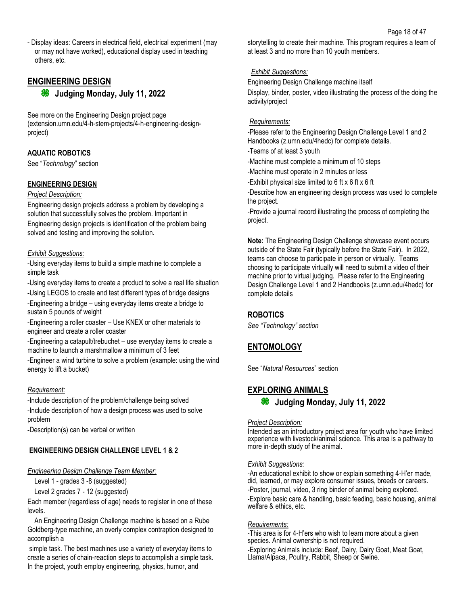- Display ideas: Careers in electrical field, electrical experiment (may or may not have worked), educational display used in teaching others, etc.

## **ENGINEERING DESIGN**

**<sup>8</sup>** Judging Monday, July 11, 2022

See more on the Engineering Design project page (extension.umn.edu/4-h-stem-projects/4-h-engineering-designproject)

## **AQUATIC ROBOTICS**

See "*Technology*" section

#### **ENGINEERING DESIGN**

#### *Project Description:*

Engineering design projects address a problem by developing a solution that successfully solves the problem. Important in Engineering design projects is identification of the problem being solved and testing and improving the solution.

#### *Exhibit Suggestions:*

-Using everyday items to build a simple machine to complete a simple task

-Using everyday items to create a product to solve a real life situation

-Using LEGOS to create and test different types of bridge designs -Engineering a bridge – using everyday items create a bridge to sustain 5 pounds of weight

-Engineering a roller coaster – Use KNEX or other materials to engineer and create a roller coaster

-Engineering a catapult/trebuchet – use everyday items to create a machine to launch a marshmallow a minimum of 3 feet

-Engineer a wind turbine to solve a problem (example: using the wind energy to lift a bucket)

## *Requirement:*

-Include description of the problem/challenge being solved -Include description of how a design process was used to solve problem

-Description(s) can be verbal or written

## **ENGINEERING DESIGN CHALLENGE LEVEL 1 & 2**

*Engineering Design Challenge Team Member:*

Level 1 - grades 3 -8 (suggested)

Level 2 grades 7 - 12 (suggested)

Each member (regardless of age) needs to register in one of these levels.

 An Engineering Design Challenge machine is based on a Rube Goldberg-type machine, an overly complex contraption designed to accomplish a

simple task. The best machines use a variety of everyday items to create a series of chain-reaction steps to accomplish a simple task. In the project, youth employ engineering, physics, humor, and

storytelling to create their machine. This program requires a team of at least 3 and no more than 10 youth members.

### *Exhibit Suggestions:*

Engineering Design Challenge machine itself Display, binder, poster, video illustrating the process of the doing the activity/project

### *Requirements:*

-Please refer to the Engineering Design Challenge Level 1 and 2 Handbooks (z.umn.edu/4hedc) for complete details.

- -Teams of at least 3 youth
- -Machine must complete a minimum of 10 steps
- -Machine must operate in 2 minutes or less
- -Exhibit physical size limited to  $6$  ft  $x$  6 ft  $x$  6 ft

-Describe how an engineering design process was used to complete the project.

-Provide a journal record illustrating the process of completing the project.

**Note:** The Engineering Design Challenge showcase event occurs outside of the State Fair (typically before the State Fair). In 2022, teams can choose to participate in person or virtually. Teams choosing to participate virtually will need to submit a video of their machine prior to virtual judging. Please refer to the Engineering Design Challenge Level 1 and 2 Handbooks (z.umn.edu/4hedc) for complete details

## **ROBOTICS**

*See "Technology" section*

## **ENTOMOLOGY**

See "*Natural Resources*" section

## **EXPLORING ANIMALS**

**Judging Monday, July 11, 2022**

#### *Project Description:*

Intended as an introductory project area for youth who have limited experience with livestock/animal science. This area is a pathway to more in-depth study of the animal.

#### *Exhibit Suggestions:*

-An educational exhibit to show or explain something 4-H'er made, did, learned, or may explore consumer issues, breeds or careers. -Poster, journal, video, 3 ring binder of animal being explored. -Explore basic care & handling, basic feeding, basic housing, animal welfare & ethics, etc.

#### *Requirements:*

-This area is for 4-H'ers who wish to learn more about a given species. Animal ownership is not required. -Exploring Animals include: Beef, Dairy, Dairy Goat, Meat Goat, Llama/Alpaca, Poultry, Rabbit, Sheep or Swine.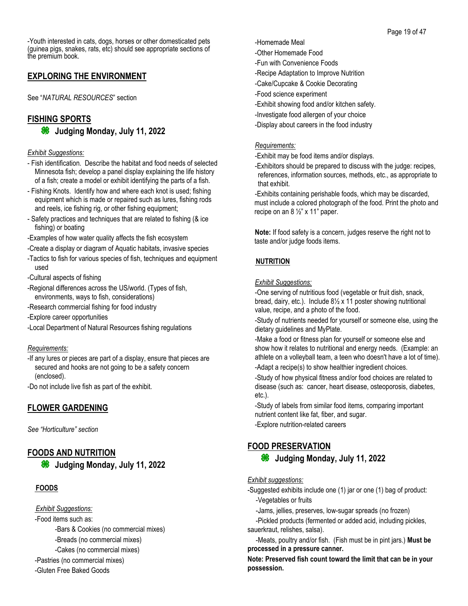-Youth interested in cats, dogs, horses or other domesticated pets (guinea pigs, snakes, rats, etc) should see appropriate sections of the premium book.

## **EXPLORING THE ENVIRONMENT**

See "*NATURAL RESOURCES*" section

# **FISHING SPORTS**

**<sup>86</sup>** Judging Monday, July 11, 2022

#### *Exhibit Suggestions:*

- Fish identification. Describe the habitat and food needs of selected Minnesota fish; develop a panel display explaining the life history of a fish; create a model or exhibit identifying the parts of a fish.
- Fishing Knots. Identify how and where each knot is used; fishing equipment which is made or repaired such as lures, fishing rods and reels, ice fishing rig, or other fishing equipment;
- Safety practices and techniques that are related to fishing (& ice fishing) or boating
- -Examples of how water quality affects the fish ecosystem
- -Create a display or diagram of Aquatic habitats, invasive species
- -Tactics to fish for various species of fish, techniques and equipment used
- -Cultural aspects of fishing
- -Regional differences across the US/world. (Types of fish, environments, ways to fish, considerations)
- -Research commercial fishing for food industry
- -Explore career opportunities
- -Local Department of Natural Resources fishing regulations

#### *Requirements:*

-If any lures or pieces are part of a display, ensure that pieces are secured and hooks are not going to be a safety concern (enclosed).

-Do not include live fish as part of the exhibit.

## **FLOWER GARDENING**

*See "Horticulture" section*

## **FOODS AND NUTRITION**

**<sup>86</sup>** Judging Monday, July 11, 2022

## **FOODS**

### *Exhibit Suggestions:*

-Food items such as:

-Bars & Cookies (no commercial mixes)

- -Breads (no commercial mixes)
- -Cakes (no commercial mixes)
- -Pastries (no commercial mixes)
- -Gluten Free Baked Goods
- -Homemade Meal
- -Other Homemade Food
- -Fun with Convenience Foods
- -Recipe Adaptation to Improve Nutrition
- -Cake/Cupcake & Cookie Decorating
- -Food science experiment
- -Exhibit showing food and/or kitchen safety.
- -Investigate food allergen of your choice
- -Display about careers in the food industry

#### *Requirements:*

-Exhibit may be food items and/or displays.

-Exhibitors should be prepared to discuss with the judge: recipes, references, information sources, methods, etc., as appropriate to that exhibit.

-Exhibits containing perishable foods, which may be discarded, must include a colored photograph of the food. Print the photo and recipe on an  $8\frac{1}{2}$  x 11" paper.

**Note:** If food safety is a concern, judges reserve the right not to taste and/or judge foods items.

## **NUTRITION**

#### *Exhibit Suggestions:*

-One serving of nutritious food (vegetable or fruit dish, snack, bread, dairy, etc.). Include 8½ x 11 poster showing nutritional value, recipe, and a photo of the food.

-Study of nutrients needed for yourself or someone else, using the dietary guidelines and MyPlate.

-Make a food or fitness plan for yourself or someone else and show how it relates to nutritional and energy needs. (Example: an athlete on a volleyball team, a teen who doesn't have a lot of time). -Adapt a recipe(s) to show healthier ingredient choices.

-Study of how physical fitness and/or food choices are related to disease (such as: cancer, heart disease, osteoporosis, diabetes, etc.).

-Study of labels from similar food items, comparing important nutrient content like fat, fiber, and sugar.

-Explore nutrition-related careers

## **FOOD PRESERVATION**

## **Judging Monday, July 11, 2022**

#### *Exhibit suggestions:*

- -Suggested exhibits include one (1) jar or one (1) bag of product: -Vegetables or fruits
	- -Jams, jellies, preserves, low-sugar spreads (no frozen)

-Pickled products (fermented or added acid, including pickles, sauerkraut, relishes, salsa).

-Meats, poultry and/or fish. (Fish must be in pint jars.) **Must be processed in a pressure canner.**

**Note: Preserved fish count toward the limit that can be in your possession.**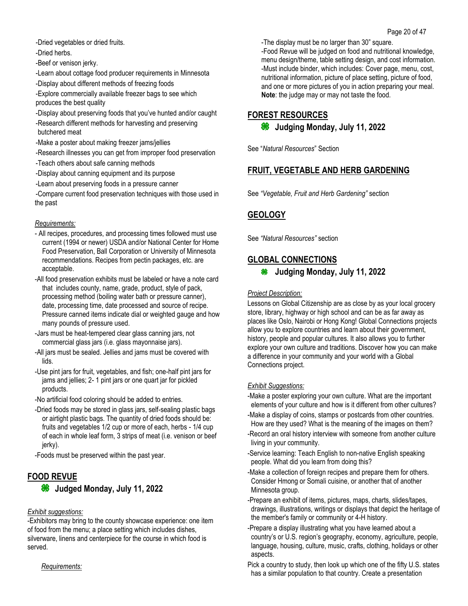- -Dried vegetables or dried fruits.
- -Dried herbs.

-Beef or venison jerky.

- -Learn about cottage food producer requirements in Minnesota
- -Display about different methods of freezing foods
- -Explore commercially available freezer bags to see which produces the best quality
- -Display about preserving foods that you've hunted and/or caught
- -Research different methods for harvesting and preserving butchered meat
- -Make a poster about making freezer jams/jellies
- -Research illnesses you can get from improper food preservation
- -Teach others about safe canning methods
- -Display about canning equipment and its purpose
- -Learn about preserving foods in a pressure canner
- -Compare current food preservation techniques with those used in the past

## *Requirements:*

- All recipes, procedures, and processing times followed must use current (1994 or newer) USDA and/or National Center for Home Food Preservation, Ball Corporation or University of Minnesota recommendations. Recipes from pectin packages, etc. are acceptable.
- -All food preservation exhibits must be labeled or have a note card that includes county, name, grade, product, style of pack, processing method (boiling water bath or pressure canner), date, processing time, date processed and source of recipe. Pressure canned items indicate dial or weighted gauge and how many pounds of pressure used.
- -Jars must be heat-tempered clear glass canning jars, not commercial glass jars (i.e. glass mayonnaise jars).
- -All jars must be sealed. Jellies and jams must be covered with lids.
- -Use pint jars for fruit, vegetables, and fish; one-half pint jars for jams and jellies; 2- 1 pint jars or one quart jar for pickled products.
- -No artificial food coloring should be added to entries.
- -Dried foods may be stored in glass jars, self-sealing plastic bags or airtight plastic bags. The quantity of dried foods should be: fruits and vegetables 1/2 cup or more of each, herbs - 1/4 cup of each in whole leaf form, 3 strips of meat (i.e. venison or beef jerky).
- -Foods must be preserved within the past year.

## **FOOD REVUE**

**<sup>36</sup>** Judged Monday, July 11, 2022

## *Exhibit suggestions:*

-Exhibitors may bring to the county showcase experience: one item of food from the menu; a place setting which includes dishes, silverware, linens and centerpiece for the course in which food is served.

#### *Requirements:*

-The display must be no larger than 30" square.

-Food Revue will be judged on food and nutritional knowledge, menu design/theme, table setting design, and cost information. -Must include binder, which includes: Cover page, menu, cost, nutritional information, picture of place setting, picture of food, and one or more pictures of you in action preparing your meal. **Note**: the judge may or may not taste the food.

## **FOREST RESOURCES**

```
Judging Monday, July 11, 2022
```
See "*Natural Resources*" Section

## **FRUIT, VEGETABLE AND HERB GARDENING**

See *"Vegetable, Fruit and Herb Gardening"* section

## **GEOLOGY**

See *"Natural Resources"* section

## **GLOBAL CONNECTIONS**

## *Project Description:*

Lessons on Global Citizenship are as close by as your local grocery store, library, highway or high school and can be as far away as places like Oslo, Nairobi or Hong Kong! Global Connections projects allow you to explore countries and learn about their government, history, people and popular cultures. It also allows you to further explore your own culture and traditions. Discover how you can make a difference in your community and your world with a Global Connections project.

## *Exhibit Suggestions:*

-Make a poster exploring your own culture. What are the important elements of your culture and how is it different from other cultures?

- -Make a display of coins, stamps or postcards from other countries. How are they used? What is the meaning of the images on them?
- -Record an oral history interview with someone from another culture living in your community.
- -Service learning: Teach English to non-native English speaking people. What did you learn from doing this?
- -Make a collection of foreign recipes and prepare them for others. Consider Hmong or Somali cuisine, or another that of another Minnesota group.
- -Prepare an exhibit of items, pictures, maps, charts, slides/tapes, drawings, illustrations, writings or displays that depict the heritage of the member's family or community or 4-H history.
- -Prepare a display illustrating what you have learned about a country's or U.S. region's geography, economy, agriculture, people, language, housing, culture, music, crafts, clothing, holidays or other aspects.
- Pick a country to study, then look up which one of the fifty U.S. states has a similar population to that country. Create a presentation

**Judging Monday, July 11, 2022**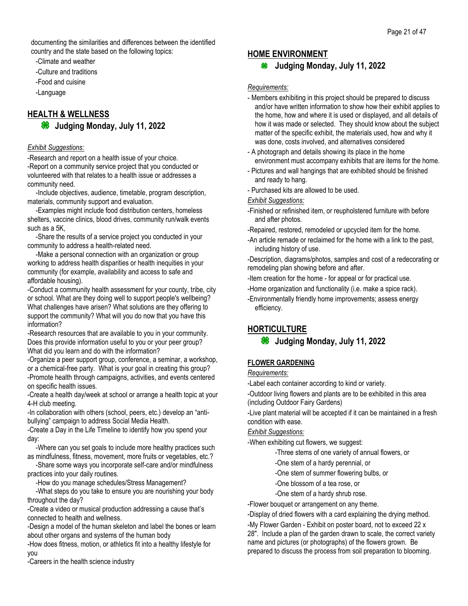documenting the similarities and differences between the identified country and the state based on the following topics:

-Climate and weather

-Culture and traditions

-Food and cuisine

-Language

## **HEALTH & WELLNESS Judging Monday, July 11, 2022**

### *Exhibit Suggestions:*

-Research and report on a health issue of your choice. -Report on a community service project that you conducted or volunteered with that relates to a health issue or addresses a community need.

-Include objectives, audience, timetable, program description, materials, community support and evaluation.

-Examples might include food distribution centers, homeless shelters, vaccine clinics, blood drives, community run/walk events such as a 5K,

-Share the results of a service project you conducted in your community to address a health-related need.

-Make a personal connection with an organization or group working to address health disparities or health inequities in your community (for example, availability and access to safe and affordable housing).

-Conduct a community health assessment for your county, tribe, city or school. What are they doing well to support people's wellbeing? What challenges have arisen? What solutions are they offering to support the community? What will you do now that you have this information?

-Research resources that are available to you in your community. Does this provide information useful to you or your peer group? What did you learn and do with the information?

-Organize a peer support group, conference, a seminar, a workshop, or a chemical-free party. What is your goal in creating this group? -Promote health through campaigns, activities, and events centered on specific health issues.

-Create a health day/week at school or arrange a health topic at your 4-H club meeting.

-In collaboration with others (school, peers, etc.) develop an "antibullying" campaign to address Social Media Health.

-Create a Day in the Life Timeline to identify how you spend your day:

-Where can you set goals to include more healthy practices such as mindfulness, fitness, movement, more fruits or vegetables, etc.?

-Share some ways you incorporate self-care and/or mindfulness practices into your daily routines.

-How do you manage schedules/Stress Management?

-What steps do you take to ensure you are nourishing your body throughout the day?

-Create a video or musical production addressing a cause that's connected to health and wellness.

-Design a model of the human skeleton and label the bones or learn about other organs and systems of the human body

-How does fitness, motion, or athletics fit into a healthy lifestyle for you

-Careers in the health science industry

## **HOME ENVIRONMENT**

## **Judging Monday, July 11, 2022**

*Requirements:*

- Members exhibiting in this project should be prepared to discuss and/or have written information to show how their exhibit applies to the home, how and where it is used or displayed, and all details of how it was made or selected. They should know about the subject matter of the specific exhibit, the materials used, how and why it was done, costs involved, and alternatives considered
- A photograph and details showing its place in the home environment must accompany exhibits that are items for the home.
- Pictures and wall hangings that are exhibited should be finished and ready to hang.
- Purchased kits are allowed to be used.

## *Exhibit Suggestions:*

- -Finished or refinished item, or reupholstered furniture with before and after photos.
- -Repaired, restored, remodeled or upcycled item for the home.
- -An article remade or reclaimed for the home with a link to the past, including history of use.

-Description, diagrams/photos, samples and cost of a redecorating or remodeling plan showing before and after.

- -Item creation for the home for appeal or for practical use.
- -Home organization and functionality (i.e. make a spice rack).
- -Environmentally friendly home improvements; assess energy efficiency.

## **HORTICULTURE**

## **Judging Monday, July 11, 2022**

## **FLOWER GARDENING**

#### *Requirements:*

-Label each container according to kind or variety.

-Outdoor living flowers and plants are to be exhibited in this area (including Outdoor Fairy Gardens)

-Live plant material will be accepted if it can be maintained in a fresh condition with ease.

## *Exhibit Suggestions:*

-When exhibiting cut flowers, we suggest:

- -Three stems of one variety of annual flowers, or
- -One stem of a hardy perennial, or
- -One stem of summer flowering bulbs, or
- -One blossom of a tea rose, or
- -One stem of a hardy shrub rose.
- -Flower bouquet or arrangement on any theme.

-Display of dried flowers with a card explaining the drying method.

-My Flower Garden - Exhibit on poster board, not to exceed 22 x 28". Include a plan of the garden drawn to scale, the correct variety name and pictures (or photographs) of the flowers grown. Be prepared to discuss the process from soil preparation to blooming.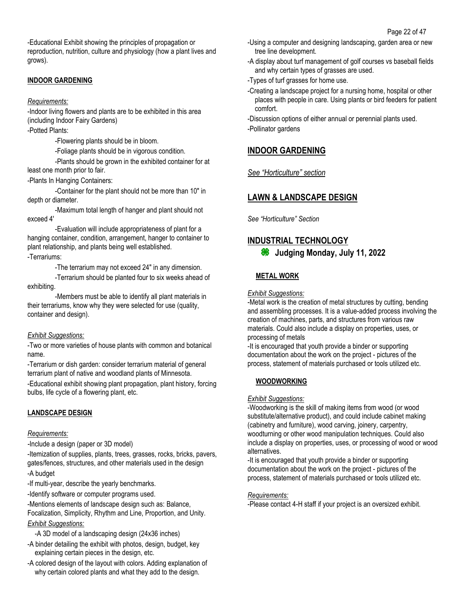-Educational Exhibit showing the principles of propagation or reproduction, nutrition, culture and physiology (how a plant lives and grows).

## **INDOOR GARDENING**

### *Requirements:*

-Indoor living flowers and plants are to be exhibited in this area (including Indoor Fairy Gardens)

-Potted Plants:

-Flowering plants should be in bloom.

-Foliage plants should be in vigorous condition.

-Plants should be grown in the exhibited container for at least one month prior to fair.

-Plants In Hanging Containers:

-Container for the plant should not be more than 10" in depth or diameter.

-Maximum total length of hanger and plant should not exceed 4'

-Evaluation will include appropriateness of plant for a hanging container, condition, arrangement, hanger to container to plant relationship, and plants being well established.

### -Terrariums:

-The terrarium may not exceed 24" in any dimension.

-Terrarium should be planted four to six weeks ahead of exhibiting.

-Members must be able to identify all plant materials in their terrariums, know why they were selected for use (quality, container and design).

## *Exhibit Suggestions:*

-Two or more varieties of house plants with common and botanical name.

-Terrarium or dish garden: consider terrarium material of general terrarium plant of native and woodland plants of Minnesota.

-Educational exhibit showing plant propagation, plant history, forcing bulbs, life cycle of a flowering plant, etc.

## **LANDSCAPE DESIGN**

## *Requirements:*

*-*Include a design (paper or 3D model)

-Itemization of supplies, plants, trees, grasses, rocks, bricks, pavers, gates/fences, structures, and other materials used in the design -A budget

-If multi-year, describe the yearly benchmarks.

-Identify software or computer programs used.

-Mentions elements of landscape design such as: Balance, Focalization, Simplicity, Rhythm and Line, Proportion, and Unity. *Exhibit Suggestions:*

-A 3D model of a landscaping design (24x36 inches)

- -A binder detailing the exhibit with photos, design, budget, key explaining certain pieces in the design, etc.
- -A colored design of the layout with colors. Adding explanation of why certain colored plants and what they add to the design.
- -Using a computer and designing landscaping, garden area or new tree line development.
- -A display about turf management of golf courses vs baseball fields and why certain types of grasses are used.
- -Types of turf grasses for home use.
- -Creating a landscape project for a nursing home, hospital or other places with people in care. Using plants or bird feeders for patient comfort.

-Discussion options of either annual or perennial plants used. -Pollinator gardens

## **INDOOR GARDENING**

## *See "Horticulture" section*

## **LAWN & LANDSCAPE DESIGN**

*See "Horticulture" Section* 

## **INDUSTRIAL TECHNOLOGY**

**Judging Monday, July 11, 2022**

## **METAL WORK**

*Exhibit Suggestions:*

-Metal work is the creation of metal structures by cutting, bending and assembling processes. It is a value-added process involving the creation of machines, parts, and structures from various raw materials. Could also include a display on properties, uses, or processing of metals

-It is encouraged that youth provide a binder or supporting documentation about the work on the project - pictures of the process, statement of materials purchased or tools utilized etc.

## **WOODWORKING**

## *Exhibit Suggestions:*

-Woodworking is the skill of making items from wood (or wood substitute/alternative product), and could include cabinet making (cabinetry and furniture), wood carving, joinery, carpentry, woodturning or other wood manipulation techniques. Could also include a display on properties, uses, or processing of wood or wood alternatives.

-It is encouraged that youth provide a binder or supporting documentation about the work on the project - pictures of the process, statement of materials purchased or tools utilized etc.

#### *Requirements:*

-Please contact 4-H staff if your project is an oversized exhibit.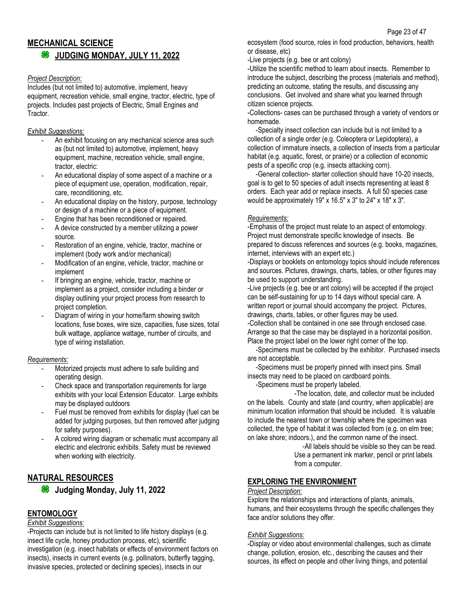## **MECHANICAL SCIENCE JUDGING MONDAY, JULY 11, 2022**

#### *Project Description:*

Includes (but not limited to) automotive, implement, heavy equipment, recreation vehicle, small engine, tractor, electric, type of projects. Includes past projects of Electric, Small Engines and Tractor.

### *Exhibit Suggestions:*

- An exhibit focusing on any mechanical science area such as (but not limited to) automotive, implement, heavy equipment, machine, recreation vehicle, small engine, tractor, electric:
- An educational display of some aspect of a machine or a piece of equipment use, operation, modification, repair, care, reconditioning, etc.
- An educational display on the history, purpose, technology or design of a machine or a piece of equipment.
- Engine that has been reconditioned or repaired.
- A device constructed by a member utilizing a power source.
- Restoration of an engine, vehicle, tractor, machine or implement (body work and/or mechanical)
- Modification of an engine, vehicle, tractor, machine or implement
- If bringing an engine, vehicle, tractor, machine or implement as a project, consider including a binder or display outlining your project process from research to project completion.
- Diagram of wiring in your home/farm showing switch locations, fuse boxes, wire size, capacities, fuse sizes, total bulk wattage, appliance wattage, number of circuits, and type of wiring installation.

## *Requirements:*

- Motorized projects must adhere to safe building and operating design.
- Check space and transportation requirements for large exhibits with your local Extension Educator. Large exhibits may be displayed outdoors
- Fuel must be removed from exhibits for display (fuel can be added for judging purposes, but then removed after judging for safety purposes).
- A colored wiring diagram or schematic must accompany all electric and electronic exhibits. Safety must be reviewed when working with electricity.

## **NATURAL RESOURCES**

**Judging Monday, July 11, 2022**

## **ENTOMOLOGY**

#### *Exhibit Suggestions:*

-Projects can include but is not limited to life history displays (e.g. insect life cycle, honey production process, etc), scientific investigation (e.g. insect habitats or effects of environment factors on insects), insects in current events (e.g. pollinators, butterfly tagging, invasive species, protected or declining species), insects in our

ecosystem (food source, roles in food production, behaviors, health or disease, etc)

-Live projects (e.g. bee or ant colony)

-Utilize the scientific method to learn about insects. Remember to introduce the subject, describing the process (materials and method), predicting an outcome, stating the results, and discussing any conclusions. Get involved and share what you learned through citizen science projects.

-Collections- cases can be purchased through a variety of vendors or homemade.

-Specialty insect collection can include but is not limited to a collection of a single order (e.g. Coleoptera or Lepidoptera), a collection of immature insects, a collection of insects from a particular habitat (e.g. aquatic, forest, or prairie) or a collection of economic pests of a specific crop (e.g. insects attacking corn).

-General collection- starter collection should have 10-20 insects, goal is to get to 50 species of adult insects representing at least 8 orders. Each year add or replace insects. A full 50 species case would be approximately 19" x 16.5" x 3" to 24" x 18" x 3".

## *Requirements:*

-Emphasis of the project must relate to an aspect of entomology. Project must demonstrate specific knowledge of insects. Be prepared to discuss references and sources (e.g. books, magazines, internet, interviews with an expert etc.)

-Displays or booklets on entomology topics should include references and sources. Pictures, drawings, charts, tables, or other figures may be used to support understanding.

-Live projects (e.g. bee or ant colony) will be accepted if the project can be self-sustaining for up to 14 days without special care. A written report or journal should accompany the project. Pictures, drawings, charts, tables, or other figures may be used. -Collection shall be contained in one see through enclosed case.

Arrange so that the case may be displayed in a horizontal position. Place the project label on the lower right corner of the top.

-Specimens must be collected by the exhibitor. Purchased insects are not acceptable.

-Specimens must be properly pinned with insect pins. Small insects may need to be placed on cardboard points.

-Specimens must be properly labeled.

-The location, date, and collector must be included on the labels. County and state (and country, when applicable) are minimum location information that should be included. It is valuable to include the nearest town or township where the specimen was collected, the type of habitat it was collected from (e.g. on elm tree; on lake shore; indoors.), and the common name of the insect.

> -All labels should be visible so they can be read. Use a permanent ink marker, pencil or print labels from a computer.

## **EXPLORING THE ENVIRONMENT**

#### *Project Description:*

Explore the relationships and interactions of plants, animals, humans, and their ecosystems through the specific challenges they face and/or solutions they offer.

## *Exhibit Suggestions:*

-Display or video about environmental challenges, such as climate change, pollution, erosion, etc., describing the causes and their sources, its effect on people and other living things, and potential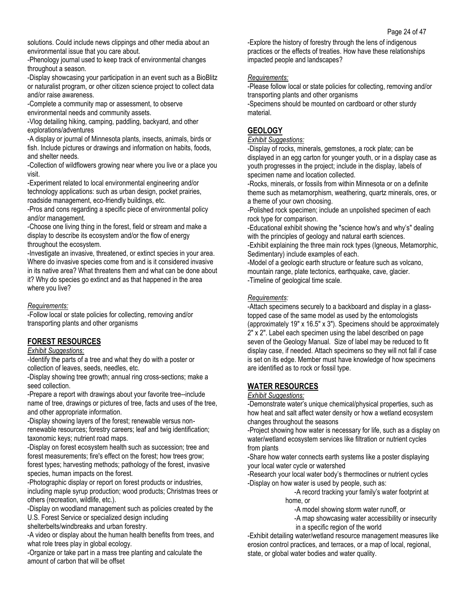solutions. Could include news clippings and other media about an environmental issue that you care about.

-Phenology journal used to keep track of environmental changes throughout a season.

-Display showcasing your participation in an event such as a BioBlitz or naturalist program, or other citizen science project to collect data and/or raise awareness.

-Complete a community map or assessment, to observe environmental needs and community assets.

-Vlog detailing hiking, camping, paddling, backyard, and other explorations/adventures

-A display or journal of Minnesota plants, insects, animals, birds or fish. Include pictures or drawings and information on habits, foods, and shelter needs.

-Collection of wildflowers growing near where you live or a place you visit.

-Experiment related to local environmental engineering and/or technology applications: such as urban design, pocket prairies, roadside management, eco-friendly buildings, etc.

-Pros and cons regarding a specific piece of environmental policy and/or management.

-Choose one living thing in the forest, field or stream and make a display to describe its ecosystem and/or the flow of energy throughout the ecosystem.

-Investigate an invasive, threatened, or extinct species in your area. Where do invasive species come from and is it considered invasive in its native area? What threatens them and what can be done about it? Why do species go extinct and as that happened in the area where you live?

#### *Requirements:*

-Follow local or state policies for collecting, removing and/or transporting plants and other organisms

## **FOREST RESOURCES**

*Exhibit Suggestions:*

-Identify the parts of a tree and what they do with a poster or collection of leaves, seeds, needles, etc.

-Display showing tree growth; annual ring cross-sections; make a seed collection.

-Prepare a report with drawings about your favorite tree--include name of tree, drawings or pictures of tree, facts and uses of the tree, and other appropriate information.

-Display showing layers of the forest; renewable versus nonrenewable resources; forestry careers; leaf and twig identification; taxonomic keys; nutrient road maps.

-Display on forest ecosystem health such as succession; tree and forest measurements; fire's effect on the forest; how trees grow; forest types; harvesting methods; pathology of the forest, invasive species, human impacts on the forest.

-Photographic display or report on forest products or industries, including maple syrup production; wood products; Christmas trees or others (recreation, wildlife, etc.).

-Display on woodland management such as policies created by the U.S. Forest Service or specialized design including

shelterbelts/windbreaks and urban forestry.

-A video or display about the human health benefits from trees, and what role trees play in global ecology.

-Organize or take part in a mass tree planting and calculate the amount of carbon that will be offset

-Explore the history of forestry through the lens of indigenous practices or the effects of treaties. How have these relationships impacted people and landscapes?

## *Requirements:*

-Please follow local or state policies for collecting, removing and/or transporting plants and other organisms

-Specimens should be mounted on cardboard or other sturdy material.

## **GEOLOGY**

#### *Exhibit Suggestions:*

-Display of rocks, minerals, gemstones, a rock plate; can be displayed in an egg carton for younger youth, or in a display case as youth progresses in the project; include in the display, labels of specimen name and location collected.

-Rocks, minerals, or fossils from within Minnesota or on a definite theme such as metamorphism, weathering, quartz minerals, ores, or a theme of your own choosing.

-Polished rock specimen; include an unpolished specimen of each rock type for comparison.

-Educational exhibit showing the "science how's and why's" dealing with the principles of geology and natural earth sciences.

-Exhibit explaining the three main rock types (Igneous, Metamorphic, Sedimentary) include examples of each.

-Model of a geologic earth structure or feature such as volcano, mountain range, plate tectonics, earthquake, cave, glacier. -Timeline of geological time scale.

### *Requirements:*

-Attach specimens securely to a backboard and display in a glasstopped case of the same model as used by the entomologists (approximately 19" x 16.5" x 3"). Specimens should be approximately 2" x 2". Label each specimen using the label described on page seven of the Geology Manual. Size of label may be reduced to fit display case, if needed. Attach specimens so they will not fall if case is set on its edge. Member must have knowledge of how specimens are identified as to rock or fossil type.

## **WATER RESOURCES**

#### *Exhibit Suggestions:*

-Demonstrate water's unique chemical/physical properties, such as how heat and salt affect water density or how a wetland ecosystem changes throughout the seasons

-Project showing how water is necessary for life, such as a display on water/wetland ecosystem services like filtration or nutrient cycles from plants

-Share how water connects earth systems like a poster displaying your local water cycle or watershed

-Research your local water body's thermoclines or nutrient cycles -Display on how water is used by people, such as:

-A record tracking your family's water footprint at home, or

-A model showing storm water runoff, or

-A map showcasing water accessibility or insecurity in a specific region of the world

-Exhibit detailing water/wetland resource management measures like erosion control practices, and terraces, or a map of local, regional, state, or global water bodies and water quality.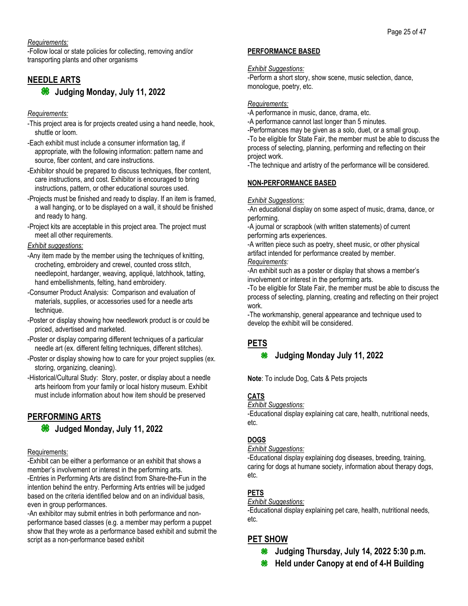*Requirements:*

-Follow local or state policies for collecting, removing and/or transporting plants and other organisms

## **NEEDLE ARTS**

**Judging Monday, July 11, 2022**

## *Requirements:*

- -This project area is for projects created using a hand needle, hook, shuttle or loom.
- -Each exhibit must include a consumer information tag, if appropriate, with the following information: pattern name and source, fiber content, and care instructions.
- -Exhibitor should be prepared to discuss techniques, fiber content, care instructions, and cost. Exhibitor is encouraged to bring instructions, pattern, or other educational sources used.
- -Projects must be finished and ready to display. If an item is framed, a wall hanging, or to be displayed on a wall, it should be finished and ready to hang.
- -Project kits are acceptable in this project area. The project must meet all other requirements.

## *Exhibit suggestions:*

- -Any item made by the member using the techniques of knitting, crocheting, embroidery and crewel, counted cross stitch, needlepoint, hardanger, weaving, appliqué, latchhook, tatting, hand embellishments, felting, hand embroidery.
- -Consumer Product Analysis: Comparison and evaluation of materials, supplies, or accessories used for a needle arts technique.
- -Poster or display showing how needlework product is or could be priced, advertised and marketed.
- -Poster or display comparing different techniques of a particular needle art (ex. different felting techniques, different stitches).
- -Poster or display showing how to care for your project supplies (ex. storing, organizing, cleaning).
- -Historical/Cultural Study: Story, poster, or display about a needle arts heirloom from your family or local history museum. Exhibit must include information about how item should be preserved

## **PERFORMING ARTS**

## **<sup>86</sup>** Judged Monday, July 11, 2022

## Requirements:

-Exhibit can be either a performance or an exhibit that shows a member's involvement or interest in the performing arts. -Entries in Performing Arts are distinct from Share-the-Fun in the intention behind the entry. Performing Arts entries will be judged based on the criteria identified below and on an individual basis, even in group performances.

-An exhibitor may submit entries in both performance and nonperformance based classes (e.g. a member may perform a puppet show that they wrote as a performance based exhibit and submit the script as a non-performance based exhibit

## **PERFORMANCE BASED**

#### *Exhibit Suggestions:*

-Perform a short story, show scene, music selection, dance, monologue, poetry, etc.

### *Requirements:*

-A performance in music, dance, drama, etc.

-A performance cannot last longer than 5 minutes.

-Performances may be given as a solo, duet, or a small group. -To be eligible for State Fair, the member must be able to discuss the process of selecting, planning, performing and reflecting on their project work.

-The technique and artistry of the performance will be considered.

## **NON-PERFORMANCE BASED**

#### *Exhibit Suggestions:*

-An educational display on some aspect of music, drama, dance, or performing.

-A journal or scrapbook (with written statements) of current performing arts experiences.

-A written piece such as poetry, sheet music, or other physical artifact intended for performance created by member. *Requirements:*

-An exhibit such as a poster or display that shows a member's involvement or interest in the performing arts.

-To be eligible for State Fair, the member must be able to discuss the process of selecting, planning, creating and reflecting on their project work.

-The workmanship, general appearance and technique used to develop the exhibit will be considered.

## **PETS**

## **Judging Monday July 11, 2022**

**Note**: To include Dog, Cats & Pets projects

## **CATS**

## *Exhibit Suggestions:*

-Educational display explaining cat care, health, nutritional needs, etc.

## **DOGS**

#### *Exhibit Suggestions:*

-Educational display explaining dog diseases, breeding, training, caring for dogs at humane society, information about therapy dogs, etc.

## **PETS**

#### *Exhibit Suggestions:*

-Educational display explaining pet care, health, nutritional needs, etc.

## **PET SHOW**

- **Judging Thursday, July 14, 2022 5:30 p.m.**
- **<del><b>**</del> Held under Canopy at end of 4-H Building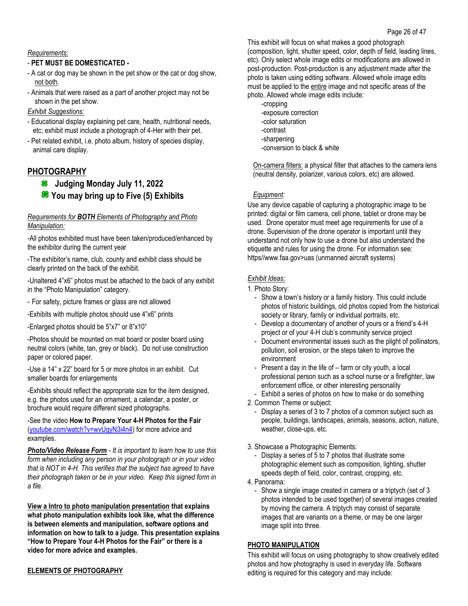## *Requirements:*

## - **PET MUST BE DOMESTICATED -**

- A cat or dog may be shown in the pet show or the cat or dog show, not both.
- Animals that were raised as a part of another project may not be shown in the pet show.

## *Exhibit Suggestions:*

- Educational display explaining pet care, health, nutritional needs, etc; exhibit must include a photograph of 4-Her with their pet.
- Pet related exhibit, i.e. photo album, history of species display, animal care display.

## **PHOTOGRAPHY**

## **Judging Monday July 11, 2022 You may bring up to Five (5) Exhibits**

#### *Requirements for BOTH Elements of Photography and Photo Manipulation:*

-All photos exhibited must have been taken/produced/enhanced by the exhibitor during the current year

-The exhibitor's name, club, county and exhibit class should be clearly printed on the back of the exhibit.

-Unaltered 4"x6" photos must be attached to the back of any exhibit in the "Photo Manipulation" category.

- For safety, picture frames or glass are not allowed
- -Exhibits with multiple photos should use 4"x6" prints
- -Enlarged photos should be 5"x7" or 8"x10"

-Photos should be mounted on mat board or poster board using neutral colors (white, tan, grey or black). Do not use construction paper or colored paper.

-Use a 14" x 22" board for 5 or more photos in an exhibit. Cut smaller boards for enlargements

-Exhibits should reflect the appropriate size for the item designed, e.g. the photos used for an ornament, a calendar, a poster, or brochure would require different sized photographs.

-See the video **How to Prepare Your 4-H Photos for the Fair** [\(youtube.com/watch?v=wvUgyN3i4n4\)](file://///DODGE02/Departments$/DCEXdata/County%20Fair/2021%20County%20Fair/Premium%20Book/youtube.com/watch%3fv=wvUgyN3i4n4) for more advice and examples.

*Photo/Video Release Form - It is important to learn how to use this form when including any person in your photograph or in your video that is NOT in 4-H. This verifies that the subject has agreed to have their photograph taken or be in your video. Keep this signed form in a file.* 

**[View a Intro to photo manipulation presentation](https://z.umn.edu/intro-to-photo-manipulation) that explains what photo manipulation exhibits look like, what the difference is between elements and manipulation, software options and information on how to talk to a judge. This presentation explains "How to Prepare Your 4-H Photos for the Fair" or there is a video for more advice and examples.**

## **ELEMENTS OF PHOTOGRAPHY**

This exhibit will focus on what makes a good photograph (composition, light, shutter speed, color, depth of field, leading lines, etc). Only select whole image edits or modifications are allowed in post-production. Post-production is any adjustment made after the photo is taken using editing software. Allowed whole image edits must be applied to the entire image and not specific areas of the photo. Allowed whole image edits include:

- -cropping
- -exposure correction
- -color saturation
- -contrast
- -sharpening
- -conversion to black & white

On-camera filters: a physical filter that attaches to the camera lens (neutral density, polarizer, various colors, etc) are allowed.

## *Equipment:*

Use any device capable of capturing a photographic image to be printed: digital or film camera, cell phone, tablet or drone may be used. Drone operator must meet age requirements for use of a drone. Supervision of the drone operator is important until they understand not only how to use a drone but also understand the etiquette and rules for using the drone. For information see: https//www.faa.gov>uas (unmanned aircraft systems)

## *Exhibit Ideas:*

- 1. Photo Story:
	- Show a town's history or a family history. This could include photos of historic buildings, old photos copied from the historical society or library, family or individual portraits, etc.
	- Develop a documentary of another of yours or a friend's 4-H project or of your 4-H club's community service project
	- Document environmental issues such as the plight of pollinators, pollution, soil erosion, or the steps taken to improve the environment
	- Present a day in the life of farm or city youth, a local professional person such as a school nurse or a firefighter, law enforcement office, or other interesting personality
- Exhibit a series of photos on how to make or do something
- 2. Common Theme or subject:
	- Display a series of 3 to 7 photos of a common subject such as people, buildings, landscapes, animals, seasons, action, nature, weather, close-ups, etc.

## 3. Showcase a Photographic Elements:

- Display a series of 5 to 7 photos that illustrate some photographic element such as composition, lighting, shutter speeds depth of field, color, contrast, cropping, etc.
- 4. Panorama:
	- Show a single image created in camera or a triptych (set of 3 photos intended to be used together) of several images created by moving the camera. A triptych may consist of separate images that are variants on a theme, or may be one larger image split into three.

## **PHOTO MANIPULATION**

This exhibit will focus on using photography to show creatively edited photos and how photography is used in everyday life. Software editing is required for this category and may include: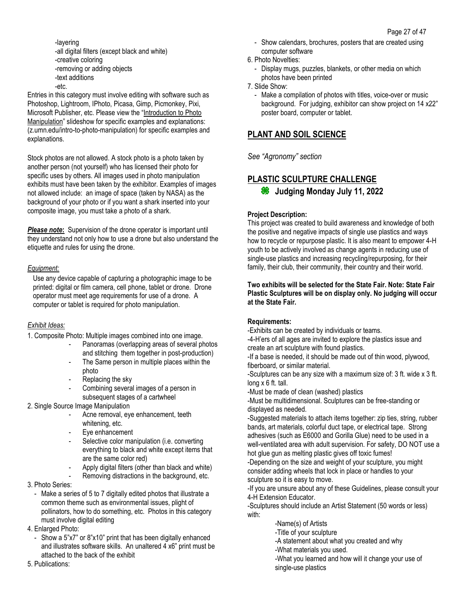-layering -all digital filters (except black and white) -creative coloring -removing or adding objects -text additions -etc.

Entries in this category must involve editing with software such as Photoshop, Lightroom, IPhoto, Picasa, Gimp, Picmonkey, Pixi, Microsoft Publisher, etc. Please view the "[Introduction to Photo](http://z.umn.edu/intro-to-photo-manipulation)  [Manipulation](http://z.umn.edu/intro-to-photo-manipulation)" slideshow for specific examples and explanations: (z.umn.edu/intro-to-photo-manipulation) for specific examples and explanations.

Stock photos are not allowed. A stock photo is a photo taken by another person (not yourself) who has licensed their photo for specific uses by others. All images used in photo manipulation exhibits must have been taken by the exhibitor. Examples of images not allowed include: an image of space (taken by NASA) as the background of your photo or if you want a shark inserted into your composite image, you must take a photo of a shark.

*Please note***:** Supervision of the drone operator is important until they understand not only how to use a drone but also understand the etiquette and rules for using the drone.

#### *Equipment:*

Use any device capable of capturing a photographic image to be printed: digital or film camera, cell phone, tablet or drone. Drone operator must meet age requirements for use of a drone. A computer or tablet is required for photo manipulation.

## *Exhibit Ideas:*

1. Composite Photo: Multiple images combined into one image.

- Panoramas (overlapping areas of several photos and stitching them together in post-production)
- The Same person in multiple places within the photo
- Replacing the sky
- Combining several images of a person in subsequent stages of a cartwheel
- 2. Single Source Image Manipulation
	- Acne removal, eye enhancement, teeth whitening, etc.
	- Eye enhancement
	- Selective color manipulation (i.e. converting everything to black and white except items that are the same color red)
	- Apply digital filters (other than black and white)
	- Removing distractions in the background, etc.
- 3. Photo Series:
	- Make a series of 5 to 7 digitally edited photos that illustrate a common theme such as environmental issues, plight of pollinators, how to do something, etc. Photos in this category must involve digital editing
- 4. Enlarged Photo:
	- Show a 5"x7" or 8"x10" print that has been digitally enhanced and illustrates software skills. An unaltered 4 x6" print must be attached to the back of the exhibit
- 5. Publications:
- Show calendars, brochures, posters that are created using computer software
- 6. Photo Novelties:
	- Display mugs, puzzles, blankets, or other media on which photos have been printed
- 7. Slide Show:
	- Make a compilation of photos with titles, voice-over or music background. For judging, exhibitor can show project on 14 x22" poster board, computer or tablet.

## **PLANT AND SOIL SCIENCE**

*See "Agronomy" section*

## **PLASTIC SCULPTURE CHALLENGE**

**Judging Monday July 11, 2022**

## **Project Description:**

This project was created to build awareness and knowledge of both the positive and negative impacts of single use plastics and ways how to recycle or repurpose plastic. It is also meant to empower 4-H youth to be actively involved as change agents in reducing use of single-use plastics and increasing recycling/repurposing, for their family, their club, their community, their country and their world.

#### **Two exhibits will be selected for the State Fair. Note: State Fair Plastic Sculptures will be on display only. No judging will occur at the State Fair.**

## **Requirements:**

-Exhibits can be created by individuals or teams.

-4-H'ers of all ages are invited to explore the plastics issue and create an art sculpture with found plastics.

-If a base is needed, it should be made out of thin wood, plywood, fiberboard, or similar material.

-Sculptures can be any size with a maximum size of: 3 ft. wide x 3 ft. long x 6 ft. tall.

-Must be made of clean (washed) plastics

-Must be multidimensional. Sculptures can be free-standing or displayed as needed.

-Suggested materials to attach items together: zip ties, string, rubber bands, art materials, colorful duct tape, or electrical tape. Strong adhesives (such as E6000 and Gorilla Glue) need to be used in a well-ventilated area with adult supervision. For safety, DO NOT use a hot glue gun as melting plastic gives off toxic fumes!

-Depending on the size and weight of your sculpture, you might consider adding wheels that lock in place or handles to your sculpture so it is easy to move.

-If you are unsure about any of these Guidelines, please consult your 4-H Extension Educator.

-Sculptures should include an Artist Statement (50 words or less) with:

- -Name(s) of Artists
- -Title of your sculpture
- -A statement about what you created and why
- -What materials you used.
- -What you learned and how will it change your use of single-use plastics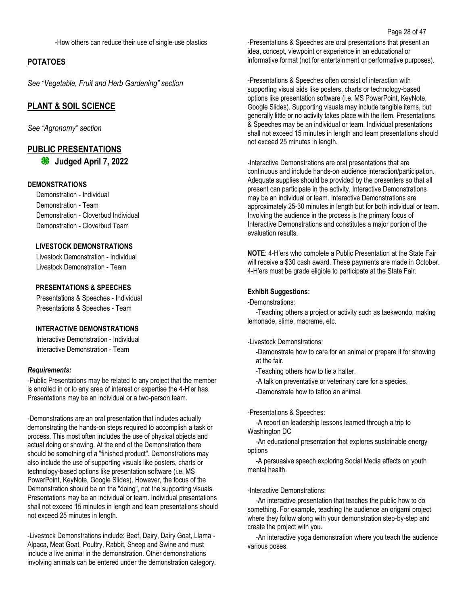-How others can reduce their use of single-use plastics

### **POTATOES**

*See "Vegetable, Fruit and Herb Gardening" section*

## **PLANT & SOIL SCIENCE**

*See "Agronomy" section*

## **PUBLIC PRESENTATIONS**

**Judged April 7, 2022**

#### **DEMONSTRATIONS**

 Demonstration - Individual Demonstration - Team Demonstration - Cloverbud Individual Demonstration - Cloverbud Team

### **LIVESTOCK DEMONSTRATIONS**

 Livestock Demonstration - Individual Livestock Demonstration - Team

## **PRESENTATIONS & SPEECHES**

 Presentations & Speeches - Individual Presentations & Speeches - Team

### **INTERACTIVE DEMONSTRATIONS**

 Interactive Demonstration - Individual Interactive Demonstration - Team

#### *Requirements:*

-Public Presentations may be related to any project that the member is enrolled in or to any area of interest or expertise the 4-H'er has. Presentations may be an individual or a two-person team.

-Demonstrations are an oral presentation that includes actually demonstrating the hands-on steps required to accomplish a task or process. This most often includes the use of physical objects and actual doing or showing. At the end of the Demonstration there should be something of a "finished product". Demonstrations may also include the use of supporting visuals like posters, charts or technology-based options like presentation software (i.e. MS PowerPoint, KeyNote, Google Slides). However, the focus of the Demonstration should be on the "doing", not the supporting visuals. Presentations may be an individual or team. Individual presentations shall not exceed 15 minutes in length and team presentations should not exceed 25 minutes in length.

-Livestock Demonstrations include: Beef, Dairy, Dairy Goat, Llama - Alpaca, Meat Goat, Poultry, Rabbit, Sheep and Swine and must include a live animal in the demonstration. Other demonstrations involving animals can be entered under the demonstration category.

-Presentations & Speeches are oral presentations that present an idea, concept, viewpoint or experience in an educational or informative format (not for entertainment or performative purposes).

-Presentations & Speeches often consist of interaction with supporting visual aids like posters, charts or technology-based options like presentation software (i.e. MS PowerPoint, KeyNote, Google Slides). Supporting visuals may include tangible items, but generally little or no activity takes place with the item. Presentations & Speeches may be an individual or team. Individual presentations shall not exceed 15 minutes in length and team presentations should not exceed 25 minutes in length.

-Interactive Demonstrations are oral presentations that are continuous and include hands-on audience interaction/participation. Adequate supplies should be provided by the presenters so that all present can participate in the activity. Interactive Demonstrations may be an individual or team. Interactive Demonstrations are approximately 25-30 minutes in length but for both individual or team. Involving the audience in the process is the primary focus of Interactive Demonstrations and constitutes a major portion of the evaluation results.

**NOTE**: 4-H'ers who complete a Public Presentation at the State Fair will receive a \$30 cash award. These payments are made in October. 4-H'ers must be grade eligible to participate at the State Fair.

#### **Exhibit Suggestions:**

-Demonstrations:

-Teaching others a project or activity such as taekwondo, making lemonade, slime, macrame, etc.

-Livestock Demonstrations:

-Demonstrate how to care for an animal or prepare it for showing at the fair.

- -Teaching others how to tie a halter.
- -A talk on preventative or veterinary care for a species.
- -Demonstrate how to tattoo an animal.

-Presentations & Speeches:

-A report on leadership lessons learned through a trip to Washington DC

-An educational presentation that explores sustainable energy options

-A persuasive speech exploring Social Media effects on youth mental health.

-Interactive Demonstrations:

-An interactive presentation that teaches the public how to do something. For example, teaching the audience an origami project where they follow along with your demonstration step-by-step and create the project with you.

-An interactive yoga demonstration where you teach the audience various poses.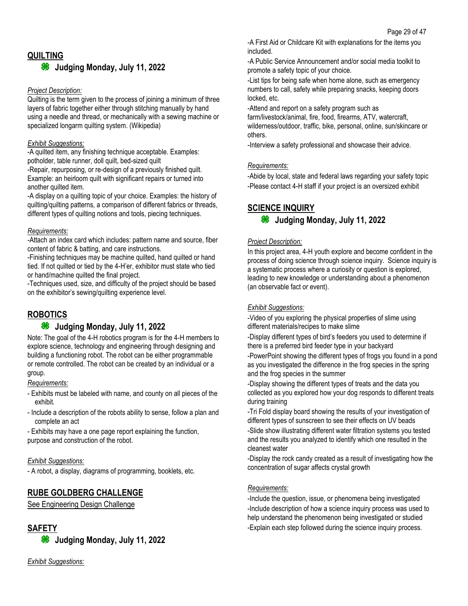## **QUILTING**

#### **Judging Monday, July 11, 2022** 86

#### *Project Description:*

Quilting is the term given to the process of joining a minimum of three layers of fabric together either through stitching manually by hand using a needle and thread, or mechanically with a sewing machine or specialized longarm quilting system. (Wikipedia)

### *Exhibit Suggestions:*

-A quilted item, any finishing technique acceptable. Examples: potholder, table runner, doll quilt, bed-sized quilt -Repair, repurposing, or re-design of a previously finished quilt.

Example: an heirloom quilt with significant repairs or turned into another quilted item.

-A display on a quilting topic of your choice. Examples: the history of quilting/quilting patterns, a comparison of different fabrics or threads, different types of quilting notions and tools, piecing techniques.

### *Requirements:*

-Attach an index card which includes: pattern name and source, fiber content of fabric & batting, and care instructions.

-Finishing techniques may be machine quilted, hand quilted or hand tied. If not quilted or tied by the 4-H'er, exhibitor must state who tied or hand/machine quilted the final project.

-Techniques used, size, and difficulty of the project should be based on the exhibitor's sewing/quilting experience level.

## **ROBOTICS**

## **Judging Monday, July 11, 2022**

Note: The goal of the 4-H robotics program is for the 4-H members to explore science, technology and engineering through designing and building a functioning robot. The robot can be either programmable or remote controlled. The robot can be created by an individual or a group.

#### *Requirements:*

- Exhibits must be labeled with name, and county on all pieces of the exhibit.
- Include a description of the robots ability to sense, follow a plan and complete an act

- Exhibits may have a one page report explaining the function, purpose and construction of the robot.

## *Exhibit Suggestions:*

- A robot, a display, diagrams of programming, booklets, etc.

## **RUBE GOLDBERG CHALLENGE**

See Engineering Design Challenge

## **SAFETY**

**Judging Monday, July 11, 2022**

-A First Aid or Childcare Kit with explanations for the items you included.

-A Public Service Announcement and/or social media toolkit to promote a safety topic of your choice.

-List tips for being safe when home alone, such as emergency numbers to call, safety while preparing snacks, keeping doors locked, etc.

-Attend and report on a safety program such as farm/livestock/animal, fire, food, firearms, ATV, watercraft, wilderness/outdoor, traffic, bike, personal, online, sun/skincare or others.

-Interview a safety professional and showcase their advice.

## *Requirements:*

-Abide by local, state and federal laws regarding your safety topic -Please contact 4-H staff if your project is an oversized exhibit

## **SCIENCE INQUIRY**

## **Judging Monday, July 11, 2022**

### *Project Description:*

In this project area, 4-H youth explore and become confident in the process of doing science through science inquiry. Science inquiry is a systematic process where a curiosity or question is explored, leading to new knowledge or understanding about a phenomenon (an observable fact or event).

## *Exhibit Suggestions:*

-Video of you exploring the physical properties of slime using different materials/recipes to make slime

-Display different types of bird's feeders you used to determine if there is a preferred bird feeder type in your backyard

-PowerPoint showing the different types of frogs you found in a pond as you investigated the difference in the frog species in the spring and the frog species in the summer

-Display showing the different types of treats and the data you collected as you explored how your dog responds to different treats during training

-Tri Fold display board showing the results of your investigation of different types of sunscreen to see their effects on UV beads

-Slide show illustrating different water filtration systems you tested and the results you analyzed to identify which one resulted in the cleanest water

-Display the rock candy created as a result of investigating how the concentration of sugar affects crystal growth

## *Requirements:*

-Include the question, issue, or phenomena being investigated -Include description of how a science inquiry process was used to help understand the phenomenon being investigated or studied -Explain each step followed during the science inquiry process.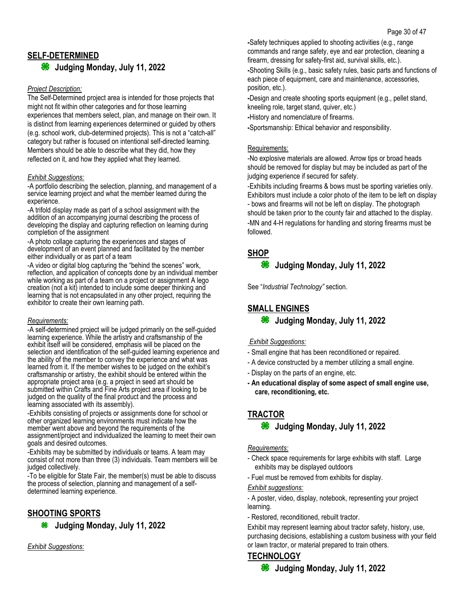**<sup>8</sup>** Judging Monday, July 11, 2022

### *Project Description:*

The Self-Determined project area is intended for those projects that might not fit within other categories and for those learning experiences that members select, plan, and manage on their own. It is distinct from learning experiences determined or guided by others (e.g. school work, club-determined projects). This is not a "catch-all" category but rather is focused on intentional self-directed learning. Members should be able to describe what they did, how they reflected on it, and how they applied what they learned.

### *Exhibit Suggestions:*

-A portfolio describing the selection, planning, and management of a service learning project and what the member learned during the experience.

-A trifold display made as part of a school assignment with the addition of an accompanying journal describing the process of developing the display and capturing reflection on learning during completion of the assignment

-A photo collage capturing the experiences and stages of development of an event planned and facilitated by the member either individually or as part of a team

-A video or digital blog capturing the "behind the scenes" work, reflection, and application of concepts done by an individual member while working as part of a team on a project or assignment A lego creation (not a kit) intended to include some deeper thinking and learning that is not encapsulated in any other project, requiring the exhibitor to create their own learning path.

#### *Requirements:*

-A self-determined project will be judged primarily on the self-guided learning experience. While the artistry and craftsmanship of the exhibit itself will be considered, emphasis will be placed on the selection and identification of the self-guided learning experience and the ability of the member to convey the experience and what was learned from it. If the member wishes to be judged on the exhibit's craftsmanship or artistry, the exhibit should be entered within the appropriate project area (e.g. a project in seed art should be submitted within Crafts and Fine Arts project area if looking to be judged on the quality of the final product and the process and learning associated with its assembly).

-Exhibits consisting of projects or assignments done for school or other organized learning environments must indicate how the member went above and beyond the requirements of the assignment/project and individualized the learning to meet their own goals and desired outcomes.

-Exhibits may be submitted by individuals or teams. A team may consist of not more than three (3) individuals. Team members will be judged collectively.

-To be eligible for State Fair, the member(s) must be able to discuss the process of selection, planning and management of a selfdetermined learning experience.

## **SHOOTING SPORTS**

**Judging Monday, July 11, 2022**

*Exhibit Suggestions:*

**-**Safety techniques applied to shooting activities (e.g., range commands and range safety, eye and ear protection, cleaning a firearm, dressing for safety-first aid, survival skills, etc.).

**-**Shooting Skills (e.g., basic safety rules, basic parts and functions of each piece of equipment, care and maintenance, accessories, position, etc.).

**-**Design and create shooting sports equipment (e.g., pellet stand, kneeling role, target stand, quiver, etc.)

**-**History and nomenclature of firearms.

**-**Sportsmanship: Ethical behavior and responsibility.

#### Requirements:

-No explosive materials are allowed. Arrow tips or broad heads should be removed for display but may be included as part of the judging experience if secured for safety.

-Exhibits including firearms & bows must be sporting varieties only. Exhibitors must include a color photo of the item to be left on display - bows and firearms will not be left on display. The photograph should be taken prior to the county fair and attached to the display. -MN and 4-H regulations for handling and storing firearms must be followed.

**SHOP**

#### 88 **Judging Monday, July 11, 2022**

See "*Industrial Technology"* section.

## **SMALL ENGINES**

## **Judging Monday, July 11, 2022**

## *Exhibit Suggestions:*

- Small engine that has been reconditioned or repaired.
- A device constructed by a member utilizing a small engine.
- Display on the parts of an engine, etc.
- **- An educational display of some aspect of small engine use, care, reconditioning, etc.**

## **TRACTOR**

## **Judging Monday, July 11, 2022**

#### *Requirements:*

- Check space requirements for large exhibits with staff. Large exhibits may be displayed outdoors
- Fuel must be removed from exhibits for display.

#### *Exhibit suggestions:*

- A poster, video, display, notebook, representing your project learning.

- Restored, reconditioned, rebuilt tractor.

Exhibit may represent learning about tractor safety, history, use, purchasing decisions, establishing a custom business with your field or lawn tractor, or material prepared to train others.

## **TECHNOLOGY**

**Judging Monday, July 11, 2022**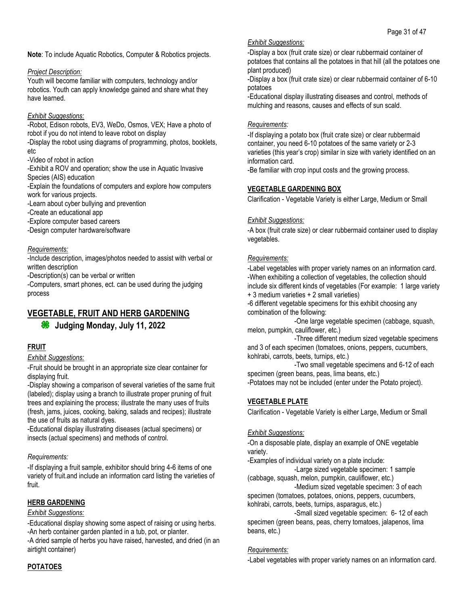**Note**: To include Aquatic Robotics, Computer & Robotics projects.

### *Project Description:*

Youth will become familiar with computers, technology and/or robotics. Youth can apply knowledge gained and share what they have learned.

### *Exhibit Suggestions:*

-Robot, Edison robots, EV3, WeDo, Osmos, VEX; Have a photo of robot if you do not intend to leave robot on display

-Display the robot using diagrams of programming, photos, booklets, etc

-Video of robot in action

-Exhibit a ROV and operation; show the use in Aquatic Invasive Species (AIS) education

-Explain the foundations of computers and explore how computers work for various projects.

-Learn about cyber bullying and prevention

-Create an educational app

-Explore computer based careers

-Design computer hardware/software

#### *Requirements:*

-Include description, images/photos needed to assist with verbal or written description

-Description(s) can be verbal or written

-Computers, smart phones, ect. can be used during the judging process

## **VEGETABLE, FRUIT AND HERB GARDENING**

## **Judging Monday, July 11, 2022**

## **FRUIT**

#### *Exhibit Suggestions:*

-Fruit should be brought in an appropriate size clear container for displaying fruit.

-Display showing a comparison of several varieties of the same fruit (labeled); display using a branch to illustrate proper pruning of fruit trees and explaining the process; illustrate the many uses of fruits (fresh, jams, juices, cooking, baking, salads and recipes); illustrate the use of fruits as natural dyes.

-Educational display illustrating diseases (actual specimens) or insects (actual specimens) and methods of control.

#### *Requirements:*

-If displaying a fruit sample, exhibitor should bring 4-6 items of one variety of fruit.and include an information card listing the varieties of fruit.

## **HERB GARDENING**

### *Exhibit Suggestions:*

-Educational display showing some aspect of raising or using herbs. -An herb container garden planted in a tub, pot, or planter.

-A dried sample of herbs you have raised, harvested, and dried (in an airtight container)

#### *Exhibit Suggestions:*

-Display a box (fruit crate size) or clear rubbermaid container of potatoes that contains all the potatoes in that hill (all the potatoes one plant produced)

-Display a box (fruit crate size) or clear rubbermaid container of 6-10 potatoes

-Educational display illustrating diseases and control, methods of mulching and reasons, causes and effects of sun scald.

#### *Requirements:*

-If displaying a potato box (fruit crate size) or clear rubbermaid container, you need 6-10 potatoes of the same variety or 2-3 varieties (this year's crop) similar in size with variety identified on an information card.

-Be familiar with crop input costs and the growing process.

## **VEGETABLE GARDENING BOX**

Clarification - Vegetable Variety is either Large, Medium or Small

### *Exhibit Suggestions:*

-A box (fruit crate size) or clear rubbermaid container used to display vegetables.

### *Requirements:*

-Label vegetables with proper variety names on an information card. -When exhibiting a collection of vegetables, the collection should include six different kinds of vegetables (For example: 1 large variety

+ 3 medium varieties + 2 small varieties)

-6 different vegetable specimens for this exhibit choosing any combination of the following:

-One large vegetable specimen (cabbage, squash, melon, pumpkin, cauliflower, etc.)

-Three different medium sized vegetable specimens and 3 of each specimen (tomatoes, onions, peppers, cucumbers, kohlrabi, carrots, beets, turnips, etc.)

-Two small vegetable specimens and 6-12 of each specimen (green beans, peas, lima beans, etc.)

-Potatoes may not be included (enter under the Potato project).

## **VEGETABLE PLATE**

Clarification - Vegetable Variety is either Large, Medium or Small

## *Exhibit Suggestions:*

-On a disposable plate, display an example of ONE vegetable variety.

-Examples of individual variety on a plate include:

-Large sized vegetable specimen: 1 sample (cabbage, squash, melon, pumpkin, cauliflower, etc.)

-Medium sized vegetable specimen: 3 of each specimen (tomatoes, potatoes, onions, peppers, cucumbers, kohlrabi, carrots, beets, turnips, asparagus, etc.)

-Small sized vegetable specimen: 6- 12 of each specimen (green beans, peas, cherry tomatoes, jalapenos, lima beans, etc.)

#### *Requirements:*

-Label vegetables with proper variety names on an information card.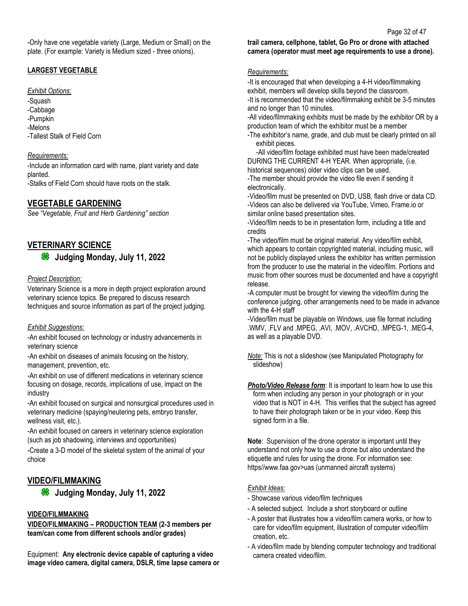### **LARGEST VEGETABLE**

#### *Exhibit Options:*

- -Squash -Cabbage
- -Pumpkin
- -Melons
- -Tallest Stalk of Field Corn

### *Requirements:*

-Include an information card with name, plant variety and date planted.

-Stalks of Field Corn should have roots on the stalk.

## **VEGETABLE GARDENING**

*See "Vegetable, Fruit and Herb Gardening" section*

## **VETERINARY SCIENCE**

## **Judging Monday, July 11, 2022**

### *Project Description:*

Veterinary Science is a more in depth project exploration around veterinary science topics. Be prepared to discuss research techniques and source information as part of the project judging.

## *Exhibit Suggestions:*

-An exhibit focused on technology or industry advancements in veterinary science

-An exhibit on diseases of animals focusing on the history, management, prevention, etc.

-An exhibit on use of different medications in veterinary science focusing on dosage, records, implications of use, impact on the industry

-An exhibit focused on surgical and nonsurgical procedures used in veterinary medicine (spaying/neutering pets, embryo transfer, wellness visit, etc.).

-An exhibit focused on careers in veterinary science exploration (such as job shadowing, interviews and opportunities)

-Create a 3-D model of the skeletal system of the animal of your choice

## **VIDEO/FILMMAKING**

**Judging Monday, July 11, 2022**

## **VIDEO/FILMMAKING**

**VIDEO/FILMMAKING – PRODUCTION TEAM (2-3 members per team/can come from different schools and/or grades)**

Equipment: **Any electronic device capable of capturing a video image video camera, digital camera, DSLR, time lapse camera or**  **trail camera, cellphone, tablet, Go Pro or drone with attached camera (operator must meet age requirements to use a drone).**

#### *Requirements:*

-It is encouraged that when developing a 4-H video/filmmaking exhibit, members will develop skills beyond the classroom. -It is recommended that the video/filmmaking exhibit be 3-5 minutes and no longer than 10 minutes.

-All video/filmmaking exhibits must be made by the exhibitor OR by a production team of which the exhibitor must be a member

-The exhibitor's name, grade, and club must be clearly printed on all exhibit pieces.

-All video/film footage exhibited must have been made/created DURING THE CURRENT 4-H YEAR. When appropriate, (i.e. historical sequences) older video clips can be used.

-The member should provide the video file even if sending it electronically.

-Video/film must be presented on DVD, USB, flash drive or data CD. -Videos can also be delivered via YouTube, Vimeo, Frame.io or similar online based presentation sites.

-Video/film needs to be in presentation form, including a title and credits

-The video/film must be original material. Any video/film exhibit, which appears to contain copyrighted material, including music, will not be publicly displayed unless the exhibitor has written permission from the producer to use the material in the video/film. Portions and music from other sources must be documented and have a copyright release.

-A computer must be brought for viewing the video/film during the conference judging, other arrangements need to be made in advance with the 4-H staff

-Video/film must be playable on Windows, use file format including .WMV, .FLV and .MPEG, .AVI, .MOV, .AVCHD, .MPEG-1, .MEG-4, as well as a playable DVD.

*Note:* This is not a slideshow (see Manipulated Photography for slideshow)

**Photo/Video Release form:** It is important to learn how to use this form when including any person in your photograph or in your video that is NOT in 4-H. This verifies that the subject has agreed to have their photograph taken or be in your video. Keep this signed form in a file.

**Note**: Supervision of the drone operator is important until they understand not only how to use a drone but also understand the etiquette and rules for using the drone. For information see: https//www.faa.gov>uas (unmanned aircraft systems)

## *Exhibit Ideas:*

- Showcase various video/film techniques
- A selected subject. Include a short storyboard or outline
- A poster that illustrates how a video/film camera works, or how to care for video/film equipment, illustration of computer video/film creation, etc.
- A video/film made by blending computer technology and traditional camera created video/film.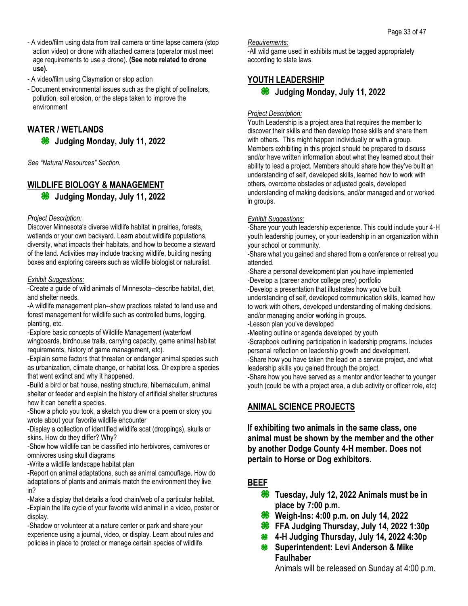- A video/film using data from trail camera or time lapse camera (stop action video) or drone with attached camera (operator must meet age requirements to use a drone). **(See note related to drone use).**
- A video/film using Claymation or stop action
- Document environmental issues such as the plight of pollinators, pollution, soil erosion, or the steps taken to improve the environment

## **WATER / WETLANDS**

**<sup>86</sup>** Judging Monday, July 11, 2022

*See "Natural Resources" Section.*

## **WILDLIFE BIOLOGY & MANAGEMENT**

**Judging Monday, July 11, 2022**

### *Project Description:*

Discover Minnesota's diverse wildlife habitat in prairies, forests, wetlands or your own backyard. Learn about wildlife populations, diversity, what impacts their habitats, and how to become a steward of the land. Activities may include tracking wildlife, building nesting boxes and exploring careers such as wildlife biologist or naturalist.

### *Exhibit Suggestions:*

-Create a guide of wild animals of Minnesota--describe habitat, diet, and shelter needs.

-A wildlife management plan--show practices related to land use and forest management for wildlife such as controlled burns, logging, planting, etc.

-Explore basic concepts of Wildlife Management (waterfowl wingboards, birdhouse trails, carrying capacity, game animal habitat requirements, history of game management, etc).

-Explain some factors that threaten or endanger animal species such as urbanization, climate change, or habitat loss. Or explore a species that went extinct and why it happened.

-Build a bird or bat house, nesting structure, hibernaculum, animal shelter or feeder and explain the history of artificial shelter structures how it can benefit a species.

-Show a photo you took, a sketch you drew or a poem or story you wrote about your favorite wildlife encounter

-Display a collection of identified wildlife scat (droppings), skulls or skins. How do they differ? Why?

-Show how wildlife can be classified into herbivores, carnivores or omnivores using skull diagrams

-Write a wildlife landscape habitat plan

-Report on animal adaptations, such as animal camouflage. How do adaptations of plants and animals match the environment they live in?

-Make a display that details a food chain/web of a particular habitat. -Explain the life cycle of your favorite wild animal in a video, poster or display.

-Shadow or volunteer at a nature center or park and share your experience using a journal, video, or display. Learn about rules and policies in place to protect or manage certain species of wildlife.

*Requirements:*

-All wild game used in exhibits must be tagged appropriately according to state laws.

## **YOUTH LEADERSHIP**

### *Project Description:*

Youth Leadership is a project area that requires the member to discover their skills and then develop those skills and share them with others. This might happen individually or with a group. Members exhibiting in this project should be prepared to discuss and/or have written information about what they learned about their ability to lead a project. Members should share how they've built an understanding of self, developed skills, learned how to work with others, overcome obstacles or adjusted goals, developed understanding of making decisions, and/or managed and or worked in groups.

## *Exhibit Suggestions:*

-Share your youth leadership experience. This could include your 4-H youth leadership journey, or your leadership in an organization within your school or community.

-Share what you gained and shared from a conference or retreat you attended.

-Share a personal development plan you have implemented -Develop a (career and/or college prep) portfolio

-Develop a presentation that illustrates how you've built

understanding of self, developed communication skills, learned how to work with others, developed understanding of making decisions, and/or managing and/or working in groups.

-Lesson plan you've developed

-Meeting outline or agenda developed by youth

-Scrapbook outlining participation in leadership programs. Includes personal reflection on leadership growth and development.

-Share how you have taken the lead on a service project, and what leadership skills you gained through the project.

-Share how you have served as a mentor and/or teacher to younger youth (could be with a project area, a club activity or officer role, etc)

## **ANIMAL SCIENCE PROJECTS**

**If exhibiting two animals in the same class, one animal must be shown by the member and the other by another Dodge County 4-H member. Does not pertain to Horse or Dog exhibitors.**

## **BEEF**

- **Tuesday, July 12, 2022 Animals must be in place by 7:00 p.m.**
- **Weigh-Ins: 4:00 p.m. on July 14, 2022**
- **FFA Judging Thursday, July 14, 2022 1:30p**
- **4-H Judging Thursday, July 14, 2022 4:30p**
- **Superintendent: Levi Anderson & Mike Faulhaber**

Animals will be released on Sunday at 4:00 p.m.

**Judging Monday, July 11, 2022**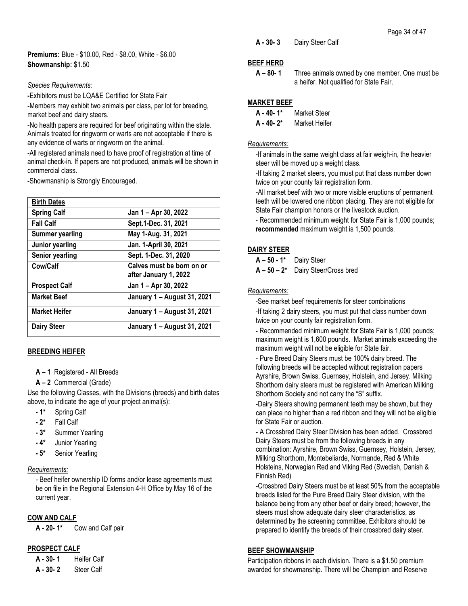**Premiums:** Blue - \$10.00, Red - \$8.00, White - \$6.00 **Showmanship:** \$1.50

#### *Species Requirements:*

**-**Exhibitors must be LQA&E Certified for State Fair

-Members may exhibit two animals per class, per lot for breeding, market beef and dairy steers.

-No health papers are required for beef originating within the state. Animals treated for ringworm or warts are not acceptable if there is any evidence of warts or ringworm on the animal.

-All registered animals need to have proof of registration at time of animal check-in. If papers are not produced, animals will be shown in commercial class.

-Showmanship is Strongly Encouraged.

| <b>Birth Dates</b>     |                                                    |
|------------------------|----------------------------------------------------|
|                        |                                                    |
| <b>Spring Calf</b>     | Jan 1 - Apr 30, 2022                               |
| <b>Fall Calf</b>       | Sept.1-Dec. 31, 2021                               |
| <b>Summer yearling</b> | May 1-Aug. 31, 2021                                |
| Junior yearling        | Jan. 1-April 30, 2021                              |
| <b>Senior yearling</b> | Sept. 1-Dec. 31, 2020                              |
| Cow/Calf               | Calves must be born on or<br>after January 1, 2022 |
| <b>Prospect Calf</b>   | Jan 1 - Apr 30, 2022                               |
| <b>Market Beef</b>     | January 1 - August 31, 2021                        |
| <b>Market Heifer</b>   | January 1 – August 31, 2021                        |
| <b>Dairy Steer</b>     | January 1 – August 31, 2021                        |

#### **BREEDING HEIFER**

- **A – 1** Registered All Breeds
- **A – 2** Commercial (Grade)

Use the following Classes, with the Divisions (breeds) and birth dates above, to indicate the age of your project animal(s):

- **- 1\*** Spring Calf
- **- 2\*** Fall Calf
- **- 3\*** Summer Yearling
- **- 4\*** Junior Yearling
- **- 5\*** Senior Yearling

#### *Requirements:*

*-* Beef heifer ownership ID forms and/or lease agreements must be on file in the Regional Extension 4-H Office by May 16 of the current year.

#### **COW AND CALF**

**A - 20- 1\*** Cow and Calf pair

#### **PROSPECT CALF**

**A - 30- 1** Heifer Calf **A - 30- 2** Steer Calf

**A - 30- 3** Dairy Steer Calf

### **BEEF HERD**

### **MARKET BEEF**

**A - 40- 2\*** Market Heifer

#### *Requirements:*

-If animals in the same weight class at fair weigh-in, the heavier steer will be moved up a weight class.

-If taking 2 market steers, you must put that class number down twice on your county fair registration form.

-All market beef with two or more visible eruptions of permanent teeth will be lowered one ribbon placing. They are not eligible for State Fair champion honors or the livestock auction.

- Recommended minimum weight for State Fair is 1,000 pounds; **recommended** maximum weight is 1,500 pounds.

#### **DAIRY STEER**

**A – 50 - 1\*** Dairy Steer

**A – 50 – 2\*** Dairy Steer/Cross bred

#### *Requirements:*

-See market beef requirements for steer combinations

-If taking 2 dairy steers, you must put that class number down twice on your county fair registration form.

- Recommended minimum weight for State Fair is 1,000 pounds; maximum weight is 1,600 pounds. Market animals exceeding the maximum weight will not be eligible for State fair.

- Pure Breed Dairy Steers must be 100% dairy breed. The following breeds will be accepted without registration papers Ayrshire, Brown Swiss, Guernsey, Holstein, and Jersey. Milking Shorthorn dairy steers must be registered with American Milking Shorthorn Society and not carry the "S" suffix.

-Dairy Steers showing permanent teeth may be shown, but they can place no higher than a red ribbon and they will not be eligible for State Fair or auction.

- A Crossbred Dairy Steer Division has been added. Crossbred Dairy Steers must be from the following breeds in any combination: Ayrshire, Brown Swiss, Guernsey, Holstein, Jersey, Milking Shorthorn, Montebeliarde, Normande, Red & White Holsteins, Norwegian Red and Viking Red (Swedish, Danish & Finnish Red)

-Crossbred Dairy Steers must be at least 50% from the acceptable breeds listed for the Pure Breed Dairy Steer division, with the balance being from any other beef or dairy breed; however, the steers must show adequate dairy steer characteristics, as determined by the screening committee. Exhibitors should be prepared to identify the breeds of their crossbred dairy steer.

### **BEEF SHOWMANSHIP**

Participation ribbons in each division. There is a \$1.50 premium awarded for showmanship. There will be Champion and Reserve

**A – 80- 1** Three animals owned by one member. One must be a heifer. Not qualified for State Fair.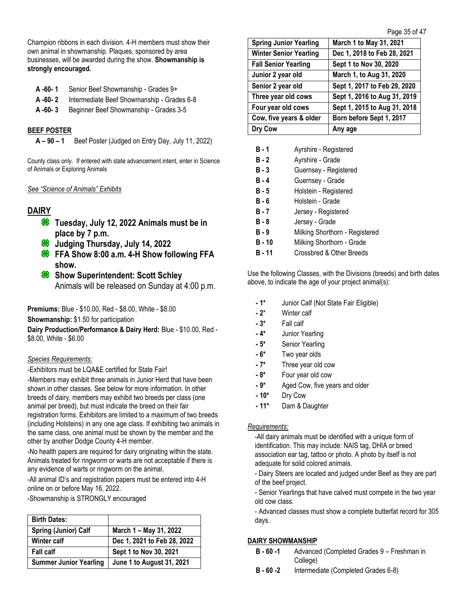Champion ribbons in each division. 4-H members must show their own animal in showmanship. Plaques, sponsored by area businesses, will be awarded during the show. **Showmanship is strongly encouraged.**

- **A -60- 1** Senior Beef Showmanship Grades 9+
- **A -60- 2** Intermediate Beef Showmanship Grades 6-8
- **A -60- 3** Beginner Beef Showmanship Grades 3-5

#### **BEEF POSTER**

**A – 90 – 1** Beef Poster (Judged on Entry Day, July 11, 2022)

County class only. If entered with state advancement intent, enter in Science of Animals or Exploring Animals

#### *See "Science of Animals" Exhibits*

## **DAIRY**

- **Tuesday, July 12, 2022 Animals must be in place by 7 p.m.**
- **Judging Thursday, July 14, 2022**
- **<sup>8</sup>** FFA Show 8:00 a.m. 4-H Show following FFA **show.**
- **Show Superintendent: Scott Schley** Animals will be released on Sunday at 4:00 p.m.

**Premiums:** Blue - \$10.00, Red - \$8.00, White - \$8.00

**Showmanship:** \$1.50 for participation

**Dairy Production/Performance & Dairy Herd:** Blue - \$10.00, Red - \$8.00, White - \$6.00

#### *Species Requirements:*

-Exhibitors must be LQA&E certified for State Fair!

-Members may exhibit three animals in Junior Herd that have been shown in other classes. See below for more information. In other breeds of dairy, members may exhibit two breeds per class (one animal per breed), but must indicate the breed on their fair registration forms. Exhibitors are limited to a maximum of two breeds (including Holsteins) in any one age class. If exhibiting two animals in the same class, one animal must be shown by the member and the other by another Dodge County 4-H member.

-No health papers are required for dairy originating within the state. Animals treated for ringworm or warts are not acceptable if there is any evidence of warts or ringworm on the animal.

-All animal ID's and registration papers must be entered into 4-H online on or before May 16, 2022.

-Showmanship is STRONGLY encouraged

| <b>Birth Dates:</b>           |                                  |
|-------------------------------|----------------------------------|
| Spring (Junior) Calf          | March 1 – May 31, 2022           |
| <b>Winter calf</b>            | Dec 1, 2021 to Feb 28, 2022      |
| <b>Fall calf</b>              | Sept 1 to Nov 30, 2021           |
| <b>Summer Junior Yearling</b> | <b>June 1 to August 31, 2021</b> |

| <b>Spring Junior Yearling</b> | March 1 to May 31, 2021      |
|-------------------------------|------------------------------|
| <b>Winter Senior Yearling</b> | Dec 1, 2018 to Feb 28, 2021  |
| <b>Fall Senior Yearling</b>   | Sept 1 to Nov 30, 2020       |
| Junior 2 year old             | March 1, to Aug 31, 2020     |
| Senior 2 year old             | Sept 1, 2017 to Feb 29, 2020 |
| Three year old cows           | Sept 1, 2016 to Aug 31, 2019 |
| Four year old cows            | Sept 1, 2015 to Aug 31, 2018 |
| Cow, five years & older       | Born before Sept 1, 2017     |
| Dry Cow                       | Any age                      |

| Ayrshire - Registered          |
|--------------------------------|
| Ayrshire - Grade               |
| Guernsey - Registered          |
| Guernsey - Grade               |
| Holstein - Registered          |
| Holstein - Grade               |
| Jersey - Registered            |
| Jersey - Grade                 |
| Milking Shorthorn - Registered |
| Milking Shorthorn - Grade      |
| Crossbred & Other Breeds       |
|                                |

Use the following Classes, with the Divisions (breeds) and birth dates above, to indicate the age of your project animal(s):

- **- 1\*** Junior Calf (Not State Fair Eligible)
- **- 2**\* Winter calf
- **- 3\*** Fall calf
- **- 4\*** Junior Yearling
- **- 5\*** Senior Yearling
- **- 6\*** Two year olds
- **- 7\*** Three year old cow
- **- 8\*** Four year old cow
- **- 9\*** Aged Cow, five years and older
- **- 10\*** Dry Cow
- **- 11\*** Dam & Daughter

#### *Requirements:*

-All dairy animals must be identified with a unique form of identification. This may include: NAIS tag, DHIA or breed association ear tag, tattoo or photo. A photo by itself is not adequate for solid colored animals.

- Dairy Steers are located and judged under Beef as they are part of the beef project.

- Senior Yearlings that have calved must compete in the two year old cow class.

- Advanced classes must show a complete butterfat record for 305 days.

#### **DAIRY SHOWMANSHIP**

- **B - 60 -1** Advanced (Completed Grades 9 Freshman in College)
- **B - 60 -2** Intermediate (Completed Grades 6-8)

Page 35 of 47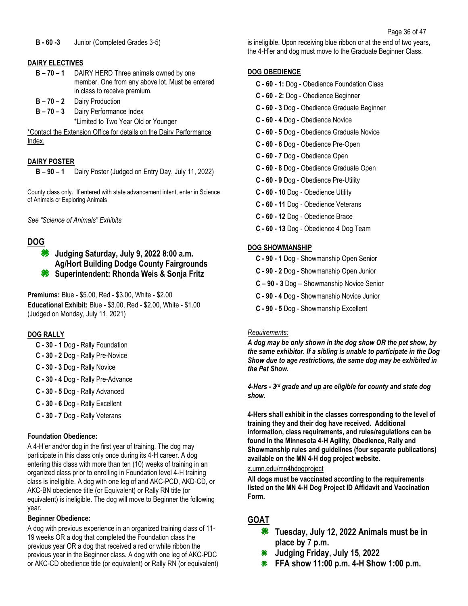### **DAIRY ELECTIVES**

- **B – 70 – 1** DAIRY HERD Three animals owned by one member. One from any above lot. Must be entered in class to receive premium.
- **B – 70 – 2** Dairy Production
- **B – 70 – 3** Dairy Performance Index \*Limited to Two Year Old or Younger

\*Contact the Extension Office for details on the Dairy Performance Index.

## **DAIRY POSTER**

**B – 90 – 1** Dairy Poster (Judged on Entry Day, July 11, 2022)

County class only. If entered with state advancement intent, enter in Science of Animals or Exploring Animals

### *See "Science of Animals" Exhibits*

## **DOG**

**Judging Saturday, July 9, 2022 8:00 a.m. Ag/Hort Building Dodge County Fairgrounds Superintendent: Rhonda Weis & Sonja Fritz** 

**Premiums:** Blue - \$5.00, Red - \$3.00, White - \$2.00 **Educational Exhibit:** Blue - \$3.00, Red - \$2.00, White - \$1.00 (Judged on Monday, July 11, 2021)

## **DOG RALLY**

- **C - 30 - 1** Dog Rally Foundation
- **C - 30 - 2** Dog Rally Pre-Novice
- **C - 30 - 3** Dog Rally Novice
- **C - 30 - 4** Dog Rally Pre-Advance
- **C - 30 - 5** Dog Rally Advanced
- **C - 30 - 6** Dog Rally Excellent
- **C - 30 - 7** Dog Rally Veterans

## **Foundation Obedience:**

A 4-H'er and/or dog in the first year of training. The dog may participate in this class only once during its 4-H career. A dog entering this class with more than ten (10) weeks of training in an organized class prior to enrolling in Foundation level 4-H training class is ineligible. A dog with one leg of and AKC-PCD, AKD-CD, or AKC-BN obedience title (or Equivalent) or Rally RN title (or equivalent) is ineligible. The dog will move to Beginner the following year.

#### **Beginner Obedience:**

A dog with previous experience in an organized training class of 11- 19 weeks OR a dog that completed the Foundation class the previous year OR a dog that received a red or white ribbon the previous year in the Beginner class. A dog with one leg of AKC-PDC or AKC-CD obedience title (or equivalent) or Rally RN (or equivalent) is ineligible. Upon receiving blue ribbon or at the end of two years, the 4-H'er and dog must move to the Graduate Beginner Class.

## **DOG OBEDIENCE**

- **C - 60 - 1:** Dog Obedience Foundation Class
- **C - 60 - 2:** Dog Obedience Beginner
- **C - 60 - 3** Dog Obedience Graduate Beginner
- **C - 60 - 4** Dog Obedience Novice
- **C - 60 - 5** Dog Obedience Graduate Novice
- **C - 60 - 6** Dog Obedience Pre-Open
- **C - 60 - 7** Dog Obedience Open
- **C - 60 - 8** Dog Obedience Graduate Open
- **C - 60 - 9** Dog Obedience Pre-Utility
- **C - 60 - 10** Dog Obedience Utility
- **C - 60 - 11** Dog Obedience Veterans
- **C - 60 - 12** Dog Obedience Brace
- **C - 60 - 13** Dog Obedience 4 Dog Team

## **DOG SHOWMANSHIP**

- **C - 90 - 1** Dog Showmanship Open Senior
- **C - 90 - 2** Dog Showmanship Open Junior
- **C – 90 - 3** Dog Showmanship Novice Senior
- **C - 90 - 4** Dog Showmanship Novice Junior
- **C - 90 - 5** Dog Showmanship Excellent

## *Requirements:*

*A dog may be only shown in the dog show OR the pet show, by the same exhibitor. If a sibling is unable to participate in the Dog Show due to age restrictions, the same dog may be exhibited in the Pet Show.*

*4-Hers - 3 rd grade and up are eligible for county and state dog show.*

**4-Hers shall exhibit in the classes corresponding to the level of training they and their dog have received. Additional information, class requirements, and rules/regulations can be found in the Minnesota 4-H Agility, Obedience, Rally and Showmanship rules and guidelines (four separate publications) available on the MN 4-H dog project website.** 

#### [z.umn.edu/mn4hdogproject](https://z.umn.edu/mn4hdogproject)

**All dogs must be vaccinated according to the requirements listed on the MN 4-H Dog Project ID Affidavit and Vaccination Form.** 

## **GOAT**

- **Tuesday, July 12, 2022 Animals must be in place by 7 p.m.**
- **Judging Friday, July 15, 2022**
- **FFA show 11:00 p.m. 4-H Show 1:00 p.m.**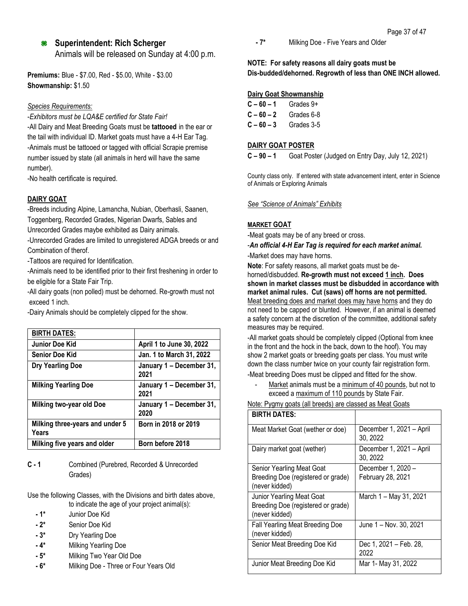## **Superintendent: Rich Scherger**

Animals will be released on Sunday at 4:00 p.m.

**Premiums:** Blue - \$7.00, Red - \$5.00, White - \$3.00 **Showmanship:** \$1.50

#### *Species Requirements:*

-*Exhibitors must be LQA&E certified for State Fair!*

-All Dairy and Meat Breeding Goats must be **tattooed** in the ear or the tail with individual ID. Market goats must have a 4-H Ear Tag. -Animals must be tattooed or tagged with official Scrapie premise number issued by state (all animals in herd will have the same number).

-No health certificate is required.

## **DAIRY GOAT**

-Breeds including Alpine, Lamancha, Nubian, Oberhasli, Saanen, Toggenberg, Recorded Grades, Nigerian Dwarfs, Sables and Unrecorded Grades maybe exhibited as Dairy animals.

-Unrecorded Grades are limited to unregistered ADGA breeds or and Combination of therof.

-Tattoos are required for Identification.

-Animals need to be identified prior to their first freshening in order to be eligible for a State Fair Trip.

-All dairy goats (non polled) must be dehorned. Re-growth must not exceed 1 inch.

-Dairy Animals should be completely clipped for the show.

| <b>BIRTH DATES:</b>                      |                                  |
|------------------------------------------|----------------------------------|
| Junior Doe Kid                           | April 1 to June 30, 2022         |
| <b>Senior Doe Kid</b>                    | Jan. 1 to March 31, 2022         |
| <b>Dry Yearling Doe</b>                  | January 1 - December 31,<br>2021 |
| <b>Milking Yearling Doe</b>              | January 1 - December 31,<br>2021 |
| Milking two-year old Doe                 | January 1 - December 31,<br>2020 |
| Milking three-years and under 5<br>Years | Born in 2018 or 2019             |
| Milking five years and older             | Born before 2018                 |

**C - 1** Combined (Purebred, Recorded & Unrecorded Grades)

Use the following Classes, with the Divisions and birth dates above, to indicate the age of your project animal(s):

- **- 1\*** Junior Doe Kid
- **- 2\*** Senior Doe Kid
- **- 3\*** Dry Yearling Doe
- **- 4\*** Milking Yearling Doe
- **- 5\*** Milking Two Year Old Doe
- **- 6\*** Milking Doe Three or Four Years Old

**- 7\*** Milking Doe - Five Years and Older

## **NOTE: For safety reasons all dairy goats must be Dis-budded/dehorned. Regrowth of less than ONE INCH allowed.**

#### **Dairy Goat Showmanship**

| $C - 60 - 1$ | Grades 9+  |
|--------------|------------|
| $C - 60 - 2$ | Grades 6-8 |
| $C - 60 - 3$ | Grades 3-5 |

#### **DAIRY GOAT POSTER**

**C – 90 – 1** Goat Poster (Judged on Entry Day, July 12, 2021)

County class only. If entered with state advancement intent, enter in Science of Animals or Exploring Animals

*See "Science of Animals" Exhibits*

## **MARKET GOAT**

-Meat goats may be of any breed or cross.

-*An official 4-H Ear Tag is required for each market animal.* -Market does may have horns.

**Note**: For safety reasons, all market goats must be dehorned/disbudded. **Re-growth must not exceed 1 inch. Does shown in market classes must be disbudded in accordance with market animal rules. Cut (saws) off horns are not permitted.** Meat breeding does and market does may have horns and they do not need to be capped or blunted. However, if an animal is deemed a safety concern at the discretion of the committee, additional safety measures may be required.

-All market goats should be completely clipped (Optional from knee in the front and the hock in the back, down to the hoof). You may show 2 market goats or breeding goats per class. You must write down the class number twice on your county fair registration form.

-Meat breeding Does must be clipped and fitted for the show.

Market animals must be a minimum of 40 pounds, but not to exceed a maximum of 110 pounds by State Fair.

| <b>BIRTH DATES:</b>                                                               |                                         |
|-----------------------------------------------------------------------------------|-----------------------------------------|
| Meat Market Goat (wether or doe)                                                  | December 1, 2021 - April<br>30, 2022    |
| Dairy market goat (wether)                                                        | December 1, 2021 - April<br>30, 2022    |
| Senior Yearling Meat Goat<br>Breeding Doe (registered or grade)<br>(never kidded) | December 1, 2020 -<br>February 28, 2021 |
| Junior Yearling Meat Goat<br>Breeding Doe (registered or grade)<br>(never kidded) | March 1 - May 31, 2021                  |
| Fall Yearling Meat Breeding Doe<br>(never kidded)                                 | June 1 – Nov. 30, 2021                  |
| Senior Meat Breeding Doe Kid                                                      | Dec 1, 2021 – Feb. 28,<br>2022          |
| Junior Meat Breeding Doe Kid                                                      | Mar 1- May 31, 2022                     |

| Note: Pygmy goats (all breeds) are classed as Meat Goats |  |  |
|----------------------------------------------------------|--|--|
|                                                          |  |  |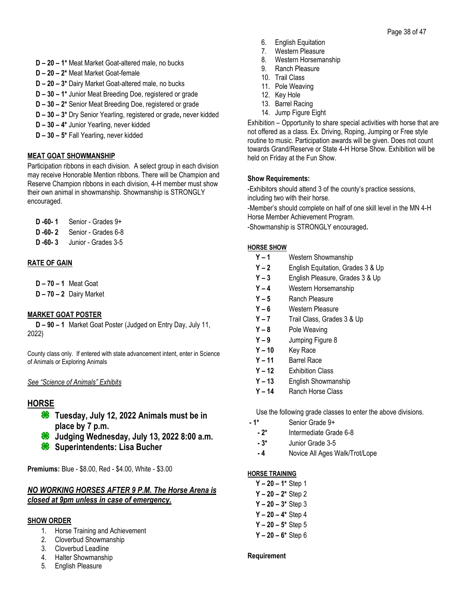- **D – 20 – 1\*** Meat Market Goat-altered male, no bucks
- **D – 20 – 2\*** Meat Market Goat-female
- **D – 20 – 3\*** Dairy Market Goat-altered male, no bucks
- **D – 30 – 1\*** Junior Meat Breeding Doe, registered or grade
- **D – 30 – 2\*** Senior Meat Breeding Doe, registered or grade
- **D – 30 – 3\*** Dry Senior Yearling, registered or grade**,** never kidded
- **D – 30 – 4\*** Junior Yearling, never kidded
- **D – 30 – 5\*** Fall Yearling, never kidded

## **MEAT GOAT SHOWMANSHIP**

Participation ribbons in each division. A select group in each division may receive Honorable Mention ribbons. There will be Champion and Reserve Champion ribbons in each division, 4-H member must show their own animal in showmanship. Showmanship is STRONGLY encouraged.

| $D - 60 - 1$ | Senior - Grades 9+  |
|--------------|---------------------|
| $D - 60 - 2$ | Senior - Grades 6-8 |

**D -60- 3** Junior - Grades 3-5

## **RATE OF GAIN**

- **D – 70 – 1** Meat Goat
- **D – 70 – 2** Dairy Market

## **MARKET GOAT POSTER**

**D – 90 – 1** Market Goat Poster (Judged on Entry Day, July 11, 2022)

County class only. If entered with state advancement intent, enter in Science of Animals or Exploring Animals

#### *See "Science of Animals" Exhibits*

## **HORSE**

- **Tuesday, July 12, 2022 Animals must be in place by 7 p.m.**
- **Judging Wednesday, July 13, 2022 8:00 a.m.**
- **Superintendents: Lisa Bucher**

**Premiums:** Blue - \$8.00, Red - \$4.00, White - \$3.00

## *NO WORKING HORSES AFTER 9 P.M. The Horse Arena is closed at 9pm unless in case of emergency.*

#### **SHOW ORDER**

- 1. Horse Training and Achievement
- 2. Cloverbud Showmanship
- 3. Cloverbud Leadline
- 4. Halter Showmanship
- 5. English Pleasure
- 6. English Equitation
- 7. Western Pleasure
- 8. Western Horsemanship
- 9. Ranch Pleasure
- 10. Trail Class
- 11. Pole Weaving
- 12. Key Hole
- 13. Barrel Racing
- 14. Jump Figure Eight

Exhibition – Opportunity to share special activities with horse that are not offered as a class. Ex. Driving, Roping, Jumping or Free style routine to music. Participation awards will be given. Does not count towards Grand/Reserve or State 4-H Horse Show. Exhibition will be held on Friday at the Fun Show.

### **Show Requirements:**

-Exhibitors should attend 3 of the county's practice sessions, including two with their horse.

-Member's should complete on half of one skill level in the MN 4-H Horse Member Achievement Program.

-Showmanship is STRONGLY encouraged**.**

#### **HORSE SHOW**

- **Y – 1** Western Showmanship
- **Y – 2** English Equitation, Grades 3 & Up
- **Y – 3** English Pleasure, Grades 3 & Up
- **Y – 4** Western Horsemanship
- **Y – 5** Ranch Pleasure
- **Y – 6** Western Pleasure
- **Y – 7** Trail Class, Grades 3 & Up
- **Y – 8** Pole Weaving
- **Y – 9** Jumping Figure 8
- **Y – 10** Key Race
- **Y – 11** Barrel Race
- **Y – 12** Exhibition Class
- **Y – 13** English Showmanship
- **Y – 14** Ranch Horse Class

Use the following grade classes to enter the above divisions.

- **- 1\*** Senior Grade 9+
	- **- 2\*** Intermediate Grade 6-8
	- **- 3\*** Junior Grade 3-5
	- **- 4** Novice All Ages Walk/Trot/Lope

#### **HORSE TRAINING**

- **Y – 20 – 1\*** Step 1 **Y – 20 – 2\*** Step 2 **Y – 20 – 3\*** Step 3
- **Y – 20 – 4\*** Step 4
- **Y – 20 – 5\*** Step 5
- **Y – 20 – 6\*** Step 6

#### **Requirement**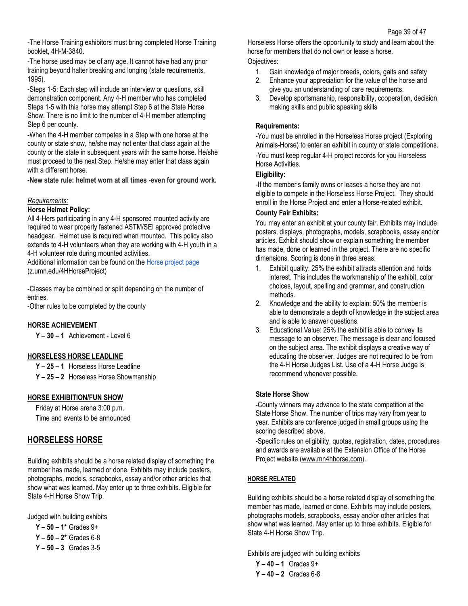-The Horse Training exhibitors must bring completed Horse Training booklet, 4H-M-3840.

-The horse used may be of any age. It cannot have had any prior training beyond halter breaking and longing (state requirements, 1995).

-Steps 1-5: Each step will include an interview or questions, skill demonstration component. Any 4-H member who has completed Steps 1-5 with this horse may attempt Step 6 at the State Horse Show. There is no limit to the number of 4-H member attempting Step 6 per county.

-When the 4-H member competes in a Step with one horse at the county or state show, he/she may not enter that class again at the county or the state in subsequent years with the same horse. He/she must proceed to the next Step. He/she may enter that class again with a different horse.

**-New state rule: helmet worn at all times -even for ground work.**

#### *Requirements:*

#### **Horse Helmet Policy:**

All 4-Hers participating in any 4-H sponsored mounted activity are required to wear properly fastened ASTM/SEI approved protective headgear. Helmet use is required when mounted. This policy also extends to 4-H volunteers when they are working with 4-H youth in a 4-H volunteer role during mounted activities.

Additional information can be found on the **Horse project page** (z.umn.edu/4HHorseProject)

-Classes may be combined or split depending on the number of entries.

-Other rules to be completed by the county

#### **HORSE ACHIEVEMENT**

**Y – 30 – 1** Achievement - Level 6

#### **HORSELESS HORSE LEADLINE**

**Y – 25 – 1** Horseless Horse Leadline

**Y – 25 – 2** Horseless Horse Showmanship

#### **HORSE EXHIBITION/FUN SHOW**

Friday at Horse arena 3:00 p.m. Time and events to be announced

## **HORSELESS HORSE**

Building exhibits should be a horse related display of something the member has made, learned or done. Exhibits may include posters, photographs, models, scrapbooks, essay and/or other articles that show what was learned. May enter up to three exhibits. Eligible for State 4-H Horse Show Trip.

Judged with building exhibits

**Y – 50 – 1\*** Grades 9+ **Y – 50 – 2\*** Grades 6-8 **Y – 50 – 3** Grades 3-5 Horseless Horse offers the opportunity to study and learn about the horse for members that do not own or lease a horse. Objectives:

- 1. Gain knowledge of major breeds, colors, gaits and safety<br>2. Enhance your appreciation for the value of the horse and
- Enhance your appreciation for the value of the horse and give you an understanding of care requirements.
- 3. Develop sportsmanship, responsibility, cooperation, decision making skills and public speaking skills

#### **Requirements:**

-You must be enrolled in the Horseless Horse project (Exploring Animals-Horse) to enter an exhibit in county or state competitions. -You must keep regular 4-H project records for you Horseless Horse Activities.

#### **Eligibility:**

-If the member's family owns or leases a horse they are not eligible to compete in the Horseless Horse Project. They should enroll in the Horse Project and enter a Horse-related exhibit.

#### **County Fair Exhibits:**

You may enter an exhibit at your county fair. Exhibits may include posters, displays, photographs, models, scrapbooks, essay and/or articles. Exhibit should show or explain something the member has made, done or learned in the project. There are no specific dimensions. Scoring is done in three areas:

- 1. Exhibit quality: 25% the exhibit attracts attention and holds interest. This includes the workmanship of the exhibit, color choices, layout, spelling and grammar, and construction methods.
- 2. Knowledge and the ability to explain: 50% the member is able to demonstrate a depth of knowledge in the subject area and is able to answer questions.
- 3. Educational Value: 25% the exhibit is able to convey its message to an observer. The message is clear and focused on the subject area. The exhibit displays a creative way of educating the observer. Judges are not required to be from the 4-H Horse Judges List. Use of a 4-H Horse Judge is recommend whenever possible.

#### **State Horse Show**

-County winners may advance to the state competition at the State Horse Show. The number of trips may vary from year to year. Exhibits are conference judged in small groups using the scoring described above.

-Specific rules on eligibility, quotas, registration, dates, procedures and awards are available at the Extension Office of the Horse Project website [\(www.mn4hhorse.com\)](http://www.mn4hhorse.com/).

#### **HORSE RELATED**

Building exhibits should be a horse related display of something the member has made, learned or done. Exhibits may include posters, photographs models, scrapbooks, essay and/or other articles that show what was learned. May enter up to three exhibits. Eligible for State 4-H Horse Show Trip.

Exhibits are judged with building exhibits

**Y – 40 – 1** Grades 9+ **Y – 40 – 2** Grades 6-8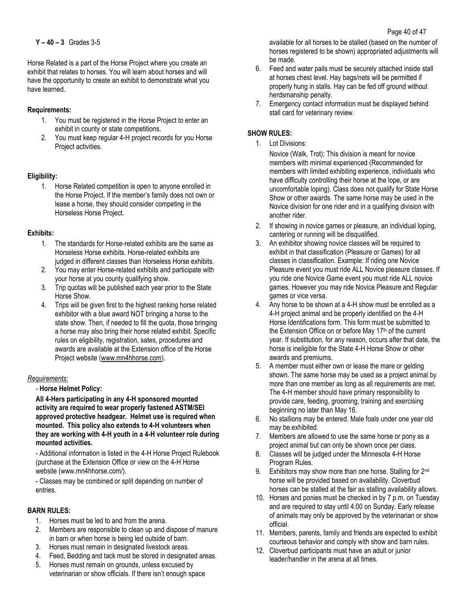Horse Related is a part of the Horse Project where you create an exhibit that relates to horses. You will learn about horses and will have the opportunity to create an exhibit to demonstrate what you have learned.

### **Requirements:**

- 1. You must be registered in the Horse Project to enter an exhibit in county or state competitions.
- 2. You must keep regular 4-H project records for you Horse Project activities.

### **Eligibility:**

1. Horse Related competition is open to anyone enrolled in the Horse Project. If the member's family does not own or lease a horse, they should consider competing in the Horseless Horse Project.

### **Exhibits:**

- 1. The standards for Horse-related exhibits are the same as Horseless Horse exhibits. Horse-related exhibits are judged in different classes than Horseless Horse exhibits.
- 2. You may enter Horse-related exhibits and participate with your horse at you county qualifying show.
- 3. Trip quotas will be published each year prior to the State Horse Show.
- 4. Trips will be given first to the highest ranking horse related exhibitor with a blue award NOT bringing a horse to the state show. Then, if needed to fill the quota, those bringing a horse may also bring their horse related exhibit. Specific rules on eligibility, registration, sates, procedures and awards are available at the Extension office of the Horse Project website [\(www.mn4hhorse.com\)](http://www.mn4hhorse.com/).

#### *Requirements:*

#### - **Horse Helmet Policy:**

**All 4-Hers participating in any 4-H sponsored mounted activity are required to wear properly fastened ASTM/SEI approved protective headgear. Helmet use is required when mounted. This policy also extends to 4-H volunteers when they are working with 4-H youth in a 4-H volunteer role during mounted activities.** 

- Additional information is listed in the 4-H Horse Project Rulebook (purchase at the Extension Office or view on the 4-H Horse website (www.mn4hhorse.com/).

- Classes may be combined or split depending on number of entries.

### **BARN RULES:**

- 1. Horses must be led to and from the arena.
- 2. Members are responsible to clean up and dispose of manure in barn or when horse is being led outside of barn.
- 3. Horses must remain in designated livestock areas.
- 4. Feed, Bedding and tack must be stored in designated areas.
- 5. Horses must remain on grounds, unless excused by veterinarian or show officials. If there isn't enough space

available for all horses to be stalled (based on the number of horses registered to be shown) appropriated adjustments will be made.

- 6. Feed and water pails must be securely attached inside stall at horses chest level. Hay bags/nets will be permitted if properly hung in stalls. Hay can be fed off ground without herdsmanship penalty.
- 7. Emergency contact information must be displayed behind stall card for veterinary review.

### **SHOW RULES:**

1. Lot Divisions:

Novice (Walk, Trot): This division is meant for novice members with minimal experienced (Recommended for members with limited exhibiting experience, individuals who have difficulty controlling their horse at the lope, or are uncomfortable loping). Class does not qualify for State Horse Show or other awards. The same horse may be used in the Novice division for one rider and in a qualifying division with another rider.

- 2. If showing in novice games or pleasure, an individual loping, cantering or running will be disqualified.
- 3. An exhibitor showing novice classes will be required to exhibit in that classification (Pleasure or Games) for all classes in classification. Example: If riding one Novice Pleasure event you must ride ALL Novice pleasure classes. If you ride one Novice Game event you must ride ALL novice games. However you may ride Novice Pleasure and Regular games or vice versa.
- 4. Any horse to be shown at a 4-H show must be enrolled as a 4-H project animal and be properly identified on the 4-H Horse Identifications form. This form must be submitted to the Extension Office on or before May 17<sup>th</sup> of the current year. If substitution, for any reason, occurs after that date, the horse is ineligible for the State 4-H Horse Show or other awards and premiums.
- 5. A member must either own or lease the mare or gelding shown. The same horse may be used as a project animal by more than one member as long as all requirements are met. The 4-H member should have primary responsibility to provide care, feeding, grooming, training and exercising beginning no later than May 16.
- 6. No stallions may be entered. Male foals under one year old may be exhibited.
- 7. Members are allowed to use the same horse or pony as a project animal but can only be shown once per class.
- 8. Classes will be judged under the Minnesota 4-H Horse Program Rules.
- 9. Exhibitors may show more than one horse. Stalling for 2nd horse will be provided based on availability. Cloverbud horses can be stalled at the fair as stalling availability allows.
- 10. Horses and ponies must be checked in by 7 p.m. on Tuesday and are required to stay until 4:00 on Sunday. Early release of animals may only be approved by the veterinarian or show official.
- 11. Members, parents, family and friends are expected to exhibit courteous behavior and comply with show and barn rules.
- 12. Cloverbud participants must have an adult or junior leader/handler in the arena at all times.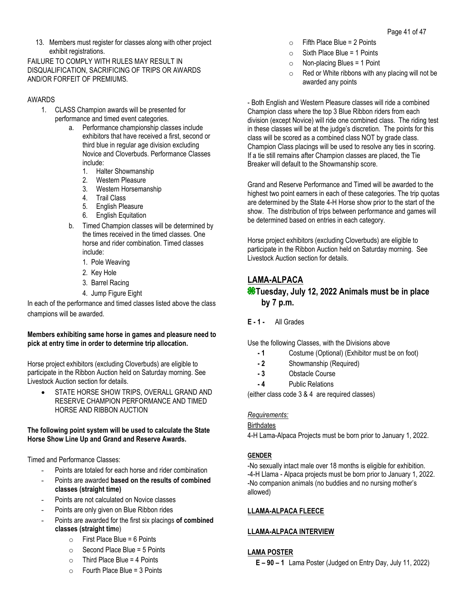13. Members must register for classes along with other project exhibit registrations.

FAILURE TO COMPLY WITH RULES MAY RESULT IN DISQUALIFICATION, SACRIFICING OF TRIPS OR AWARDS AND/OR FORFEIT OF PREMIUMS.

### AWARDS

- 1. CLASS Champion awards will be presented for performance and timed event categories.
	- a. Performance championship classes include exhibitors that have received a first, second or third blue in regular age division excluding Novice and Cloverbuds. Performance Classes include:
		- 1. Halter Showmanship
		- 2. Western Pleasure
		- 3. Western Horsemanship
		- 4. Trail Class
		- 5. English Pleasure
		- 6. English Equitation
	- b. Timed Champion classes will be determined by the times received in the timed classes. One horse and rider combination. Timed classes include:
		- 1. Pole Weaving
		- 2. Key Hole
		- 3. Barrel Racing
		- 4. Jump Figure Eight

In each of the performance and timed classes listed above the class champions will be awarded.

### **Members exhibiting same horse in games and pleasure need to pick at entry time in order to determine trip allocation.**

Horse project exhibitors (excluding Cloverbuds) are eligible to participate in the Ribbon Auction held on Saturday morning. See Livestock Auction section for details.

STATE HORSE SHOW TRIPS, OVERALL GRAND AND RESERVE CHAMPION PERFORMANCE AND TIMED HORSE AND RIBBON AUCTION

#### **The following point system will be used to calculate the State Horse Show Line Up and Grand and Reserve Awards.**

Timed and Performance Classes:

- Points are totaled for each horse and rider combination
- Points are awarded **based on the results of combined classes (straight time)**
- Points are not calculated on Novice classes
- Points are only given on Blue Ribbon rides
- Points are awarded for the first six placings **of combined classes (straight tim**e)
	- $\circ$  First Place Blue = 6 Points
	- $\circ$  Second Place Blue = 5 Points
	- $\circ$  Third Place Blue = 4 Points
	- $\circ$  Fourth Place Blue = 3 Points
- $\circ$  Fifth Place Blue = 2 Points
- $\circ$  Sixth Place Blue = 1 Points
- $\circ$  Non-placing Blues = 1 Point
- $\circ$  Red or White ribbons with any placing will not be awarded any points

- Both English and Western Pleasure classes will ride a combined Champion class where the top 3 Blue Ribbon riders from each division (except Novice) will ride one combined class. The riding test in these classes will be at the judge's discretion. The points for this class will be scored as a combined class NOT by grade class. Champion Class placings will be used to resolve any ties in scoring. If a tie still remains after Champion classes are placed, the Tie Breaker will default to the Showmanship score.

Grand and Reserve Performance and Timed will be awarded to the highest two point earners in each of these categories. The trip quotas are determined by the State 4-H Horse show prior to the start of the show. The distribution of trips between performance and games will be determined based on entries in each category.

Horse project exhibitors (excluding Cloverbuds) are eligible to participate in the Ribbon Auction held on Saturday morning. See Livestock Auction section for details.

## **LAMA-ALPACA**

## **Tuesday, July 12, 2022 Animals must be in place by 7 p.m.**

**E - 1 -** All Grades

Use the following Classes, with the Divisions above

- **- 1** Costume (Optional) (Exhibitor must be on foot)
- **- 2** Showmanship (Required)
- **- 3** Obstacle Course
- **- 4** Public Relations

(either class code 3 & 4 are required classes)

## *Requirements:*

#### **Birthdates**

4-H Lama-Alpaca Projects must be born prior to January 1, 2022.

## **GENDER**

-No sexually intact male over 18 months is eligible for exhibition. -4-H Llama - Alpaca projects must be born prior to January 1, 2022. -No companion animals (no buddies and no nursing mother's allowed)

## **LLAMA-ALPACA FLEECE**

## **LLAMA-ALPACA INTERVIEW**

#### **LAMA POSTER**

**E – 90 – 1** Lama Poster (Judged on Entry Day, July 11, 2022)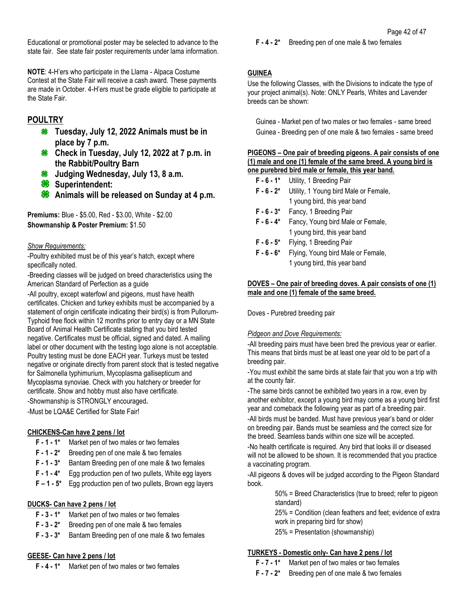Educational or promotional poster may be selected to advance to the state fair. See state fair poster requirements under lama information.

**NOTE**: 4-H'ers who participate in the Llama - Alpaca Costume Contest at the State Fair will receive a cash award. These payments are made in October. 4-H'ers must be grade eligible to participate at the State Fair.

## **POULTRY**

- **Tuesday, July 12, 2022 Animals must be in place by 7 p.m.**
- **Check in Tuesday, July 12, 2022 at 7 p.m. in the Rabbit/Poultry Barn**
- ₩ **Judging Wednesday, July 13, 8 a.m.**
- **Superintendent:**
- **Animals will be released on Sunday at 4 p.m.**

**Premiums:** Blue - \$5.00, Red - \$3.00, White - \$2.00 **Showmanship & Poster Premium:** \$1.50

## *Show Requirements:*

-Poultry exhibited must be of this year's hatch, except where specifically noted.

-Breeding classes will be judged on breed characteristics using the American Standard of Perfection as a guide

-All poultry, except waterfowl and pigeons, must have health certificates. Chicken and turkey exhibits must be accompanied by a statement of origin certificate indicating their bird(s) is from Pullorum-Typhoid free flock within 12 months prior to entry day or a MN State Board of Animal Health Certificate stating that you bird tested negative. Certificates must be official, signed and dated. A mailing label or other document with the testing logo alone is not acceptable. Poultry testing must be done EACH year. Turkeys must be tested negative or originate directly from parent stock that is tested negative for Salmonella typhimurium, Mycoplasma gallisepticum and Mycoplasma synoviae. Check with you hatchery or breeder for certificate. Show and hobby must also have certificate.

-Showmanship is STRONGLY encouraged**.**

-Must be LQA&E Certified for State Fair!

## **CHICKENS-Can have 2 pens / lot**

- **F - 1 - 1\*** Market pen of two males or two females
- **F - 1 - 2\*** Breeding pen of one male & two females
- **F - 1 - 3\*** Bantam Breeding pen of one male & two females
- **F - 1 - 4\*** Egg production pen of two pullets, White egg layers
- **F – 1 - 5\*** Egg production pen of two pullets, Brown egg layers

## **DUCKS- Can have 2 pens / lot**

- **F - 3 - 1\*** Market pen of two males or two females
- **F - 3 - 2\*** Breeding pen of one male & two females
- **F - 3 - 3\*** Bantam Breeding pen of one male & two females

## **GEESE- Can have 2 pens / lot**

**F - 4 - 1\*** Market pen of two males or two females

### **F - 4 - 2\*** Breeding pen of one male & two females

## **GUINEA**

Use the following Classes, with the Divisions to indicate the type of your project animal(s). Note: ONLY Pearls, Whites and Lavender breeds can be shown:

Guinea - Market pen of two males or two females - same breed Guinea - Breeding pen of one male & two females - same breed

#### **PIGEONS – One pair of breeding pigeons. A pair consists of one (1) male and one (1) female of the same breed. A young bird is one purebred bird male or female, this year band.**

- **F - 6 - 1\*** Utility, 1 Breeding Pair
- **F - 6 - 2\*** Utility, 1 Young bird Male or Female, 1 young bird, this year band
- **F - 6 - 3\*** Fancy, 1 Breeding Pair
- **F - 6 - 4\*** Fancy, Young bird Male or Female, 1 young bird, this year band
- **F - 6 - 5\*** Flying, 1 Breeding Pair
- **F - 6 - 6\*** Flying, Young bird Male or Female, 1 young bird, this year band

### **DOVES – One pair of breeding doves. A pair consists of one (1) male and one (1) female of the same breed.**

Doves - Purebred breeding pair

## *Pidgeon and Dove Requirements:*

-All breeding pairs must have been bred the previous year or earlier. This means that birds must be at least one year old to be part of a breeding pair.

-You must exhibit the same birds at state fair that you won a trip with at the county fair.

-The same birds cannot be exhibited two years in a row, even by another exhibitor, except a young bird may come as a young bird first year and comeback the following year as part of a breeding pair.

-All birds must be banded. Must have previous year's band or older on breeding pair. Bands must be seamless and the correct size for the breed. Seamless bands within one size will be accepted.

-No health certificate is required. Any bird that looks ill or diseased will not be allowed to be shown. It is recommended that you practice a vaccinating program.

-All pigeons & doves will be judged according to the Pigeon Standard book.

> 50% = Breed Characteristics (true to breed; refer to pigeon standard)

25% = Condition (clean feathers and feet; evidence of extra work in preparing bird for show)

25% = Presentation (showmanship)

## **TURKEYS - Domestic only- Can have 2 pens / lot**

- **F - 7 - 1\*** Market pen of two males or two females
- **F - 7 - 2\*** Breeding pen of one male & two females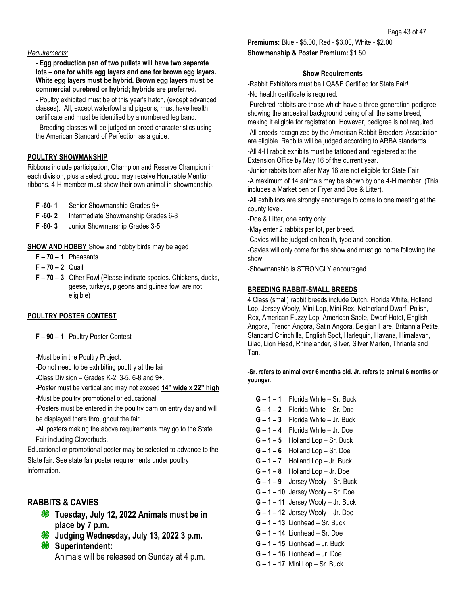#### *Requirements:*

**- Egg production pen of two pullets will have two separate lots – one for white egg layers and one for brown egg layers. White egg layers must be hybrid. Brown egg layers must be commercial purebred or hybrid; hybrids are preferred.**

- Poultry exhibited must be of this year's hatch, (except advanced classes). All, except waterfowl and pigeons, must have health certificate and must be identified by a numbered leg band.

- Breeding classes will be judged on breed characteristics using the American Standard of Perfection as a guide.

### **POULTRY SHOWMANSHIP**

Ribbons include participation, Champion and Reserve Champion in each division, plus a select group may receive Honorable Mention ribbons. 4-H member must show their own animal in showmanship.

- **F -60- 1** Senior Showmanship Grades 9+
- **F -60- 2** Intermediate Showmanship Grades 6-8
- **F -60- 3** Junior Showmanship Grades 3-5

**SHOW AND HOBBY** Show and hobby birds may be aged

- **F – 70 – 1** Pheasants
- **F – 70 – 2** Quail
- **F – 70 – 3** Other Fowl (Please indicate species. Chickens, ducks, geese, turkeys, pigeons and guinea fowl are not eligible)

#### **POULTRY POSTER CONTEST**

**F – 90 – 1** Poultry Poster Contest

-Must be in the Poultry Project.

-Do not need to be exhibiting poultry at the fair.

-Class Division – Grades K-2, 3-5, 6-8 and 9+.

-Poster must be vertical and may not exceed **14" wide x 22" high** -Must be poultry promotional or educational.

-Posters must be entered in the poultry barn on entry day and will be displayed there throughout the fair.

-All posters making the above requirements may go to the State Fair including Cloverbuds.

Educational or promotional poster may be selected to advance to the State fair. See state fair poster requirements under poultry information.

## **RABBITS & CAVIES**

- **Tuesday, July 12, 2022 Animals must be in place by 7 p.m.**
- **Judging Wednesday, July 13, 2022 3 p.m.**
- **Superintendent:** Animals will be released on Sunday at 4 p.m.

**Premiums:** Blue - \$5.00, Red - \$3.00, White - \$2.00 **Showmanship & Poster Premium:** \$1.50

#### **Show Requirements**

-Rabbit Exhibitors must be LQA&E Certified for State Fair! -No health certificate is required.

-Purebred rabbits are those which have a three-generation pedigree showing the ancestral background being of all the same breed, making it eligible for registration. However, pedigree is not required.

-All breeds recognized by the American Rabbit Breeders Association are eligible. Rabbits will be judged according to ARBA standards.

-All 4-H rabbit exhibits must be tattooed and registered at the Extension Office by May 16 of the current year.

-Junior rabbits born after May 16 are not eligible for State Fair

-A maximum of 14 animals may be shown by one 4-H member. (This includes a Market pen or Fryer and Doe & Litter).

-All exhibitors are strongly encourage to come to one meeting at the county level.

-Doe & Litter, one entry only.

-May enter 2 rabbits per lot, per breed.

-Cavies will be judged on health, type and condition.

-Cavies will only come for the show and must go home following the show.

-Showmanship is STRONGLY encouraged.

#### **BREEDING RABBIT-SMALL BREEDS**

4 Class (small) rabbit breeds include Dutch, Florida White, Holland Lop, Jersey Wooly, Mini Lop, Mini Rex, Netherland Dwarf, Polish, Rex, American Fuzzy Lop, American Sable, Dwarf Hotot, English Angora, French Angora, Satin Angora, Belgian Hare, Britannia Petite, Standard Chinchilla, English Spot, Harlequin, Havana, Himalayan, Lilac, Lion Head, Rhinelander, Silver, Silver Marten, Thrianta and Tan.

#### **-Sr. refers to animal over 6 months old. Jr. refers to animal 6 months or younger**.

- **G – 1 – 1** Florida White Sr. Buck
- **G – 1 – 2** Florida White Sr. Doe
- **G – 1 – 3** Florida White Jr. Buck
- **G – 1 – 4** Florida White Jr. Doe
- **G – 1 – 5** Holland Lop Sr. Buck
- **G – 1 – 6** Holland Lop Sr. Doe
- **G – 1 – 7** Holland Lop Jr. Buck
- **G – 1 – 8** Holland Lop Jr. Doe
- **G – 1 – 9** Jersey Wooly Sr. Buck
- **G – 1 – 10** Jersey Wooly Sr. Doe
- **G – 1 – 11** Jersey Wooly Jr. Buck
- **G – 1 – 12** Jersey Wooly Jr. Doe
- **G – 1 – 13** Lionhead Sr. Buck
- **G – 1 – 14** Lionhead Sr. Doe
- **G – 1 – 15** Lionhead Jr. Buck
- **G – 1 – 16** Lionhead Jr. Doe
- **G – 1 – 17** Mini Lop Sr. Buck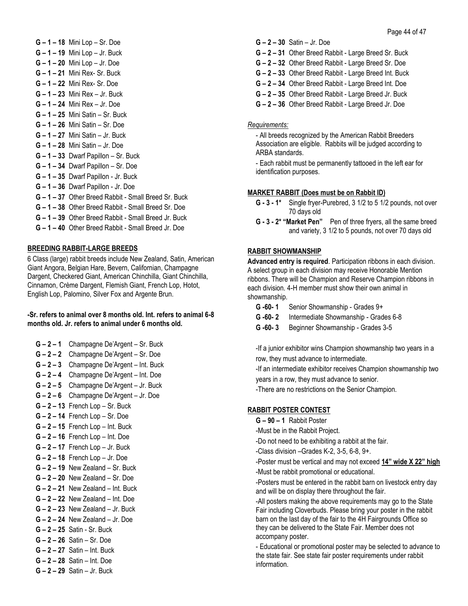**G – 1 – 18** Mini Lop – Sr. Doe **G – 1 – 19** Mini Lop – Jr. Buck **G – 1 – 20** Mini Lop – Jr. Doe **G – 1 – 21** Mini Rex- Sr. Buck **G – 1 – 22** Mini Rex- Sr. Doe **G – 1 – 23** Mini Rex – Jr. Buck **G – 1 – 24** Mini Rex – Jr. Doe **G – 1 – 25** Mini Satin – Sr. Buck **G – 1 – 26** Mini Satin – Sr. Doe **G – 1 – 27** Mini Satin – Jr. Buck **G – 1 – 28** Mini Satin – Jr. Doe **G – 1 – 33** Dwarf Papillon – Sr. Buck **G – 1 – 34** Dwarf Papillon – Sr. Doe **G – 1 – 35** Dwarf Papillon - Jr. Buck **G – 1 – 36** Dwarf Papillon - Jr. Doe **G – 1 – 37** Other Breed Rabbit - Small Breed Sr. Buck **G – 1 – 38** Other Breed Rabbit - Small Breed Sr. Doe **G – 1 – 39** Other Breed Rabbit - Small Breed Jr. Buck **G – 1 – 40** Other Breed Rabbit - Small Breed Jr. Doe

#### **BREEDING RABBIT-LARGE BREEDS**

6 Class (large) rabbit breeds include New Zealand, Satin, American Giant Angora, Belgian Hare, Bevern, Californian, Champagne Dargent, Checkered Giant, American Chinchilla, Giant Chinchilla, Cinnamon, Crème Dargent, Flemish Giant, French Lop, Hotot, English Lop, Palomino, Silver Fox and Argente Brun.

#### **-Sr. refers to animal over 8 months old. Int. refers to animal 6-8 months old. Jr. refers to animal under 6 months old.**

- **G – 2 – 1** Champagne De'Argent Sr. Buck
- **G – 2 – 2** Champagne De'Argent Sr. Doe
- **G – 2 – 3** Champagne De'Argent Int. Buck
- **G – 2 – 4** Champagne De'Argent Int. Doe
- **G – 2 – 5** Champagne De'Argent Jr. Buck
- **G – 2 – 6** Champagne De'Argent Jr. Doe
- **G – 2 – 13** French Lop Sr. Buck
- **G – 2 – 14** French Lop Sr. Doe
- **G – 2 – 15** French Lop Int. Buck
- **G – 2 – 16** French Lop Int. Doe
- **G – 2 – 17** French Lop Jr. Buck
- **G – 2 – 18** French Lop Jr. Doe
- **G – 2 – 19** New Zealand Sr. Buck
- **G – 2 – 20** New Zealand Sr. Doe
- **G – 2 – 21** New Zealand Int. Buck
- **G – 2 – 22** New Zealand Int. Doe
- 
- **G – 2 – 23** New Zealand Jr. Buck
- **G – 2 – 24** New Zealand Jr. Doe
- **G – 2 – 25** Satin Sr. Buck
- **G – 2 – 26** Satin Sr. Doe
- **G – 2 – 27** Satin Int. Buck
- **G – 2 – 28** Satin Int. Doe
- **G – 2 – 29** Satin Jr. Buck
- **G – 2 – 30** Satin Jr. Doe
- **G – 2 – 31** Other Breed Rabbit Large Breed Sr. Buck
- **G – 2 – 32** Other Breed Rabbit Large Breed Sr. Doe
- **G – 2 – 33** Other Breed Rabbit Large Breed Int. Buck
- **G – 2 – 34** Other Breed Rabbit Large Breed Int. Doe
- **G – 2 – 35** Other Breed Rabbit Large Breed Jr. Buck
- **G – 2 – 36** Other Breed Rabbit Large Breed Jr. Doe

#### *Requirements:*

- All breeds recognized by the American Rabbit Breeders Association are eligible. Rabbits will be judged according to ARBA standards.

- Each rabbit must be permanently tattooed in the left ear for identification purposes.

#### **MARKET RABBIT (Does must be on Rabbit ID)**

- **G - 3 - 1\*** Single fryer-Purebred, 3 1/2 to 5 1/2 pounds, not over 70 days old
- **G - 3 - 2\* "Market Pen"** Pen of three fryers, all the same breed and variety, 3 1/2 to 5 pounds, not over 70 days old

#### **RABBIT SHOWMANSHIP**

**Advanced entry is required**. Participation ribbons in each division. A select group in each division may receive Honorable Mention ribbons. There will be Champion and Reserve Champion ribbons in each division. 4-H member must show their own animal in showmanship.

- **G -60- 1** Senior Showmanship Grades 9+
- **G -60- 2** Intermediate Showmanship Grades 6-8
- **G -60- 3** Beginner Showmanship Grades 3-5

-If a junior exhibitor wins Champion showmanship two years in a row, they must advance to intermediate.

-If an intermediate exhibitor receives Champion showmanship two years in a row, they must advance to senior.

-There are no restrictions on the Senior Champion.

#### **RABBIT POSTER CONTEST**

**G – 90 – 1** Rabbit Poster

-Must be in the Rabbit Project.

- -Do not need to be exhibiting a rabbit at the fair.
- -Class division –Grades K-2, 3-5, 6-8, 9+.

-Poster must be vertical and may not exceed **14" wide X 22" high** -Must be rabbit promotional or educational.

-Posters must be entered in the rabbit barn on livestock entry day and will be on display there throughout the fair.

-All posters making the above requirements may go to the State Fair including Cloverbuds. Please bring your poster in the rabbit barn on the last day of the fair to the 4H Fairgrounds Office so they can be delivered to the State Fair. Member does not accompany poster.

- Educational or promotional poster may be selected to advance to the state fair. See state fair poster requirements under rabbit information.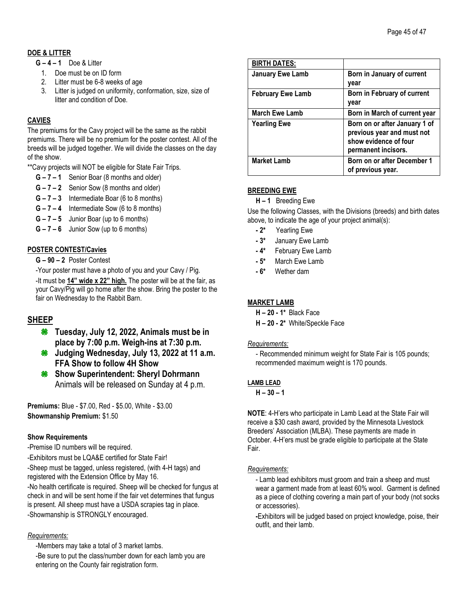## **DOE & LITTER**

- **G – 4 – 1** Doe & Litter
	- 1. Doe must be on ID form
	- 2. Litter must be 6-8 weeks of age
	- 3. Litter is judged on uniformity, conformation, size, size of litter and condition of Doe.

## **CAVIES**

The premiums for the Cavy project will be the same as the rabbit premiums. There will be no premium for the poster contest. All of the breeds will be judged together. We will divide the classes on the day of the show.

\*\*Cavy projects will NOT be eligible for State Fair Trips.

- **G – 7 – 1** Senior Boar (8 months and older)
- **G – 7 – 2** Senior Sow (8 months and older)
- **G – 7 – 3** Intermediate Boar (6 to 8 months)
- **G – 7 – 4** Intermediate Sow (6 to 8 months)
- **G – 7 – 5** Junior Boar (up to 6 months)
- **G – 7 – 6** Junior Sow (up to 6 months)

## **POSTER CONTEST/Cavies**

**G – 90 – 2** Poster Contest

-Your poster must have a photo of you and your Cavy / Pig.

-It must be **14" wide x 22" high.** The poster will be at the fair, as your Cavy/Pig will go home after the show. Bring the poster to the fair on Wednesday to the Rabbit Barn.

## **SHEEP**

- **Tuesday, July 12, 2022, Animals must be in place by 7:00 p.m. Weigh-ins at 7:30 p.m.**
- **Judging Wednesday, July 13, 2022 at 11 a.m. FFA Show to follow 4H Show**
- **Show Superintendent: Sheryl Dohrmann** Animals will be released on Sunday at 4 p.m.

**Premiums:** Blue - \$7.00, Red - \$5.00, White - \$3.00 **Showmanship Premium:** \$1.50

## **Show Requirements**

-Premise ID numbers will be required.

-Exhibitors must be LQA&E certified for State Fair!

-Sheep must be tagged, unless registered, (with 4-H tags) and registered with the Extension Office by May 16.

-No health certificate is required. Sheep will be checked for fungus at check in and will be sent home if the fair vet determines that fungus is present. All sheep must have a USDA scrapies tag in place. -Showmanship is STRONGLY encouraged.

## *Requirements:*

-Members may take a total of 3 market lambs.

-Be sure to put the class/number down for each lamb you are entering on the County fair registration form.

| <b>BIRTH DATES:</b>      |                                                                                                             |
|--------------------------|-------------------------------------------------------------------------------------------------------------|
| <b>January Ewe Lamb</b>  | Born in January of current<br>vear                                                                          |
| <b>February Ewe Lamb</b> | Born in February of current<br>year                                                                         |
| <b>March Ewe Lamb</b>    | Born in March of current year                                                                               |
| <b>Yearling Ewe</b>      | Born on or after January 1 of<br>previous year and must not<br>show evidence of four<br>permanent incisors. |
| <b>Market Lamb</b>       | Born on or after December 1<br>of previous year.                                                            |

## **BREEDING EWE**

**H – 1** Breeding Ewe

Use the following Classes, with the Divisions (breeds) and birth dates above, to indicate the age of your project animal(s):

- **- 2\*** Yearling Ewe
- **- 3\*** January Ewe Lamb
- **- 4\*** February Ewe Lamb
- **- 5\*** March Ewe Lamb
- **- 6\*** Wether dam

## **MARKET LAMB**

**H – 20 - 1\*** Black Face

**H – 20 - 2\*** White/Speckle Face

## *Requirements:*

- Recommended minimum weight for State Fair is 105 pounds; recommended maximum weight is 170 pounds.

## **LAMB LEAD**

**H – 30 – 1**

**NOTE**: 4-H'ers who participate in Lamb Lead at the State Fair will receive a \$30 cash award, provided by the Minnesota Livestock Breeders' Association (MLBA). These payments are made in October. 4-H'ers must be grade eligible to participate at the State Fair.

## *Requirements:*

- Lamb lead exhibitors must groom and train a sheep and must wear a garment made from at least 60% wool. Garment is defined as a piece of clothing covering a main part of your body (not socks or accessories).

**-**Exhibitors will be judged based on project knowledge, poise, their outfit, and their lamb.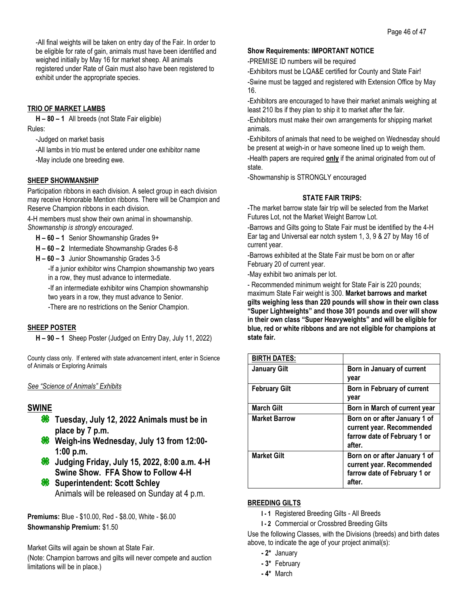-All final weights will be taken on entry day of the Fair. In order to be eligible for rate of gain, animals must have been identified and weighed initially by May 16 for market sheep. All animals registered under Rate of Gain must also have been registered to exhibit under the appropriate species.

## **TRIO OF MARKET LAMBS**

**H – 80 – 1** All breeds (not State Fair eligible) Rules:

-Judged on market basis

-All lambs in trio must be entered under one exhibitor name -May include one breeding ewe.

## **SHEEP SHOWMANSHIP**

Participation ribbons in each division. A select group in each division may receive Honorable Mention ribbons. There will be Champion and Reserve Champion ribbons in each division.

4-H members must show their own animal in showmanship. *Showmanship is strongly encouraged*.

- **H – 60 – 1** Senior Showmanship Grades 9+
- **H – 60 – 2** Intermediate Showmanship Grades 6-8
- **H – 60 – 3** Junior Showmanship Grades 3-5

-If a junior exhibitor wins Champion showmanship two years in a row, they must advance to intermediate.

-If an intermediate exhibitor wins Champion showmanship two years in a row, they must advance to Senior.

-There are no restrictions on the Senior Champion.

## **SHEEP POSTER**

**H – 90 – 1** Sheep Poster (Judged on Entry Day, July 11, 2022)

County class only. If entered with state advancement intent, enter in Science of Animals or Exploring Animals

## *See "Science of Animals" Exhibits*

## **SWINE**

- **Tuesday, July 12, 2022 Animals must be in place by 7 p.m.**
- **Weigh-ins Wednesday, July 13 from 12:00- 1:00 p.m.**
- **Judging Friday, July 15, 2022, 8:00 a.m. 4-H Swine Show. FFA Show to Follow 4-H**
- **Superintendent: Scott Schley** Animals will be released on Sunday at 4 p.m.

**Premiums:** Blue - \$10.00, Red - \$8.00, White - \$6.00 **Showmanship Premium:** \$1.50

Market Gilts will again be shown at State Fair.

(Note: Champion barrows and gilts will never compete and auction limitations will be in place.)

#### **Show Requirements: IMPORTANT NOTICE**

-PREMISE ID numbers will be required

-Exhibitors must be LQA&E certified for County and State Fair! -Swine must be tagged and registered with Extension Office by May 16.

-Exhibitors are encouraged to have their market animals weighing at least 210 lbs if they plan to ship it to market after the fair.

-Exhibitors must make their own arrangements for shipping market animals.

-Exhibitors of animals that need to be weighed on Wednesday should be present at weigh-in or have someone lined up to weigh them.

-Health papers are required **only** if the animal originated from out of state.

-Showmanship is STRONGLY encouraged

## **STATE FAIR TRIPS:**

-The market barrow state fair trip will be selected from the Market Futures Lot, not the Market Weight Barrow Lot.

-Barrows and Gilts going to State Fair must be identified by the 4-H Ear tag and Universal ear notch system 1, 3, 9 & 27 by May 16 of current year.

-Barrows exhibited at the State Fair must be born on or after February 20 of current year.

-May exhibit two animals per lot.

- Recommended minimum weight for State Fair is 220 pounds; maximum State Fair weight is 300. **Market barrows and market gilts weighing less than 220 pounds will show in their own class "Super Lightweights" and those 301 pounds and over will show in their own class "Super Heavyweights" and will be eligible for blue, red or white ribbons and are not eligible for champions at state fair.**

| <b>BIRTH DATES:</b>  |                                                                                                      |
|----------------------|------------------------------------------------------------------------------------------------------|
| <b>January Gilt</b>  | Born in January of current<br>year                                                                   |
| <b>February Gilt</b> | Born in February of current<br>year                                                                  |
| <b>March Gilt</b>    | Born in March of current year                                                                        |
| <b>Market Barrow</b> | Born on or after January 1 of<br>current year. Recommended<br>farrow date of February 1 or<br>after. |
| <b>Market Gilt</b>   | Born on or after January 1 of<br>current year. Recommended<br>farrow date of February 1 or<br>after. |

## **BREEDING GILTS**

- **I - 1** Registered Breeding Gilts All Breeds
- **I - 2** Commercial or Crossbred Breeding Gilts

Use the following Classes, with the Divisions (breeds) and birth dates above, to indicate the age of your project animal(s):

- **- 2\*** January
- **- 3\*** February
- **- 4\*** March